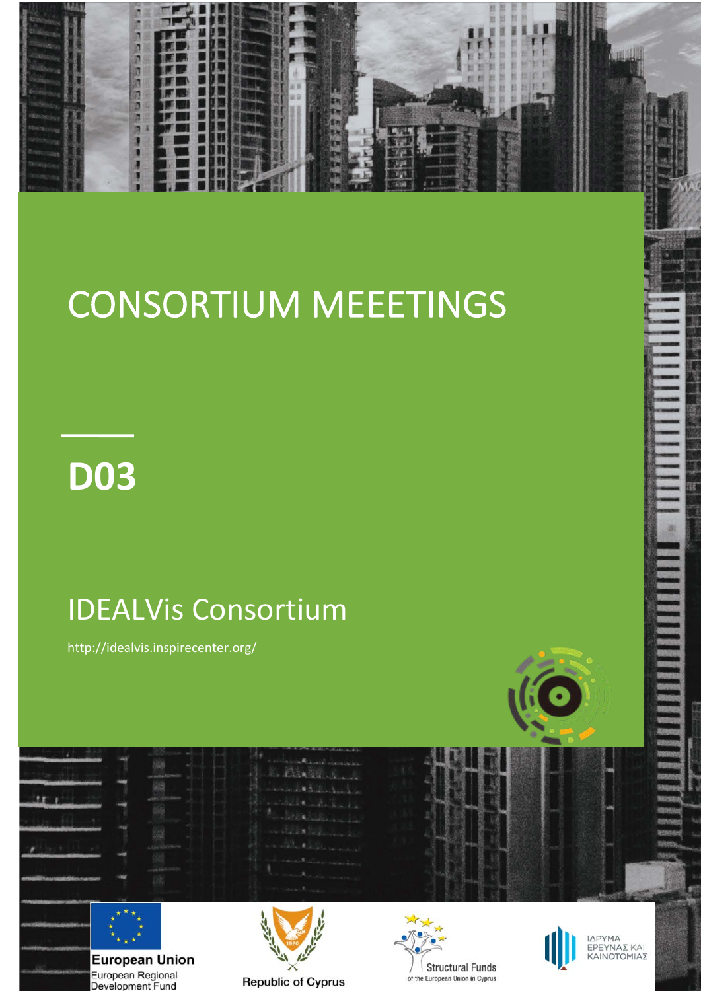

# CONSORTIUM MEEETINGS

# **D03**

## IDEALVis Consortium

http://idealvis.inspirecenter.org/

European Regional<br>Development Fund



 $25.1$ **European Union** 

**Republic of Cyprus** 



**Structural Funds** 

of the European Union in Cyprus

ΙΔΡΥΜΑ<br>ΕΡΕΥΝΑΣ ΚΑΙ<br>ΚΑΙΝΟΤΟΜΙΑΣ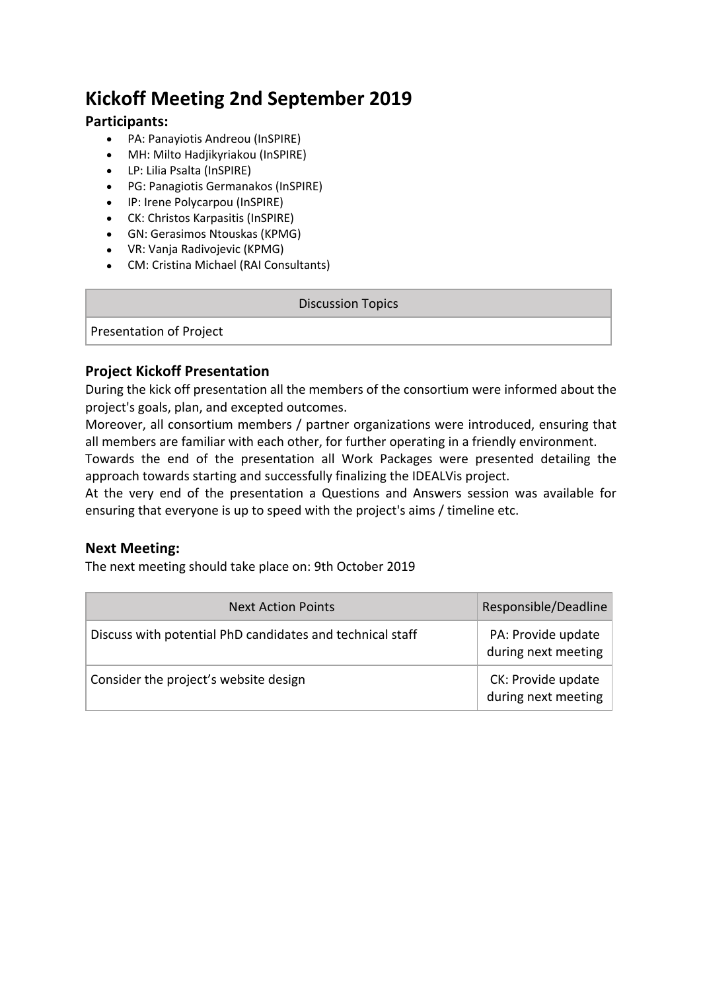## **Kickoff Meeting 2nd September 2019**

#### **Participants:**

- PA: Panayiotis Andreou (InSPIRE)
- MH: Milto Hadjikyriakou (InSPIRE)
- LP: Lilia Psalta (InSPIRE)
- PG: Panagiotis Germanakos (InSPIRE)
- IP: Irene Polycarpou (InSPIRE)
- CK: Christos Karpasitis (InSPIRE)
- GN: Gerasimos Ntouskas (KPMG)
- VR: Vanja Radivojevic (KPMG)
- CM: Cristina Michael (RAI Consultants)

#### Discussion Topics

Presentation of Project

#### **Project Kickoff Presentation**

During the kick off presentation all the members of the consortium were informed about the project's goals, plan, and excepted outcomes.

Moreover, all consortium members / partner organizations were introduced, ensuring that all members are familiar with each other, for further operating in a friendly environment.

Towards the end of the presentation all Work Packages were presented detailing the approach towards starting and successfully finalizing the IDEALVis project.

At the very end of the presentation a Questions and Answers session was available for ensuring that everyone is up to speed with the project's aims / timeline etc.

#### **Next Meeting:**

The next meeting should take place on: 9th October 2019

| <b>Next Action Points</b>                                 | Responsible/Deadline                      |
|-----------------------------------------------------------|-------------------------------------------|
| Discuss with potential PhD candidates and technical staff | PA: Provide update<br>during next meeting |
| Consider the project's website design                     | CK: Provide update<br>during next meeting |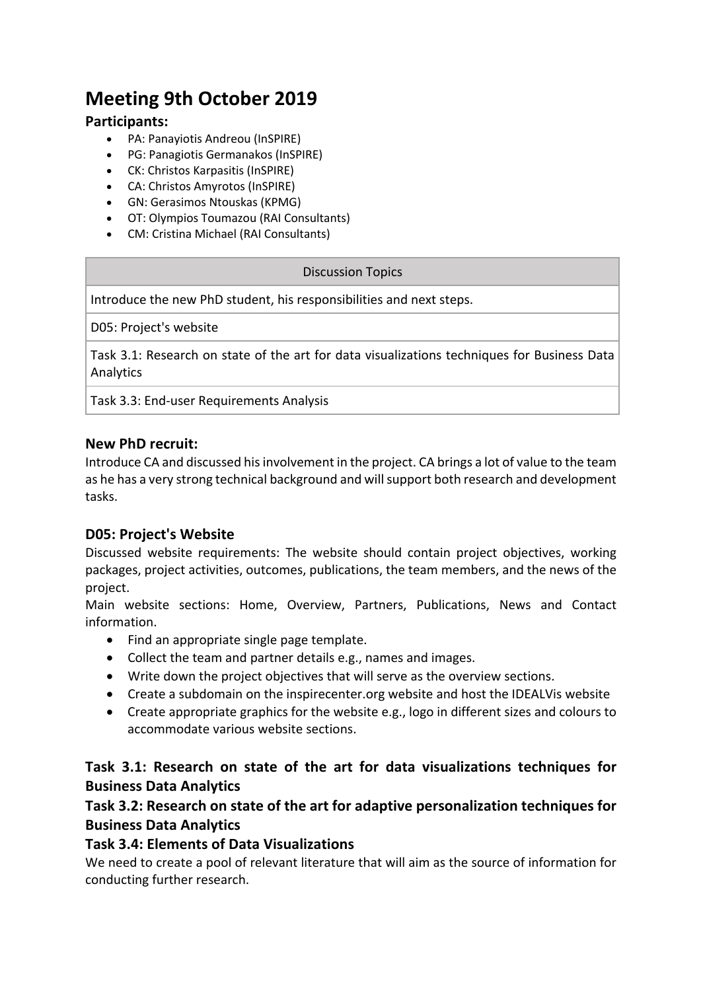## **Meeting 9th October 2019**

#### **Participants:**

- PA: Panayiotis Andreou (InSPIRE)
- PG: Panagiotis Germanakos (InSPIRE)
- CK: Christos Karpasitis (InSPIRE)
- CA: Christos Amyrotos (InSPIRE)
- GN: Gerasimos Ntouskas (KPMG)
- OT: Olympios Toumazou (RAI Consultants)
- CM: Cristina Michael (RAI Consultants)

#### Discussion Topics

Introduce the new PhD student, his responsibilities and next steps.

D05: Project's website

Task 3.1: Research on state of the art for data visualizations techniques for Business Data **Analytics** 

Task 3.3: End-user Requirements Analysis

#### **New PhD recruit:**

Introduce CA and discussed his involvement in the project. CA brings a lot of value to the team as he has a very strong technical background and will support both research and development tasks.

#### **D05: Project's Website**

Discussed website requirements: The website should contain project objectives, working packages, project activities, outcomes, publications, the team members, and the news of the project.

Main website sections: Home, Overview, Partners, Publications, News and Contact information.

- Find an appropriate single page template.
- Collect the team and partner details e.g., names and images.
- Write down the project objectives that will serve as the overview sections.
- Create a subdomain on the inspirecenter.org website and host the IDEALVis website
- Create appropriate graphics for the website e.g., logo in different sizes and colours to accommodate various website sections.

#### **Task 3.1: Research on state of the art for data visualizations techniques for Business Data Analytics**

#### **Task 3.2: Research on state of the art for adaptive personalization techniques for Business Data Analytics**

#### **Task 3.4: Elements of Data Visualizations**

We need to create a pool of relevant literature that will aim as the source of information for conducting further research.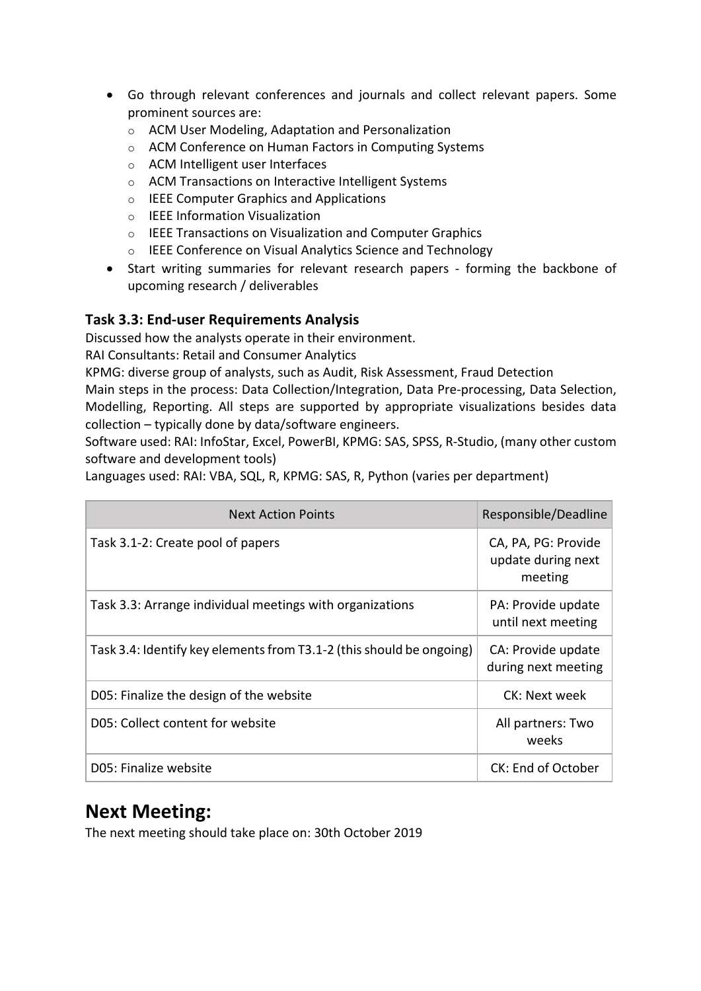- Go through relevant conferences and journals and collect relevant papers. Some prominent sources are:
	- o ACM User Modeling, Adaptation and Personalization
	- o ACM Conference on Human Factors in Computing Systems
	- o ACM Intelligent user Interfaces
	- o ACM Transactions on Interactive Intelligent Systems
	- o IEEE Computer Graphics and Applications
	- o IEEE Information Visualization
	- o IEEE Transactions on Visualization and Computer Graphics
	- o IEEE Conference on Visual Analytics Science and Technology
- Start writing summaries for relevant research papers forming the backbone of upcoming research / deliverables

#### **Task 3.3: End-user Requirements Analysis**

Discussed how the analysts operate in their environment.

RAI Consultants: Retail and Consumer Analytics

KPMG: diverse group of analysts, such as Audit, Risk Assessment, Fraud Detection

Main steps in the process: Data Collection/Integration, Data Pre-processing, Data Selection, Modelling, Reporting. All steps are supported by appropriate visualizations besides data collection – typically done by data/software engineers.

Software used: RAI: InfoStar, Excel, PowerBI, KPMG: SAS, SPSS, R-Studio, (many other custom software and development tools)

Languages used: RAI: VBA, SQL, R, KPMG: SAS, R, Python (varies per department)

| <b>Next Action Points</b>                                            | Responsible/Deadline                                 |
|----------------------------------------------------------------------|------------------------------------------------------|
| Task 3.1-2: Create pool of papers                                    | CA, PA, PG: Provide<br>update during next<br>meeting |
| Task 3.3: Arrange individual meetings with organizations             | PA: Provide update<br>until next meeting             |
| Task 3.4: Identify key elements from T3.1-2 (this should be ongoing) | CA: Provide update<br>during next meeting            |
| D05: Finalize the design of the website                              | CK: Next week                                        |
| D05: Collect content for website                                     | All partners: Two<br>weeks                           |
| D05: Finalize website                                                | CK: End of October                                   |

## **Next Meeting:**

The next meeting should take place on: 30th October 2019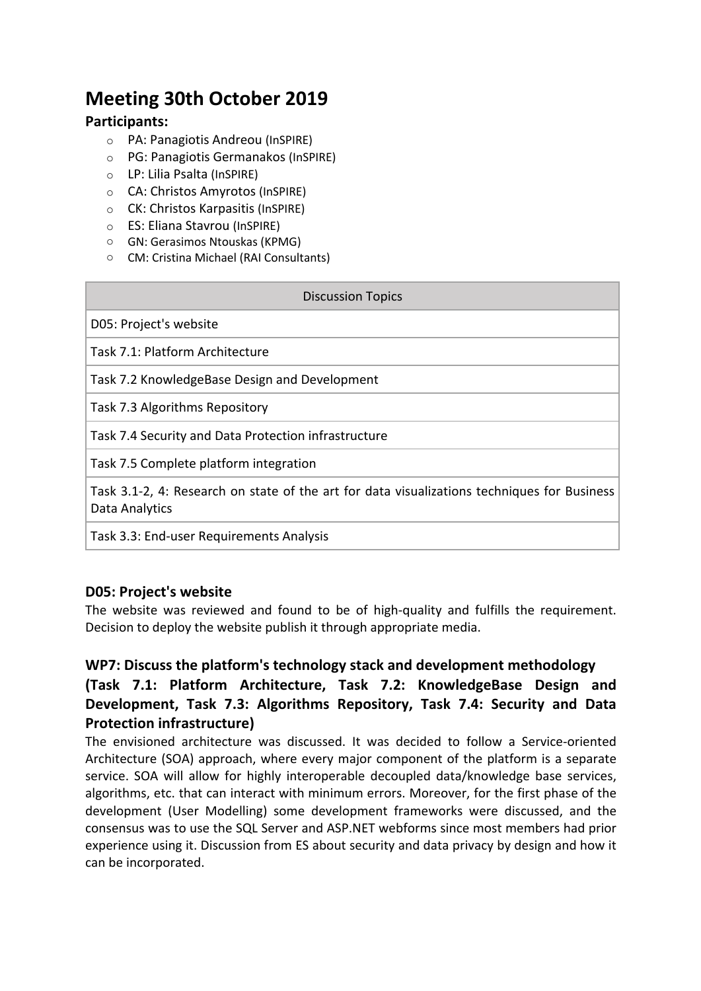## **Meeting 30th October 2019**

#### **Participants:**

- o PA: Panagiotis Andreou (InSPIRE)
- o PG: Panagiotis Germanakos (InSPIRE)
- o LP: Lilia Psalta (InSPIRE)
- o CA: Christos Amyrotos (InSPIRE)
- o CK: Christos Karpasitis (InSPIRE)
- o ES: Eliana Stavrou (InSPIRE)
- o GN: Gerasimos Ntouskas (KPMG)
- o CM: Cristina Michael (RAI Consultants)

| <b>Discussion Topics</b>                                                                                      |
|---------------------------------------------------------------------------------------------------------------|
| D05: Project's website                                                                                        |
| Task 7.1: Platform Architecture                                                                               |
| Task 7.2 KnowledgeBase Design and Development                                                                 |
| Task 7.3 Algorithms Repository                                                                                |
| Task 7.4 Security and Data Protection infrastructure                                                          |
| Task 7.5 Complete platform integration                                                                        |
| Task 3.1-2, 4: Research on state of the art for data visualizations techniques for Business<br>Data Analytics |

Task 3.3: End-user Requirements Analysis

#### **D05: Project's website**

The website was reviewed and found to be of high-quality and fulfills the requirement. Decision to deploy the website publish it through appropriate media.

#### **WP7: Discuss the platform's technology stack and development methodology**

#### **(Task 7.1: Platform Architecture, Task 7.2: KnowledgeBase Design and Development, Task 7.3: Algorithms Repository, Task 7.4: Security and Data Protection infrastructure)**

The envisioned architecture was discussed. It was decided to follow a Service-oriented Architecture (SOA) approach, where every major component of the platform is a separate service. SOA will allow for highly interoperable decoupled data/knowledge base services, algorithms, etc. that can interact with minimum errors. Moreover, for the first phase of the development (User Modelling) some development frameworks were discussed, and the consensus was to use the SQL Server and ASP.NET webforms since most members had prior experience using it. Discussion from ES about security and data privacy by design and how it can be incorporated.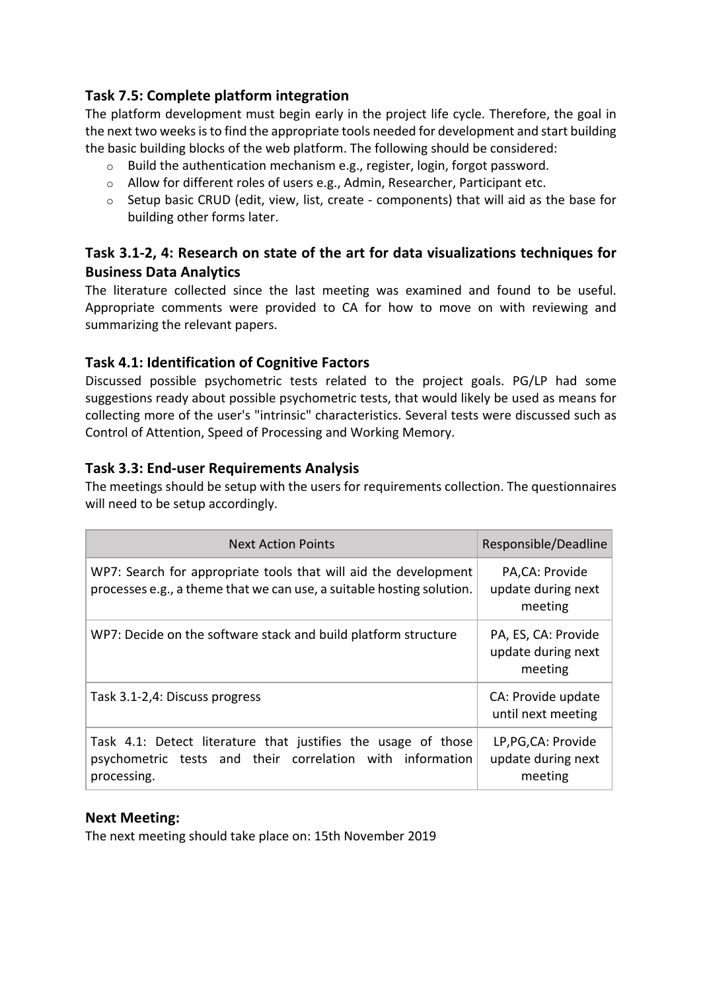#### **Task 7.5: Complete platform integration**

The platform development must begin early in the project life cycle. Therefore, the goal in the next two weeks is to find the appropriate tools needed for development and start building the basic building blocks of the web platform. The following should be considered:

- o Build the authentication mechanism e.g., register, login, forgot password.
- o Allow for different roles of users e.g., Admin, Researcher, Participant etc.
- $\circ$  Setup basic CRUD (edit, view, list, create components) that will aid as the base for building other forms later.

#### **Task 3.1-2, 4: Research on state of the art for data visualizations techniques for Business Data Analytics**

The literature collected since the last meeting was examined and found to be useful. Appropriate comments were provided to CA for how to move on with reviewing and summarizing the relevant papers.

#### **Task 4.1: Identification of Cognitive Factors**

Discussed possible psychometric tests related to the project goals. PG/LP had some suggestions ready about possible psychometric tests, that would likely be used as means for collecting more of the user's "intrinsic" characteristics. Several tests were discussed such as Control of Attention, Speed of Processing and Working Memory.

#### **Task 3.3: End-user Requirements Analysis**

The meetings should be setup with the users for requirements collection. The questionnaires will need to be setup accordingly.

| <b>Next Action Points</b>                                                                                                                 | Responsible/Deadline                                 |
|-------------------------------------------------------------------------------------------------------------------------------------------|------------------------------------------------------|
| WP7: Search for appropriate tools that will aid the development<br>processes e.g., a theme that we can use, a suitable hosting solution.  | PA,CA: Provide<br>update during next<br>meeting      |
| WP7: Decide on the software stack and build platform structure                                                                            | PA, ES, CA: Provide<br>update during next<br>meeting |
| Task 3.1-2,4: Discuss progress                                                                                                            | CA: Provide update<br>until next meeting             |
| Task 4.1: Detect literature that justifies the usage of those<br>psychometric tests and their correlation with information<br>processing. | LP, PG, CA: Provide<br>update during next<br>meeting |

#### **Next Meeting:**

The next meeting should take place on: 15th November 2019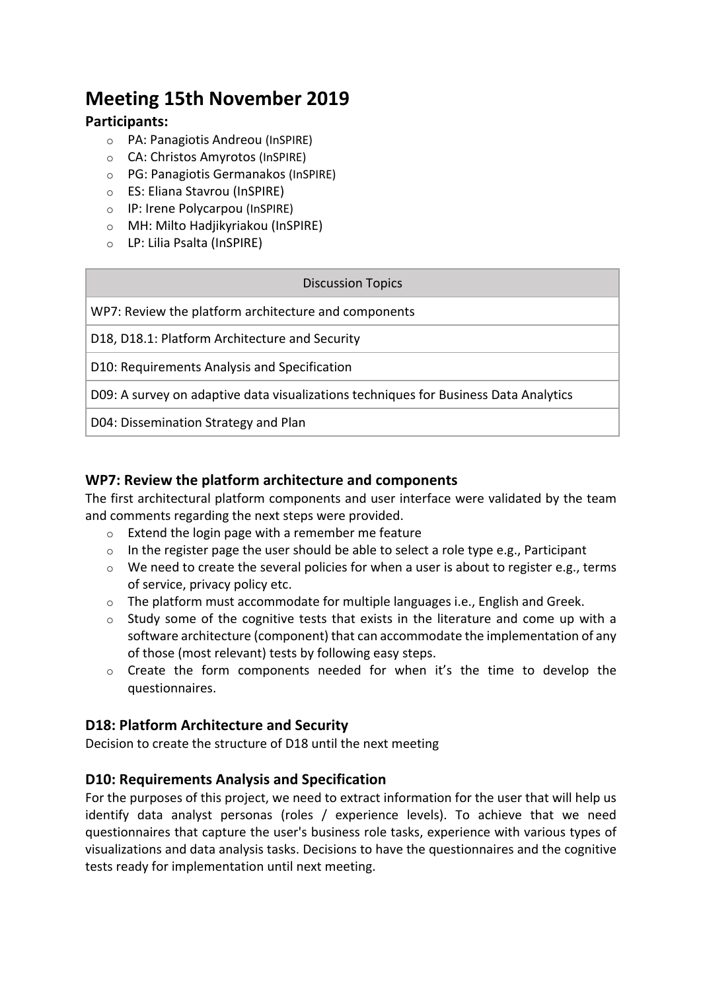## **Meeting 15th November 2019**

#### **Participants:**

- o PA: Panagiotis Andreou (InSPIRE)
- o CA: Christos Amyrotos (InSPIRE)
- o PG: Panagiotis Germanakos (InSPIRE)
- o ES: Eliana Stavrou (InSPIRE)
- o IP: Irene Polycarpou (InSPIRE)
- o MH: Milto Hadjikyriakou (InSPIRE)
- o LP: Lilia Psalta (InSPIRE)

| <b>Discussion Topics</b>                                                             |
|--------------------------------------------------------------------------------------|
| WP7: Review the platform architecture and components                                 |
| D18, D18.1: Platform Architecture and Security                                       |
| D10: Requirements Analysis and Specification                                         |
| D09: A survey on adaptive data visualizations techniques for Business Data Analytics |
|                                                                                      |

D04: Dissemination Strategy and Plan

#### **WP7: Review the platform architecture and components**

The first architectural platform components and user interface were validated by the team and comments regarding the next steps were provided.

- o Extend the login page with a remember me feature
- $\circ$  In the register page the user should be able to select a role type e.g., Participant
- o We need to create the several policies for when a user is about to register e.g., terms of service, privacy policy etc.
- o The platform must accommodate for multiple languages i.e., English and Greek.
- $\circ$  Study some of the cognitive tests that exists in the literature and come up with a software architecture (component) that can accommodate the implementation of any of those (most relevant) tests by following easy steps.
- o Create the form components needed for when it's the time to develop the questionnaires.

#### **D18: Platform Architecture and Security**

Decision to create the structure of D18 until the next meeting

#### **D10: Requirements Analysis and Specification**

For the purposes of this project, we need to extract information for the user that will help us identify data analyst personas (roles / experience levels). To achieve that we need questionnaires that capture the user's business role tasks, experience with various types of visualizations and data analysis tasks. Decisions to have the questionnaires and the cognitive tests ready for implementation until next meeting.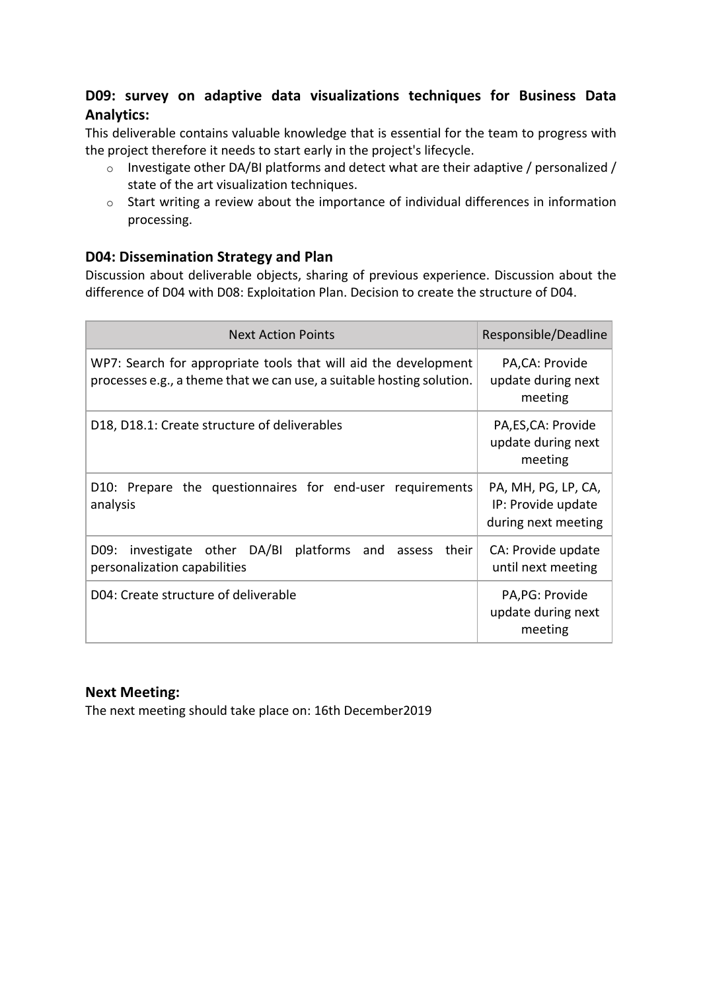#### **D09: survey on adaptive data visualizations techniques for Business Data Analytics:**

This deliverable contains valuable knowledge that is essential for the team to progress with the project therefore it needs to start early in the project's lifecycle.

- o Investigate other DA/BI platforms and detect what are their adaptive / personalized / state of the art visualization techniques.
- o Start writing a review about the importance of individual differences in information processing.

#### **D04: Dissemination Strategy and Plan**

Discussion about deliverable objects, sharing of previous experience. Discussion about the difference of D04 with D08: Exploitation Plan. Decision to create the structure of D04.

| <b>Next Action Points</b>                                                                                                                | Responsible/Deadline                                             |
|------------------------------------------------------------------------------------------------------------------------------------------|------------------------------------------------------------------|
| WP7: Search for appropriate tools that will aid the development<br>processes e.g., a theme that we can use, a suitable hosting solution. | PA, CA: Provide<br>update during next<br>meeting                 |
| D18, D18.1: Create structure of deliverables                                                                                             | PA, ES, CA: Provide<br>update during next<br>meeting             |
| D10: Prepare the questionnaires for end-user requirements<br>analysis                                                                    | PA, MH, PG, LP, CA,<br>IP: Provide update<br>during next meeting |
| investigate other DA/BI platforms and<br>their<br>D09:<br>assess<br>personalization capabilities                                         | CA: Provide update<br>until next meeting                         |
| D04: Create structure of deliverable                                                                                                     | PA, PG: Provide<br>update during next<br>meeting                 |

#### **Next Meeting:**

The next meeting should take place on: 16th December2019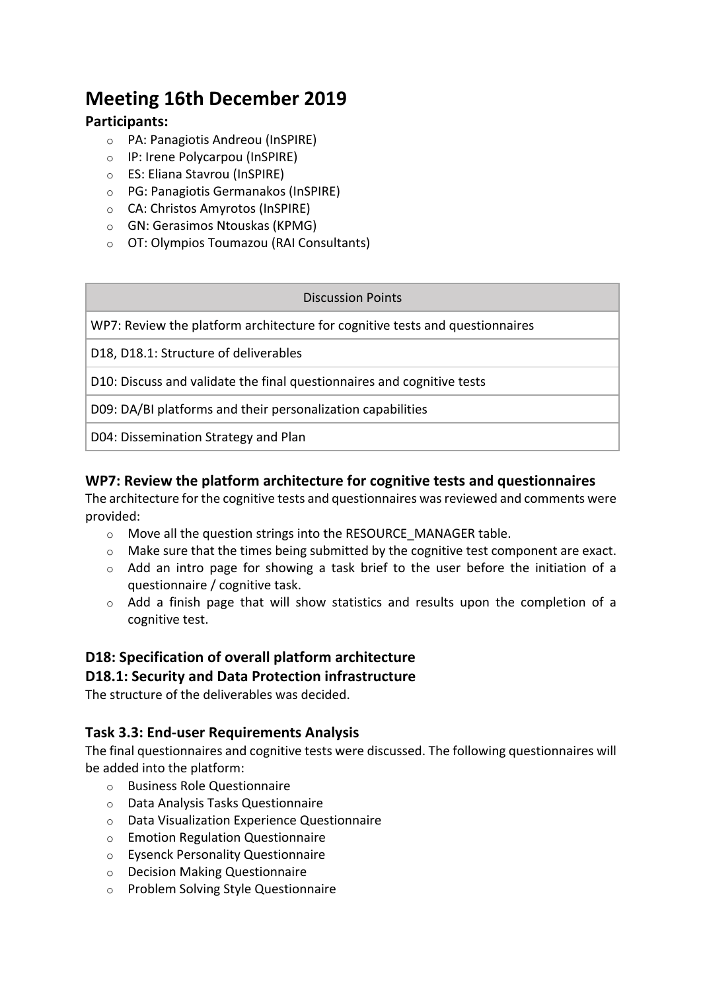## **Meeting 16th December 2019**

#### **Participants:**

- o PA: Panagiotis Andreou (InSPIRE)
- o IP: Irene Polycarpou (InSPIRE)
- o ES: Eliana Stavrou (InSPIRE)
- o PG: Panagiotis Germanakos (InSPIRE)
- o CA: Christos Amyrotos (InSPIRE)
- o GN: Gerasimos Ntouskas (KPMG)
- o OT: Olympios Toumazou (RAI Consultants)

#### Discussion Points

WP7: Review the platform architecture for cognitive tests and questionnaires

D18, D18.1: Structure of deliverables

D10: Discuss and validate the final questionnaires and cognitive tests

D09: DA/BI platforms and their personalization capabilities

D04: Dissemination Strategy and Plan

#### **WP7: Review the platform architecture for cognitive tests and questionnaires**

The architecture for the cognitive tests and questionnaires was reviewed and comments were provided:

- o Move all the question strings into the RESOURCE\_MANAGER table.
- $\circ$  Make sure that the times being submitted by the cognitive test component are exact.
- o Add an intro page for showing a task brief to the user before the initiation of a questionnaire / cognitive task.
- $\circ$  Add a finish page that will show statistics and results upon the completion of a cognitive test.

## **D18: Specification of overall platform architecture**

#### **D18.1: Security and Data Protection infrastructure**

The structure of the deliverables was decided.

#### **Task 3.3: End-user Requirements Analysis**

The final questionnaires and cognitive tests were discussed. The following questionnaires will be added into the platform:

- o Business Role Questionnaire
- o Data Analysis Tasks Questionnaire
- o Data Visualization Experience Questionnaire
- o Emotion Regulation Questionnaire
- o Eysenck Personality Questionnaire
- o Decision Making Questionnaire
- o Problem Solving Style Questionnaire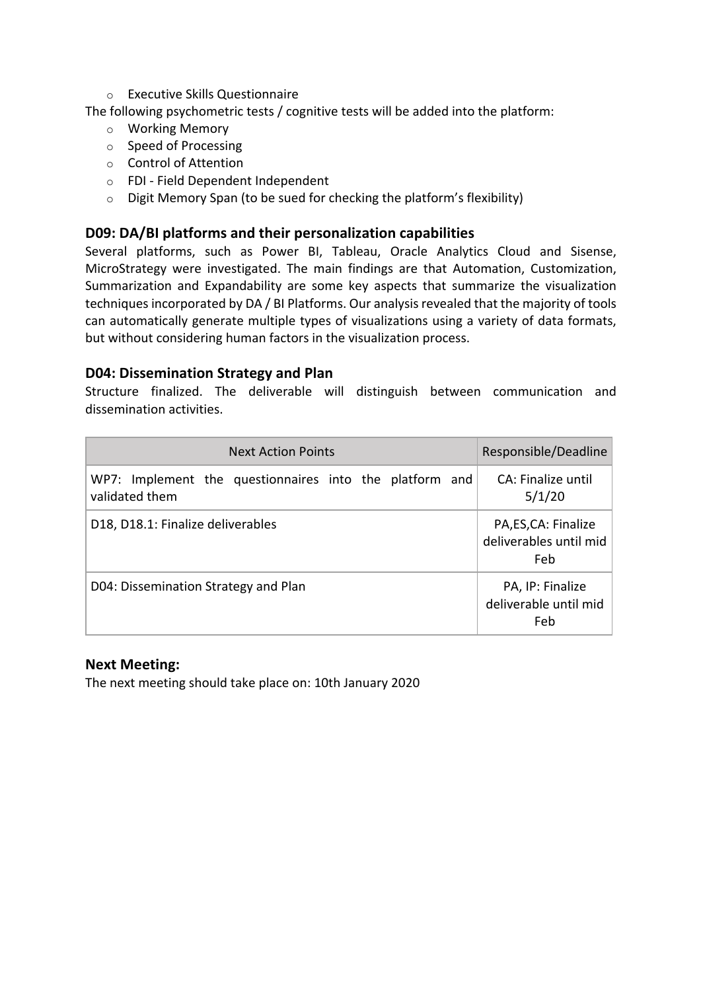o Executive Skills Questionnaire

The following psychometric tests / cognitive tests will be added into the platform:

- o Working Memory
- o Speed of Processing
- o Control of Attention
- o FDI Field Dependent Independent
- o Digit Memory Span (to be sued for checking the platform's flexibility)

#### **D09: DA/BI platforms and their personalization capabilities**

Several platforms, such as Power BI, Tableau, Oracle Analytics Cloud and Sisense, MicroStrategy were investigated. The main findings are that Automation, Customization, Summarization and Expandability are some key aspects that summarize the visualization techniques incorporated by DA / BI Platforms. Our analysis revealed that the majority of tools can automatically generate multiple types of visualizations using a variety of data formats, but without considering human factors in the visualization process.

#### **D04: Dissemination Strategy and Plan**

Structure finalized. The deliverable will distinguish between communication and dissemination activities.

| <b>Next Action Points</b>                                                 | Responsible/Deadline                                  |
|---------------------------------------------------------------------------|-------------------------------------------------------|
| WP7: Implement the questionnaires into the platform and<br>validated them | CA: Finalize until<br>5/1/20                          |
| D18, D18.1: Finalize deliverables                                         | PA, ES, CA: Finalize<br>deliverables until mid<br>Feb |
| D04: Dissemination Strategy and Plan                                      | PA, IP: Finalize<br>deliverable until mid<br>Feb      |

#### **Next Meeting:**

The next meeting should take place on: 10th January 2020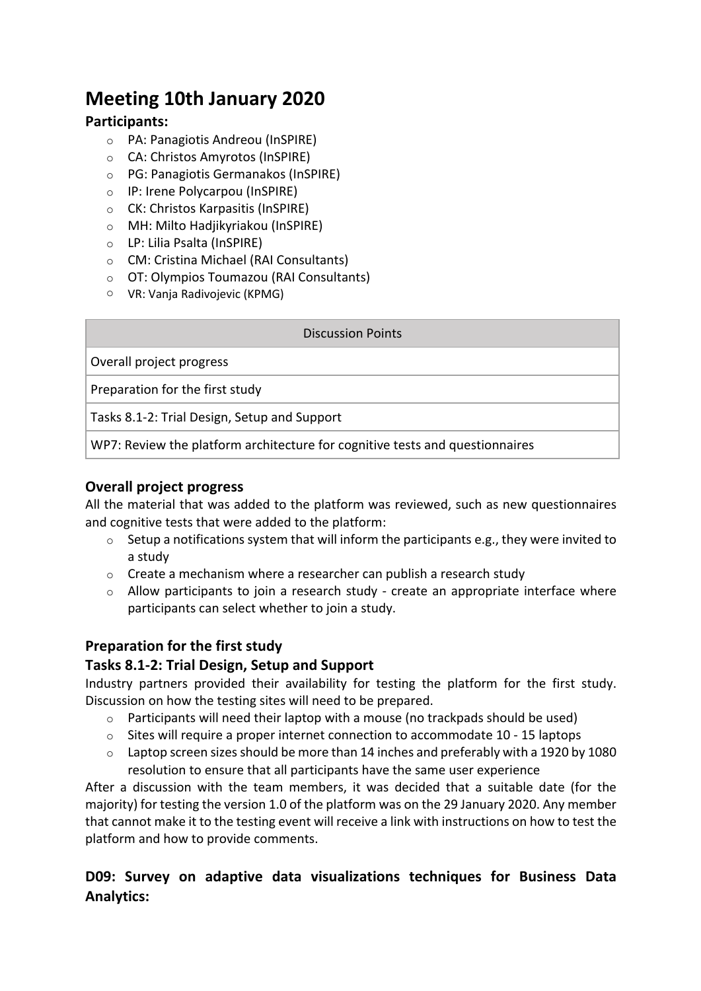## **Meeting 10th January 2020**

#### **Participants:**

- o PA: Panagiotis Andreou (InSPIRE)
- o CA: Christos Amyrotos (InSPIRE)
- o PG: Panagiotis Germanakos (InSPIRE)
- o IP: Irene Polycarpou (InSPIRE)
- o CK: Christos Karpasitis (InSPIRE)
- o MH: Milto Hadjikyriakou (InSPIRE)
- o LP: Lilia Psalta (InSPIRE)
- o CM: Cristina Michael (RAI Consultants)
- o OT: Olympios Toumazou (RAI Consultants)
- o VR: Vanja Radivojevic (KPMG)

#### Discussion Points

Overall project progress

Preparation for the first study

Tasks 8.1-2: Trial Design, Setup and Support

WP7: Review the platform architecture for cognitive tests and questionnaires

#### **Overall project progress**

All the material that was added to the platform was reviewed, such as new questionnaires and cognitive tests that were added to the platform:

- $\circ$  Setup a notifications system that will inform the participants e.g., they were invited to a study
- $\circ$  Create a mechanism where a researcher can publish a research study
- $\circ$  Allow participants to join a research study create an appropriate interface where participants can select whether to join a study.

#### **Preparation for the first study**

#### **Tasks 8.1-2: Trial Design, Setup and Support**

Industry partners provided their availability for testing the platform for the first study. Discussion on how the testing sites will need to be prepared.

- $\circ$  Participants will need their laptop with a mouse (no trackpads should be used)
- $\circ$  Sites will require a proper internet connection to accommodate 10 15 laptops
- o Laptop screen sizes should be more than 14 inches and preferably with a 1920 by 1080 resolution to ensure that all participants have the same user experience

After a discussion with the team members, it was decided that a suitable date (for the majority) for testing the version 1.0 of the platform was on the 29 January 2020. Any member that cannot make it to the testing event will receive a link with instructions on how to test the platform and how to provide comments.

#### **D09: Survey on adaptive data visualizations techniques for Business Data Analytics:**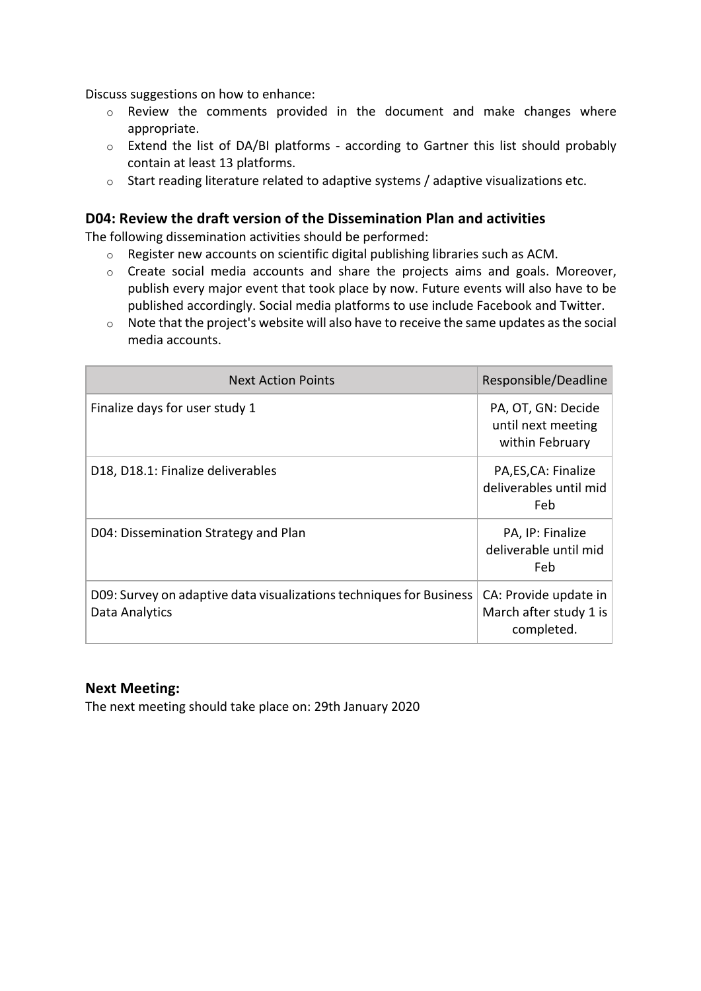Discuss suggestions on how to enhance:

- o Review the comments provided in the document and make changes where appropriate.
- o Extend the list of DA/BI platforms according to Gartner this list should probably contain at least 13 platforms.
- o Start reading literature related to adaptive systems / adaptive visualizations etc.

#### **D04: Review the draft version of the Dissemination Plan and activities**

The following dissemination activities should be performed:

- $\circ$  Register new accounts on scientific digital publishing libraries such as ACM.
- o Create social media accounts and share the projects aims and goals. Moreover, publish every major event that took place by now. Future events will also have to be published accordingly. Social media platforms to use include Facebook and Twitter.
- o Note that the project's website will also have to receive the same updates as the social media accounts.

| <b>Next Action Points</b>                                                             | Responsible/Deadline                                          |
|---------------------------------------------------------------------------------------|---------------------------------------------------------------|
| Finalize days for user study 1                                                        | PA, OT, GN: Decide<br>until next meeting<br>within February   |
| D18, D18.1: Finalize deliverables                                                     | PA, ES, CA: Finalize<br>deliverables until mid<br>Feb         |
| D04: Dissemination Strategy and Plan                                                  | PA, IP: Finalize<br>deliverable until mid<br>Feb              |
| D09: Survey on adaptive data visualizations techniques for Business<br>Data Analytics | CA: Provide update in<br>March after study 1 is<br>completed. |

#### **Next Meeting:**

The next meeting should take place on: 29th January 2020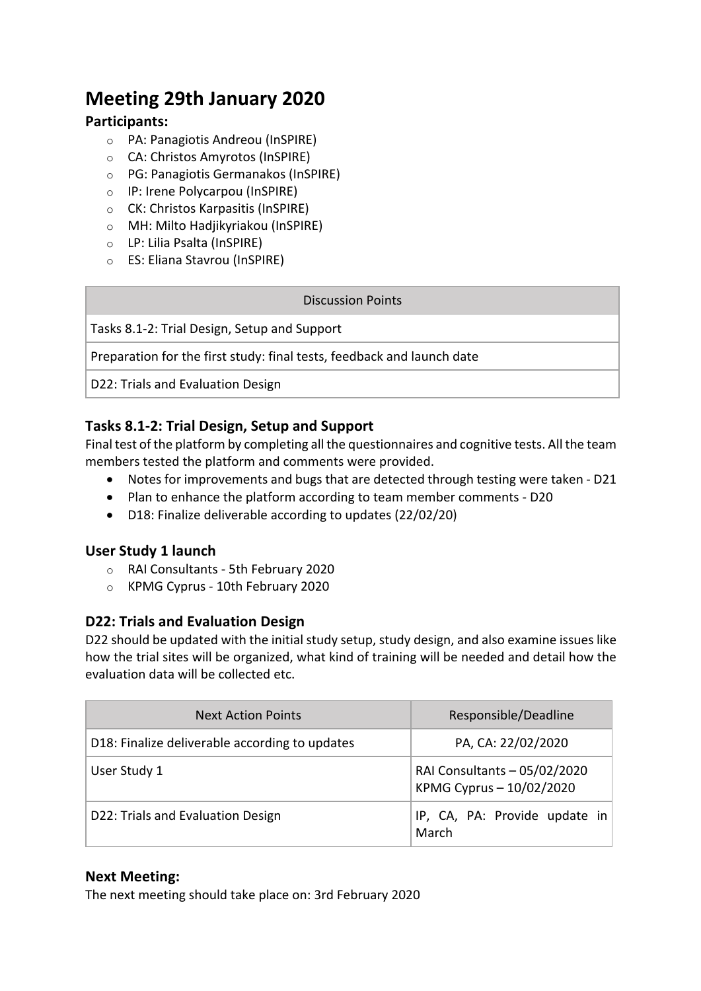## **Meeting 29th January 2020**

#### **Participants:**

- o PA: Panagiotis Andreou (InSPIRE)
- o CA: Christos Amyrotos (InSPIRE)
- o PG: Panagiotis Germanakos (InSPIRE)
- o IP: Irene Polycarpou (InSPIRE)
- o CK: Christos Karpasitis (InSPIRE)
- o MH: Milto Hadjikyriakou (InSPIRE)
- o LP: Lilia Psalta (InSPIRE)
- o ES: Eliana Stavrou (InSPIRE)

#### Discussion Points

Tasks 8.1-2: Trial Design, Setup and Support

Preparation for the first study: final tests, feedback and launch date

D22: Trials and Evaluation Design

#### **Tasks 8.1-2: Trial Design, Setup and Support**

Final test of the platform by completing all the questionnaires and cognitive tests. All the team members tested the platform and comments were provided.

- Notes for improvements and bugs that are detected through testing were taken D21
- Plan to enhance the platform according to team member comments D20
- D18: Finalize deliverable according to updates (22/02/20)

#### **User Study 1 launch**

- o RAI Consultants 5th February 2020
- o KPMG Cyprus 10th February 2020

#### **D22: Trials and Evaluation Design**

D22 should be updated with the initial study setup, study design, and also examine issues like how the trial sites will be organized, what kind of training will be needed and detail how the evaluation data will be collected etc.

| <b>Next Action Points</b>                      | Responsible/Deadline                                     |
|------------------------------------------------|----------------------------------------------------------|
| D18: Finalize deliverable according to updates | PA, CA: 22/02/2020                                       |
| User Study 1                                   | RAI Consultants - 05/02/2020<br>KPMG Cyprus - 10/02/2020 |
| D22: Trials and Evaluation Design              | IP, CA, PA: Provide update in<br>March                   |

#### **Next Meeting:**

The next meeting should take place on: 3rd February 2020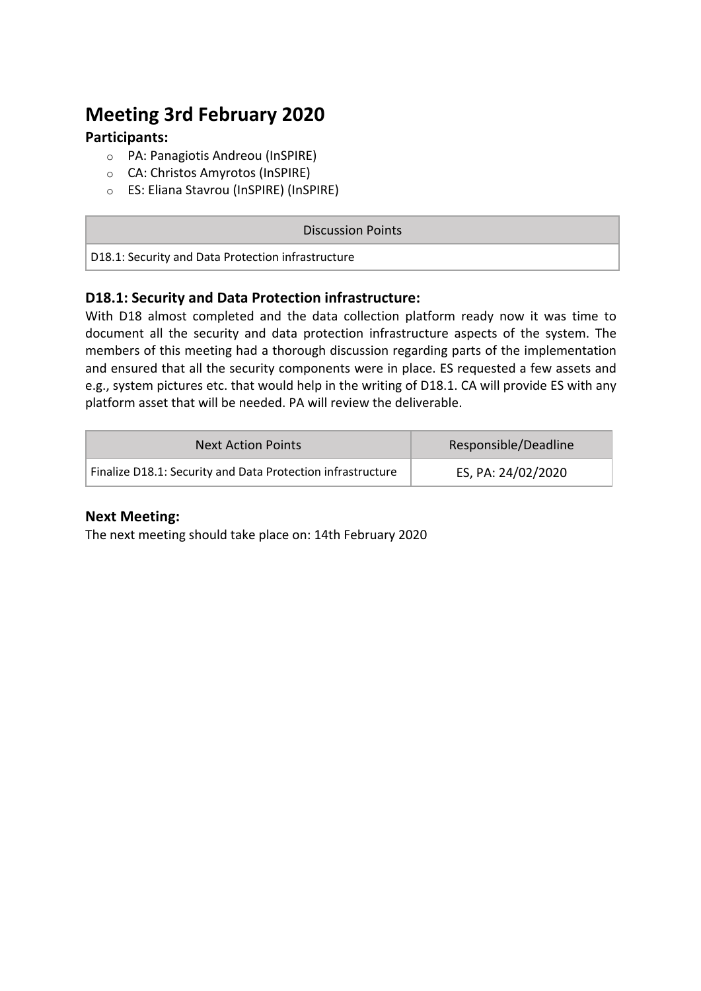## **Meeting 3rd February 2020**

#### **Participants:**

- o PA: Panagiotis Andreou (InSPIRE)
- o CA: Christos Amyrotos (InSPIRE)
- o ES: Eliana Stavrou (InSPIRE) (InSPIRE)

#### Discussion Points

D18.1: Security and Data Protection infrastructure

#### **D18.1: Security and Data Protection infrastructure:**

With D18 almost completed and the data collection platform ready now it was time to document all the security and data protection infrastructure aspects of the system. The members of this meeting had a thorough discussion regarding parts of the implementation and ensured that all the security components were in place. ES requested a few assets and e.g., system pictures etc. that would help in the writing of D18.1. CA will provide ES with any platform asset that will be needed. PA will review the deliverable.

| <b>Next Action Points</b>                                   | Responsible/Deadline |
|-------------------------------------------------------------|----------------------|
| Finalize D18.1: Security and Data Protection infrastructure | ES, PA: 24/02/2020   |

#### **Next Meeting:**

The next meeting should take place on: 14th February 2020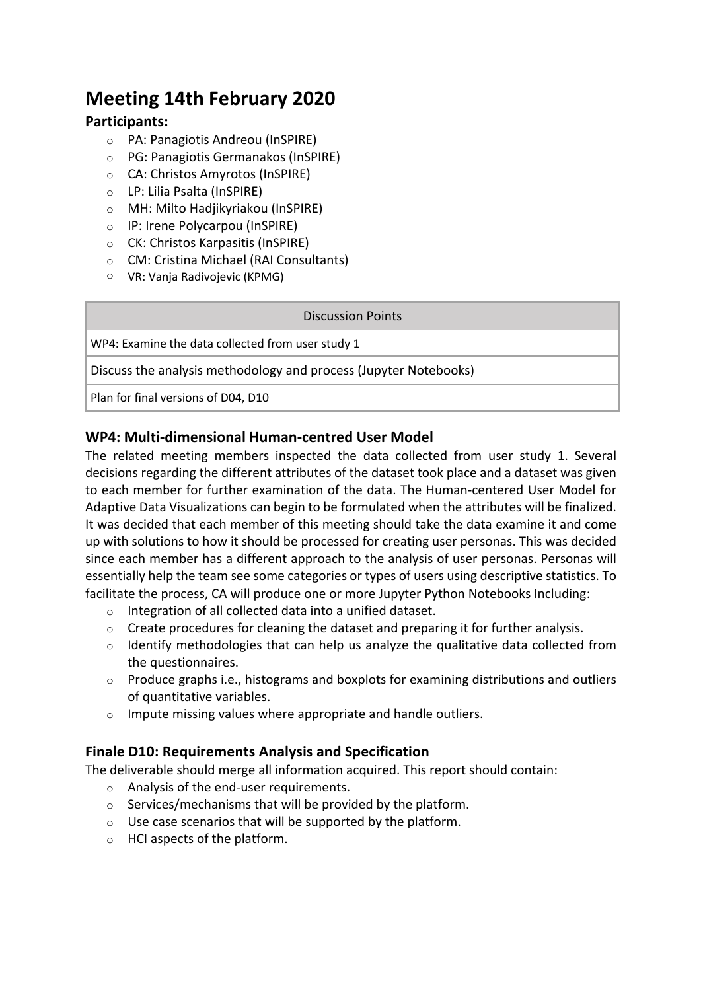## **Meeting 14th February 2020**

#### **Participants:**

- o PA: Panagiotis Andreou (InSPIRE)
- o PG: Panagiotis Germanakos (InSPIRE)
- o CA: Christos Amyrotos (InSPIRE)
- o LP: Lilia Psalta (InSPIRE)
- o MH: Milto Hadjikyriakou (InSPIRE)
- o IP: Irene Polycarpou (InSPIRE)
- o CK: Christos Karpasitis (InSPIRE)
- o CM: Cristina Michael (RAI Consultants)
- o VR: Vanja Radivojevic (KPMG)

#### Discussion Points

WP4: Examine the data collected from user study 1

Discuss the analysis methodology and process (Jupyter Notebooks)

Plan for final versions of D04, D10

#### **WP4: Multi-dimensional Human-centred User Model**

The related meeting members inspected the data collected from user study 1. Several decisions regarding the different attributes of the dataset took place and a dataset was given to each member for further examination of the data. The Human-centered User Model for Adaptive Data Visualizations can begin to be formulated when the attributes will be finalized. It was decided that each member of this meeting should take the data examine it and come up with solutions to how it should be processed for creating user personas. This was decided since each member has a different approach to the analysis of user personas. Personas will essentially help the team see some categories or types of users using descriptive statistics. To facilitate the process, CA will produce one or more Jupyter Python Notebooks Including:

- o Integration of all collected data into a unified dataset.
- $\circ$  Create procedures for cleaning the dataset and preparing it for further analysis.
- o Identify methodologies that can help us analyze the qualitative data collected from the questionnaires.
- o Produce graphs i.e., histograms and boxplots for examining distributions and outliers of quantitative variables.
- o Impute missing values where appropriate and handle outliers.

#### **Finale D10: Requirements Analysis and Specification**

The deliverable should merge all information acquired. This report should contain:

- o Analysis of the end-user requirements.
- o Services/mechanisms that will be provided by the platform.
- o Use case scenarios that will be supported by the platform.
- o HCI aspects of the platform.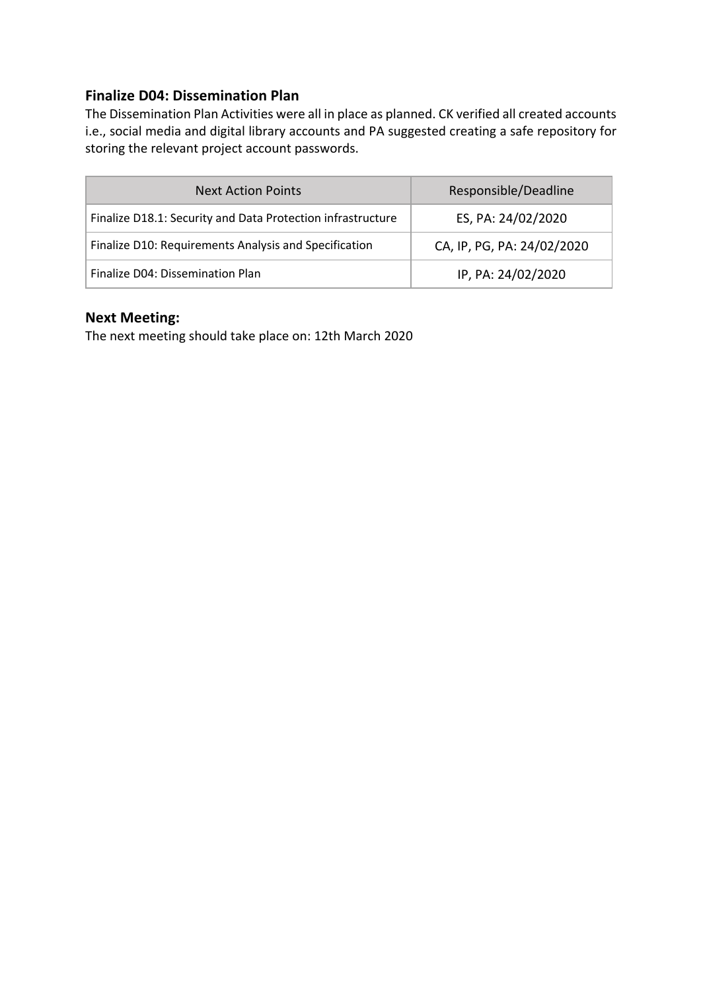#### **Finalize D04: Dissemination Plan**

The Dissemination Plan Activities were all in place as planned. CK verified all created accounts i.e., social media and digital library accounts and PA suggested creating a safe repository for storing the relevant project account passwords.

| <b>Next Action Points</b>                                   | Responsible/Deadline       |
|-------------------------------------------------------------|----------------------------|
| Finalize D18.1: Security and Data Protection infrastructure | ES, PA: 24/02/2020         |
| Finalize D10: Requirements Analysis and Specification       | CA, IP, PG, PA: 24/02/2020 |
| Finalize D04: Dissemination Plan                            | IP, PA: 24/02/2020         |

#### **Next Meeting:**

The next meeting should take place on: 12th March 2020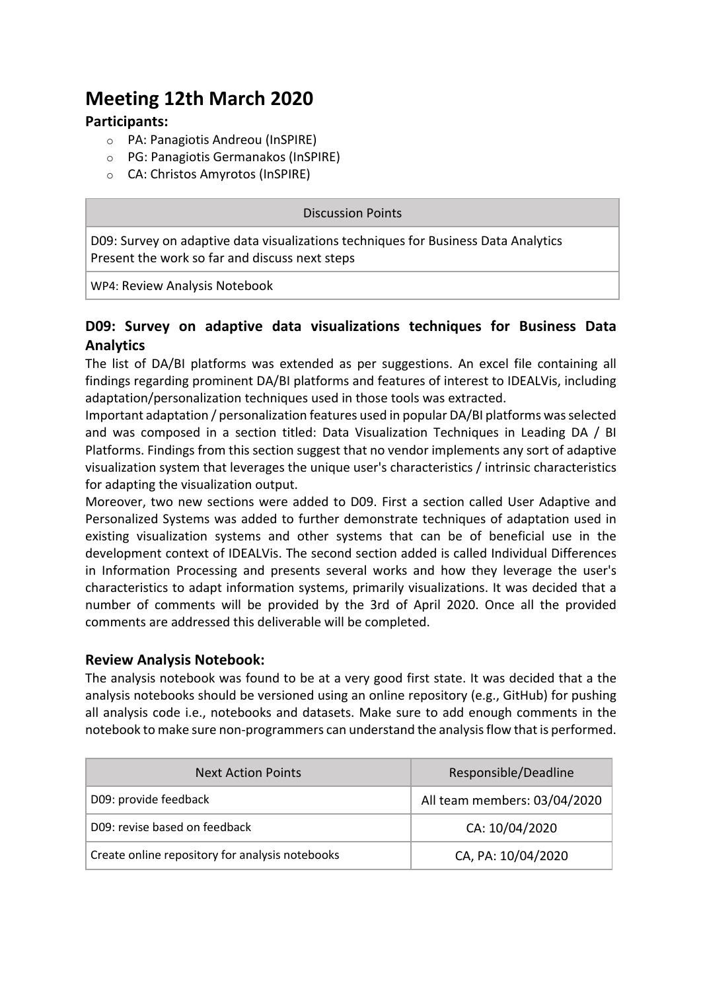## **Meeting 12th March 2020**

#### **Participants:**

- o PA: Panagiotis Andreou (InSPIRE)
- o PG: Panagiotis Germanakos (InSPIRE)
- o CA: Christos Amyrotos (InSPIRE)

#### Discussion Points

D09: Survey on adaptive data visualizations techniques for Business Data Analytics Present the work so far and discuss next steps

WP4: Review Analysis Notebook

#### **D09: Survey on adaptive data visualizations techniques for Business Data Analytics**

The list of DA/BI platforms was extended as per suggestions. An excel file containing all findings regarding prominent DA/BI platforms and features of interest to IDEALVis, including adaptation/personalization techniques used in those tools was extracted.

Important adaptation / personalization features used in popular DA/BI platforms was selected and was composed in a section titled: Data Visualization Techniques in Leading DA / BI Platforms. Findings from this section suggest that no vendor implements any sort of adaptive visualization system that leverages the unique user's characteristics / intrinsic characteristics for adapting the visualization output.

Moreover, two new sections were added to D09. First a section called User Adaptive and Personalized Systems was added to further demonstrate techniques of adaptation used in existing visualization systems and other systems that can be of beneficial use in the development context of IDEALVis. The second section added is called Individual Differences in Information Processing and presents several works and how they leverage the user's characteristics to adapt information systems, primarily visualizations. It was decided that a number of comments will be provided by the 3rd of April 2020. Once all the provided comments are addressed this deliverable will be completed.

#### **Review Analysis Notebook:**

The analysis notebook was found to be at a very good first state. It was decided that a the analysis notebooks should be versioned using an online repository (e.g., GitHub) for pushing all analysis code i.e., notebooks and datasets. Make sure to add enough comments in the notebook to make sure non-programmers can understand the analysis flow that is performed.

| <b>Next Action Points</b>                       | Responsible/Deadline         |
|-------------------------------------------------|------------------------------|
| D09: provide feedback                           | All team members: 03/04/2020 |
| D09: revise based on feedback                   | CA: 10/04/2020               |
| Create online repository for analysis notebooks | CA, PA: 10/04/2020           |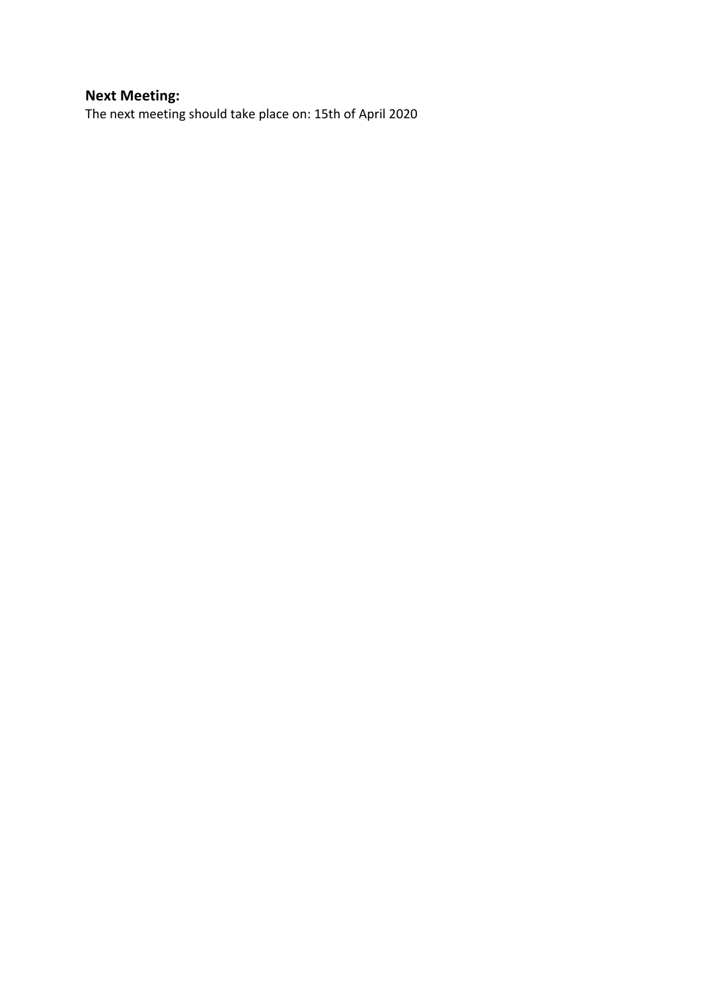#### **Next Meeting:**

The next meeting should take place on: 15th of April 2020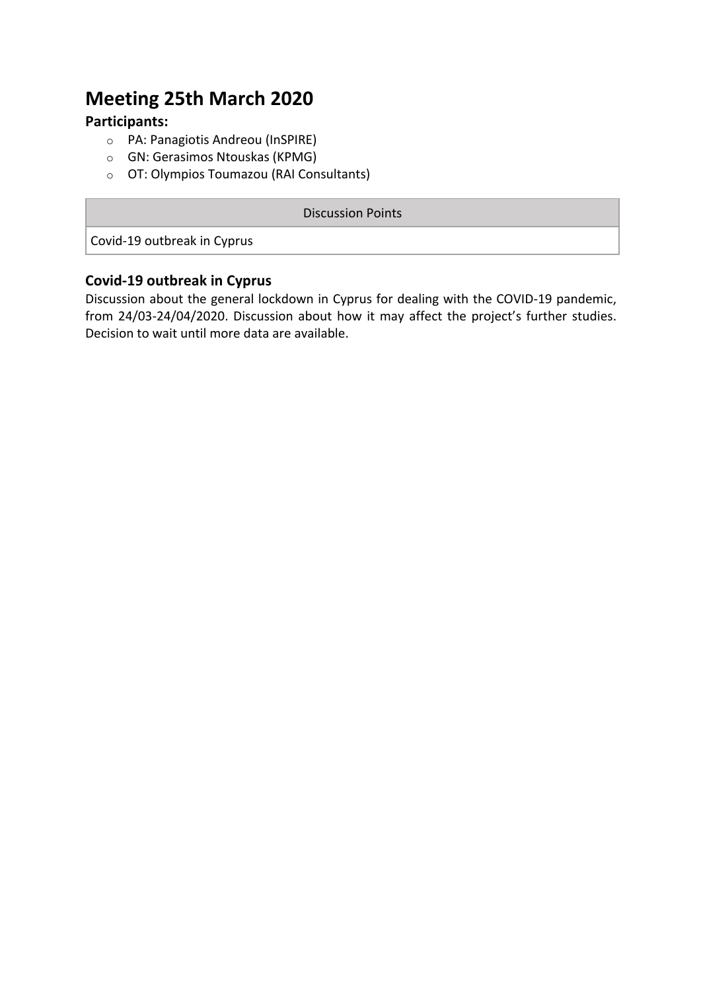## **Meeting 25th March 2020**

#### **Participants:**

- o PA: Panagiotis Andreou (InSPIRE)
- o GN: Gerasimos Ntouskas (KPMG)
- o OT: Olympios Toumazou (RAI Consultants)

#### Discussion Points

Covid-19 outbreak in Cyprus

#### **Covid-19 outbreak in Cyprus**

Discussion about the general lockdown in Cyprus for dealing with the COVID-19 pandemic, from 24/03-24/04/2020. Discussion about how it may affect the project's further studies. Decision to wait until more data are available.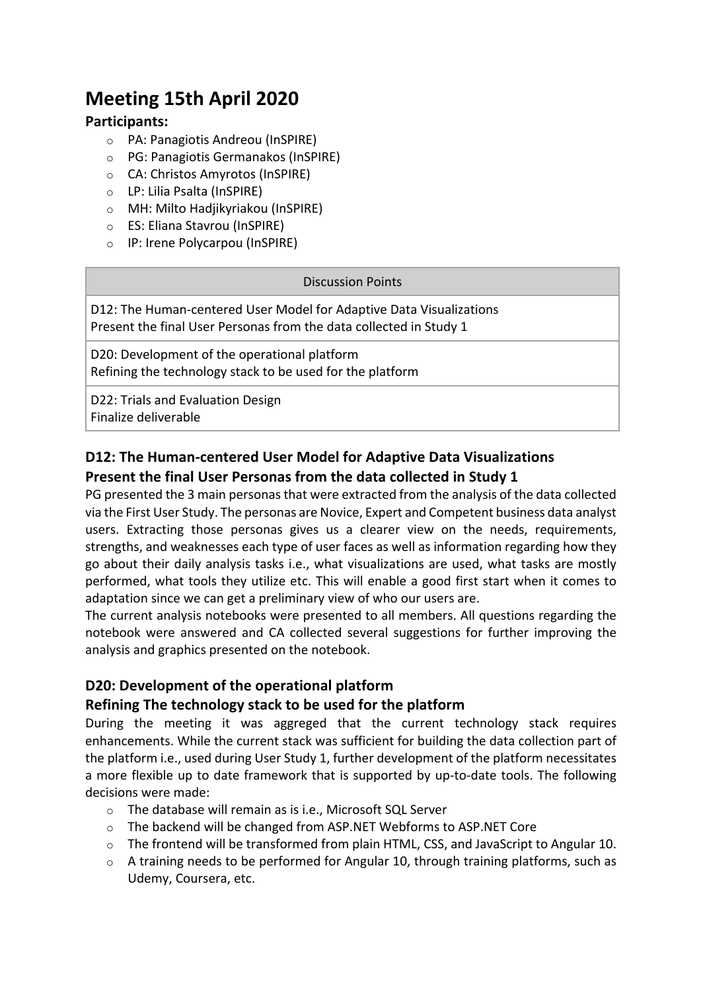## **Meeting 15th April 2020**

#### **Participants:**

- o PA: Panagiotis Andreou (InSPIRE)
- o PG: Panagiotis Germanakos (InSPIRE)
- o CA: Christos Amyrotos (InSPIRE)
- o LP: Lilia Psalta (InSPIRE)
- o MH: Milto Hadjikyriakou (InSPIRE)
- o ES: Eliana Stavrou (InSPIRE)
- o IP: Irene Polycarpou (InSPIRE)

#### Discussion Points

D12: The Human-centered User Model for Adaptive Data Visualizations Present the final User Personas from the data collected in Study 1

D20: Development of the operational platform Refining the technology stack to be used for the platform

D22: Trials and Evaluation Design Finalize deliverable

#### **D12: The Human-centered User Model for Adaptive Data Visualizations Present the final User Personas from the data collected in Study 1**

PG presented the 3 main personas that were extracted from the analysis of the data collected via the First User Study. The personas are Novice, Expert and Competent business data analyst users. Extracting those personas gives us a clearer view on the needs, requirements, strengths, and weaknesses each type of user faces as well as information regarding how they go about their daily analysis tasks i.e., what visualizations are used, what tasks are mostly performed, what tools they utilize etc. This will enable a good first start when it comes to adaptation since we can get a preliminary view of who our users are.

The current analysis notebooks were presented to all members. All questions regarding the notebook were answered and CA collected several suggestions for further improving the analysis and graphics presented on the notebook.

#### **D20: Development of the operational platform**

#### **Refining The technology stack to be used for the platform**

During the meeting it was aggreged that the current technology stack requires enhancements. While the current stack was sufficient for building the data collection part of the platform i.e., used during User Study 1, further development of the platform necessitates a more flexible up to date framework that is supported by up-to-date tools. The following decisions were made:

- o The database will remain as is i.e., Microsoft SQL Server
- $\circ$  The backend will be changed from ASP.NET Webforms to ASP.NET Core
- $\circ$  The frontend will be transformed from plain HTML, CSS, and JavaScript to Angular 10.
- $\circ$  A training needs to be performed for Angular 10, through training platforms, such as Udemy, Coursera, etc.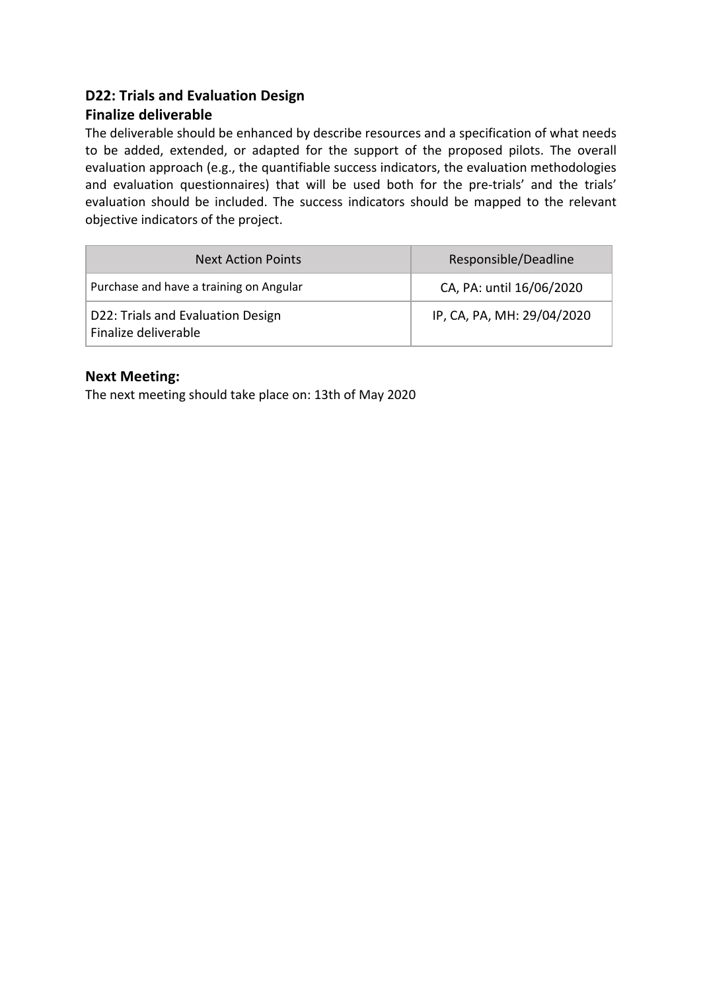#### **D22: Trials and Evaluation Design**

#### **Finalize deliverable**

The deliverable should be enhanced by describe resources and a specification of what needs to be added, extended, or adapted for the support of the proposed pilots. The overall evaluation approach (e.g., the quantifiable success indicators, the evaluation methodologies and evaluation questionnaires) that will be used both for the pre-trials' and the trials' evaluation should be included. The success indicators should be mapped to the relevant objective indicators of the project.

| <b>Next Action Points</b>                                 | Responsible/Deadline       |
|-----------------------------------------------------------|----------------------------|
| Purchase and have a training on Angular                   | CA, PA: until 16/06/2020   |
| D22: Trials and Evaluation Design<br>Finalize deliverable | IP, CA, PA, MH: 29/04/2020 |

#### **Next Meeting:**

The next meeting should take place on: 13th of May 2020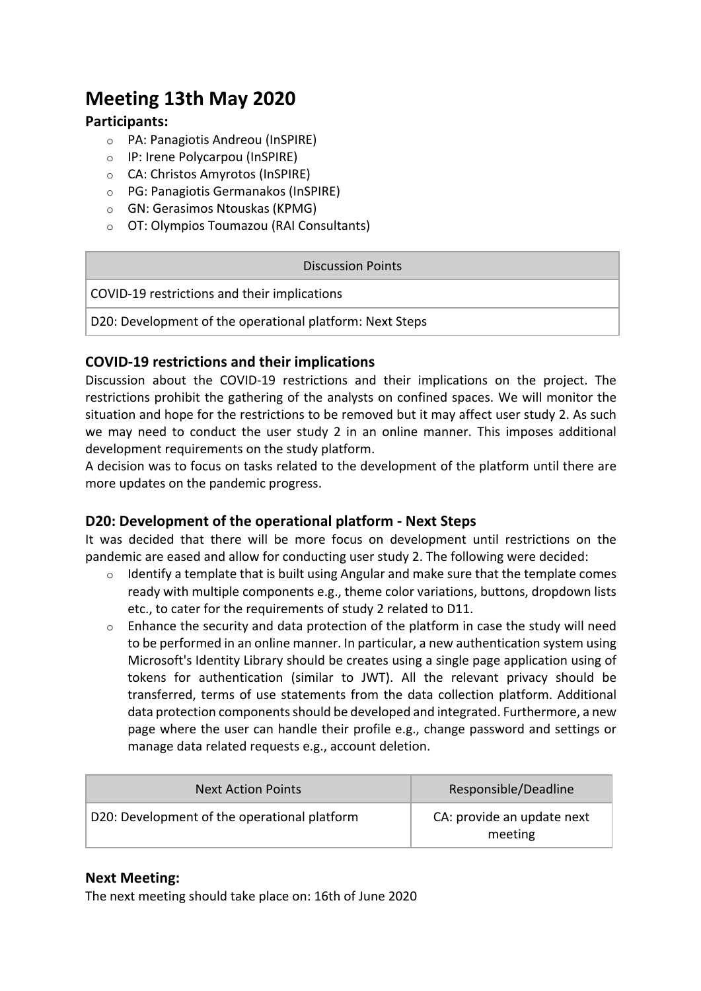## **Meeting 13th May 2020**

#### **Participants:**

- o PA: Panagiotis Andreou (InSPIRE)
- o IP: Irene Polycarpou (InSPIRE)
- o CA: Christos Amyrotos (InSPIRE)
- o PG: Panagiotis Germanakos (InSPIRE)
- o GN: Gerasimos Ntouskas (KPMG)
- o OT: Olympios Toumazou (RAI Consultants)

#### Discussion Points

COVID-19 restrictions and their implications

D20: Development of the operational platform: Next Steps

#### **COVID-19 restrictions and their implications**

Discussion about the COVID-19 restrictions and their implications on the project. The restrictions prohibit the gathering of the analysts on confined spaces. We will monitor the situation and hope for the restrictions to be removed but it may affect user study 2. As such we may need to conduct the user study 2 in an online manner. This imposes additional development requirements on the study platform.

A decision was to focus on tasks related to the development of the platform until there are more updates on the pandemic progress.

#### **D20: Development of the operational platform - Next Steps**

It was decided that there will be more focus on development until restrictions on the pandemic are eased and allow for conducting user study 2. The following were decided:

- $\circ$  Identify a template that is built using Angular and make sure that the template comes ready with multiple components e.g., theme color variations, buttons, dropdown lists etc., to cater for the requirements of study 2 related to D11.
- $\circ$  Enhance the security and data protection of the platform in case the study will need to be performed in an online manner. In particular, a new authentication system using Microsoft's Identity Library should be creates using a single page application using of tokens for authentication (similar to JWT). All the relevant privacy should be transferred, terms of use statements from the data collection platform. Additional data protection components should be developed and integrated. Furthermore, a new page where the user can handle their profile e.g., change password and settings or manage data related requests e.g., account deletion.

| <b>Next Action Points</b>                    | Responsible/Deadline                  |
|----------------------------------------------|---------------------------------------|
| D20: Development of the operational platform | CA: provide an update next<br>meeting |

#### **Next Meeting:**

The next meeting should take place on: 16th of June 2020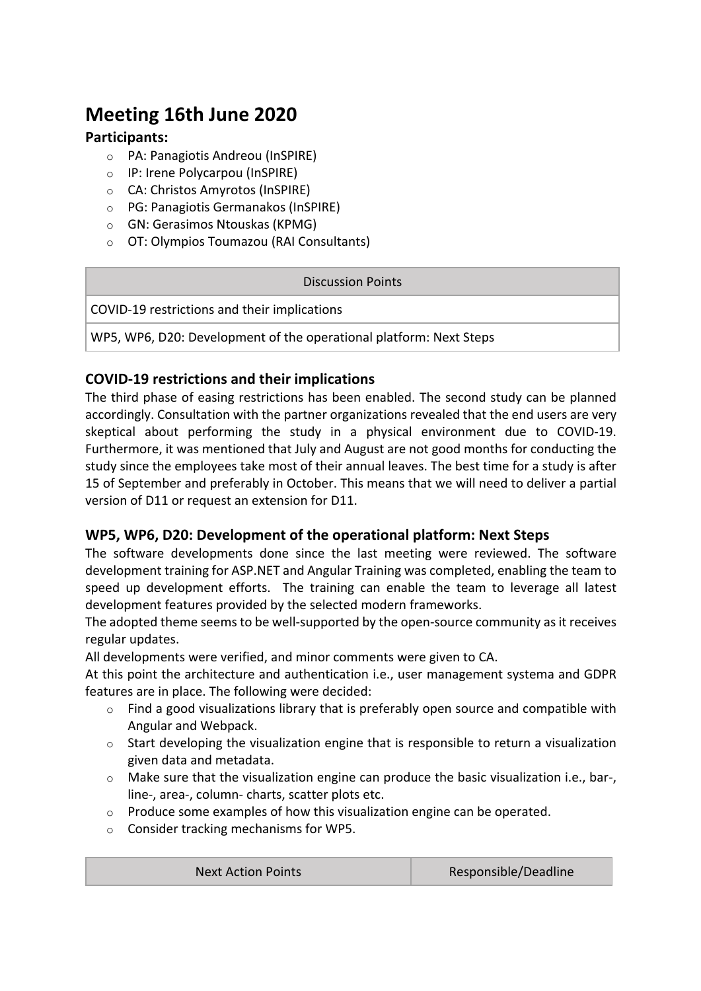## **Meeting 16th June 2020**

#### **Participants:**

- o PA: Panagiotis Andreou (InSPIRE)
- o IP: Irene Polycarpou (InSPIRE)
- o CA: Christos Amyrotos (InSPIRE)
- o PG: Panagiotis Germanakos (InSPIRE)
- o GN: Gerasimos Ntouskas (KPMG)
- o OT: Olympios Toumazou (RAI Consultants)

| <b>Discussion Points</b>                                           |
|--------------------------------------------------------------------|
| COVID-19 restrictions and their implications                       |
| WP5, WP6, D20: Development of the operational platform: Next Steps |
|                                                                    |

#### **COVID-19 restrictions and their implications**

The third phase of easing restrictions has been enabled. The second study can be planned accordingly. Consultation with the partner organizations revealed that the end users are very skeptical about performing the study in a physical environment due to COVID-19. Furthermore, it was mentioned that July and August are not good months for conducting the study since the employees take most of their annual leaves. The best time for a study is after 15 of September and preferably in October. This means that we will need to deliver a partial version of D11 or request an extension for D11.

#### **WP5, WP6, D20: Development of the operational platform: Next Steps**

The software developments done since the last meeting were reviewed. The software development training for ASP.NET and Angular Training was completed, enabling the team to speed up development efforts. The training can enable the team to leverage all latest development features provided by the selected modern frameworks.

The adopted theme seems to be well-supported by the open-source community as it receives regular updates.

All developments were verified, and minor comments were given to CA.

At this point the architecture and authentication i.e., user management systema and GDPR features are in place. The following were decided:

- o Find a good visualizations library that is preferably open source and compatible with Angular and Webpack.
- $\circ$  Start developing the visualization engine that is responsible to return a visualization given data and metadata.
- o Make sure that the visualization engine can produce the basic visualization i.e., bar-, line-, area-, column- charts, scatter plots etc.
- $\circ$  Produce some examples of how this visualization engine can be operated.
- o Consider tracking mechanisms for WP5.

| Responsible/Deadline<br><b>Next Action Points</b> |
|---------------------------------------------------|
|---------------------------------------------------|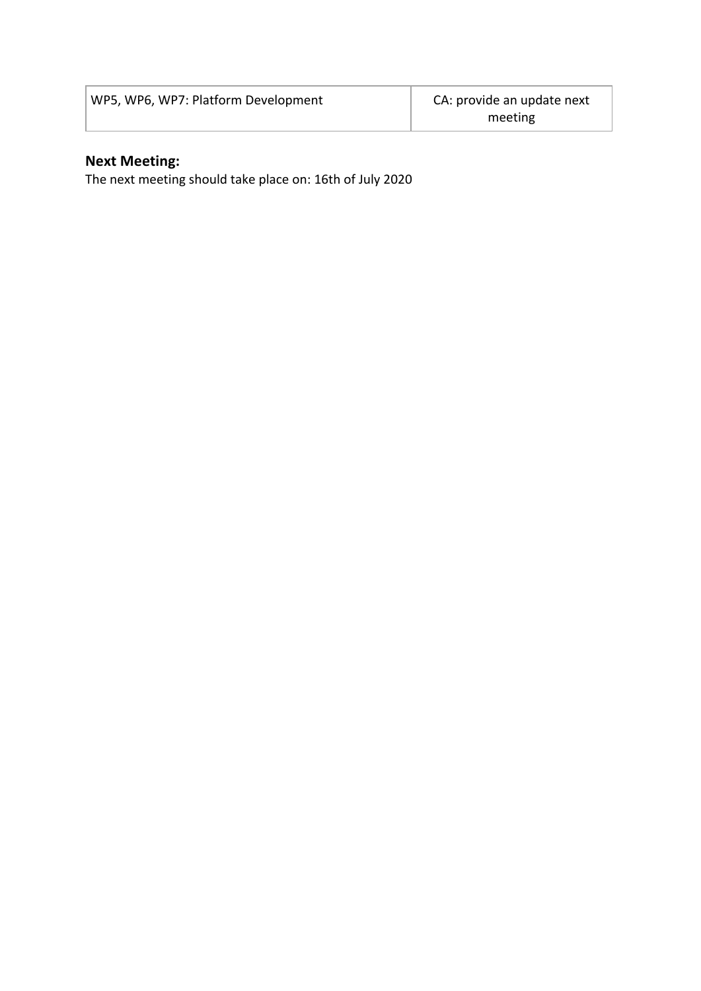| WP5, WP6, WP7: Platform Development | CA: provide an update next |
|-------------------------------------|----------------------------|
|                                     | meeting                    |

#### **Next Meeting:**

The next meeting should take place on: 16th of July 2020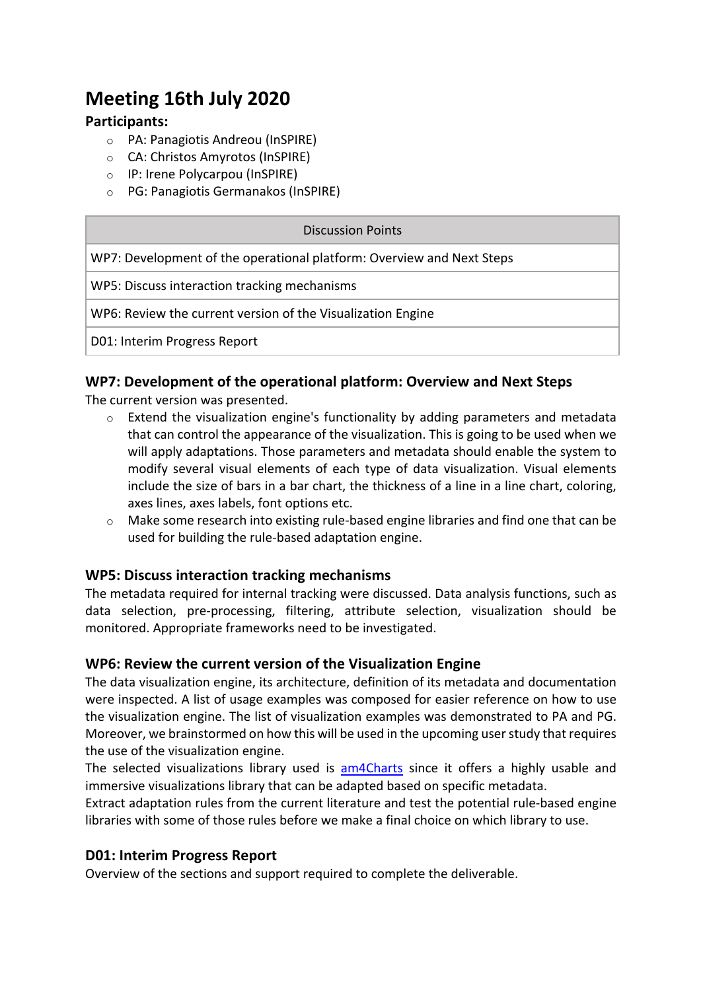## **Meeting 16th July 2020**

#### **Participants:**

- o PA: Panagiotis Andreou (InSPIRE)
- o CA: Christos Amyrotos (InSPIRE)
- o IP: Irene Polycarpou (InSPIRE)
- o PG: Panagiotis Germanakos (InSPIRE)

#### Discussion Points

WP7: Development of the operational platform: Overview and Next Steps

WP5: Discuss interaction tracking mechanisms

WP6: Review the current version of the Visualization Engine

D01: Interim Progress Report

#### **WP7: Development of the operational platform: Overview and Next Steps**

The current version was presented.

- o Extend the visualization engine's functionality by adding parameters and metadata that can control the appearance of the visualization. This is going to be used when we will apply adaptations. Those parameters and metadata should enable the system to modify several visual elements of each type of data visualization. Visual elements include the size of bars in a bar chart, the thickness of a line in a line chart, coloring, axes lines, axes labels, font options etc.
- o Make some research into existing rule-based engine libraries and find one that can be used for building the rule-based adaptation engine.

#### **WP5: Discuss interaction tracking mechanisms**

The metadata required for internal tracking were discussed. Data analysis functions, such as data selection, pre-processing, filtering, attribute selection, visualization should be monitored. Appropriate frameworks need to be investigated.

#### **WP6: Review the current version of the Visualization Engine**

The data visualization engine, its architecture, definition of its metadata and documentation were inspected. A list of usage examples was composed for easier reference on how to use the visualization engine. The list of visualization examples was demonstrated to PA and PG. Moreover, we brainstormed on how this will be used in the upcoming user study that requires the use of the visualization engine.

The selected visualizations library used is am4Charts since it offers a highly usable and immersive visualizations library that can be adapted based on specific metadata.

Extract adaptation rules from the current literature and test the potential rule-based engine libraries with some of those rules before we make a final choice on which library to use.

#### **D01: Interim Progress Report**

Overview of the sections and support required to complete the deliverable.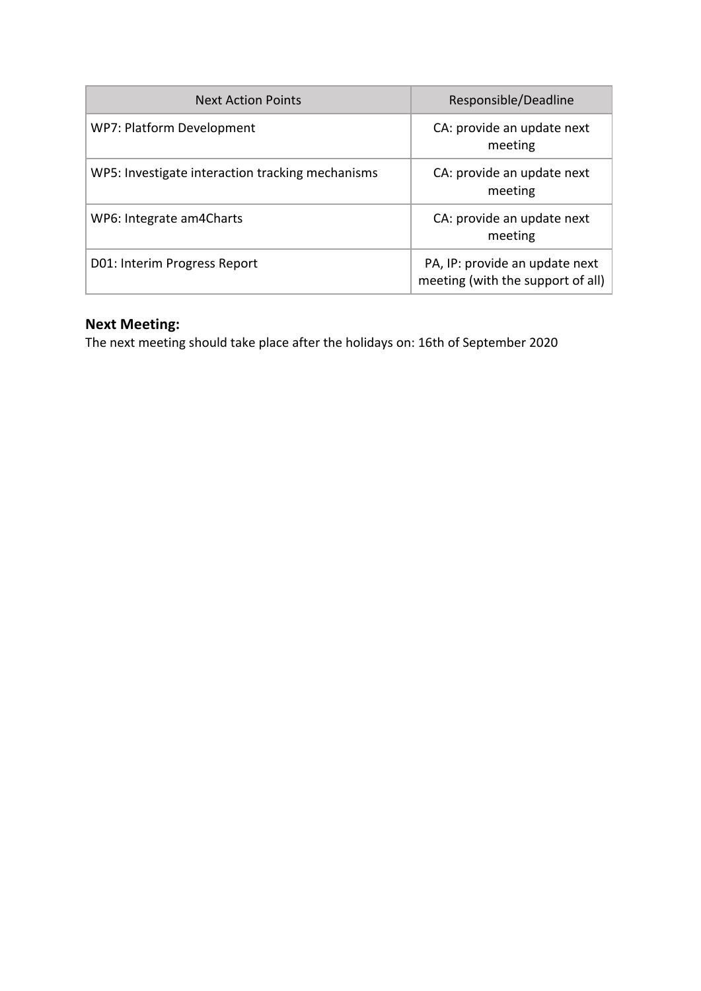| <b>Next Action Points</b>                        | Responsible/Deadline                                                |
|--------------------------------------------------|---------------------------------------------------------------------|
| WP7: Platform Development                        | CA: provide an update next<br>meeting                               |
| WP5: Investigate interaction tracking mechanisms | CA: provide an update next<br>meeting                               |
| WP6: Integrate am4Charts                         | CA: provide an update next<br>meeting                               |
| D01: Interim Progress Report                     | PA, IP: provide an update next<br>meeting (with the support of all) |

#### **Next Meeting:**

The next meeting should take place after the holidays on: 16th of September 2020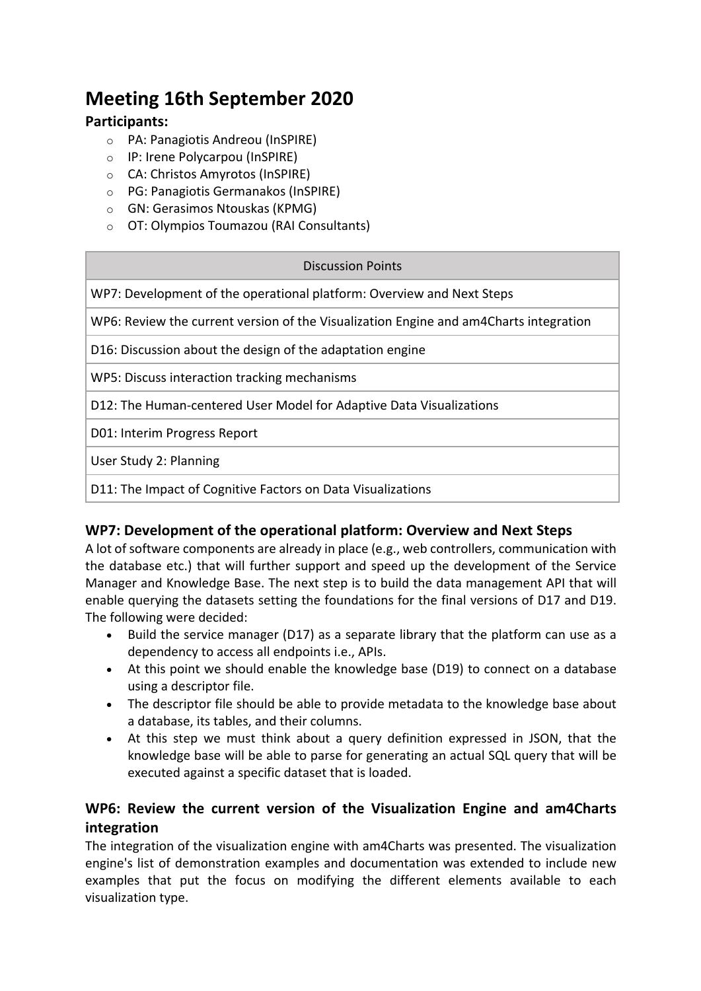## **Meeting 16th September 2020**

#### **Participants:**

- o PA: Panagiotis Andreou (InSPIRE)
- o IP: Irene Polycarpou (InSPIRE)
- o CA: Christos Amyrotos (InSPIRE)
- o PG: Panagiotis Germanakos (InSPIRE)
- o GN: Gerasimos Ntouskas (KPMG)
- o OT: Olympios Toumazou (RAI Consultants)

#### Discussion Points

WP7: Development of the operational platform: Overview and Next Steps

WP6: Review the current version of the Visualization Engine and am4Charts integration

D16: Discussion about the design of the adaptation engine

WP5: Discuss interaction tracking mechanisms

D12: The Human-centered User Model for Adaptive Data Visualizations

D01: Interim Progress Report

User Study 2: Planning

D11: The Impact of Cognitive Factors on Data Visualizations

#### **WP7: Development of the operational platform: Overview and Next Steps**

A lot of software components are already in place (e.g., web controllers, communication with the database etc.) that will further support and speed up the development of the Service Manager and Knowledge Base. The next step is to build the data management API that will enable querying the datasets setting the foundations for the final versions of D17 and D19. The following were decided:

- Build the service manager (D17) as a separate library that the platform can use as a dependency to access all endpoints i.e., APIs.
- At this point we should enable the knowledge base (D19) to connect on a database using a descriptor file.
- The descriptor file should be able to provide metadata to the knowledge base about a database, its tables, and their columns.
- At this step we must think about a query definition expressed in JSON, that the knowledge base will be able to parse for generating an actual SQL query that will be executed against a specific dataset that is loaded.

#### **WP6: Review the current version of the Visualization Engine and am4Charts integration**

The integration of the visualization engine with am4Charts was presented. The visualization engine's list of demonstration examples and documentation was extended to include new examples that put the focus on modifying the different elements available to each visualization type.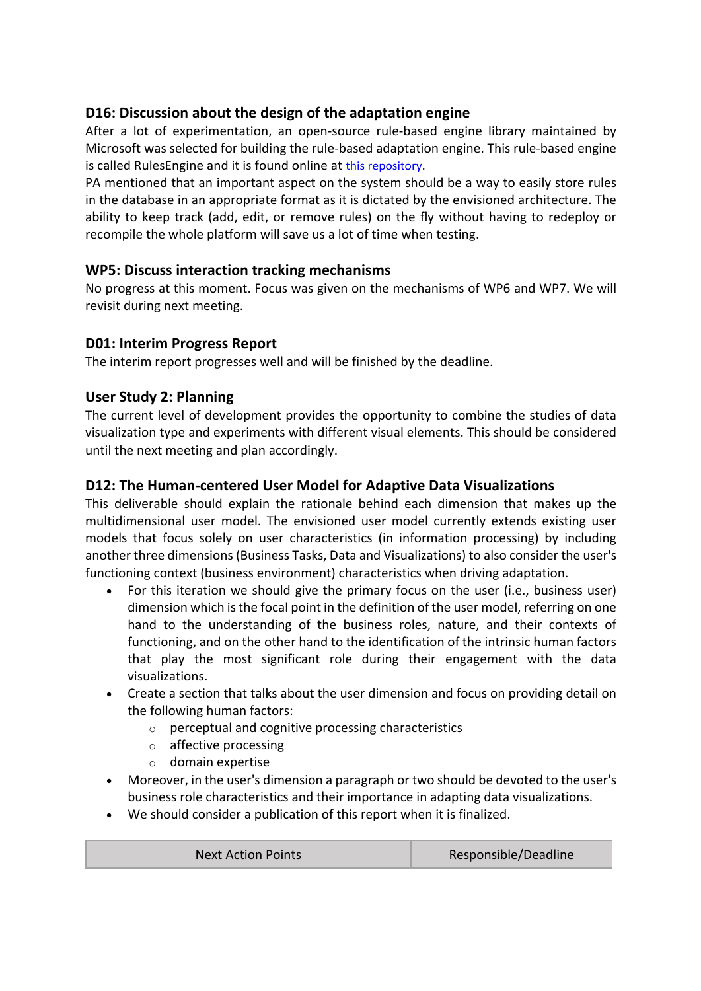#### **D16: Discussion about the design of the adaptation engine**

After a lot of experimentation, an open-source rule-based engine library maintained by Microsoft was selected for building the rule-based adaptation engine. This rule-based engine is called RulesEngine and it is found online at this repository.

PA mentioned that an important aspect on the system should be a way to easily store rules in the database in an appropriate format as it is dictated by the envisioned architecture. The ability to keep track (add, edit, or remove rules) on the fly without having to redeploy or recompile the whole platform will save us a lot of time when testing.

#### **WP5: Discuss interaction tracking mechanisms**

No progress at this moment. Focus was given on the mechanisms of WP6 and WP7. We will revisit during next meeting.

#### **D01: Interim Progress Report**

The interim report progresses well and will be finished by the deadline.

#### **User Study 2: Planning**

The current level of development provides the opportunity to combine the studies of data visualization type and experiments with different visual elements. This should be considered until the next meeting and plan accordingly.

#### **D12: The Human-centered User Model for Adaptive Data Visualizations**

This deliverable should explain the rationale behind each dimension that makes up the multidimensional user model. The envisioned user model currently extends existing user models that focus solely on user characteristics (in information processing) by including another three dimensions (Business Tasks, Data and Visualizations) to also consider the user's functioning context (business environment) characteristics when driving adaptation.

- For this iteration we should give the primary focus on the user (i.e., business user) dimension which is the focal point in the definition of the user model, referring on one hand to the understanding of the business roles, nature, and their contexts of functioning, and on the other hand to the identification of the intrinsic human factors that play the most significant role during their engagement with the data visualizations.
- Create a section that talks about the user dimension and focus on providing detail on the following human factors:
	- o perceptual and cognitive processing characteristics
	- o affective processing
	- o domain expertise
- Moreover, in the user's dimension a paragraph or two should be devoted to the user's business role characteristics and their importance in adapting data visualizations.
- We should consider a publication of this report when it is finalized.

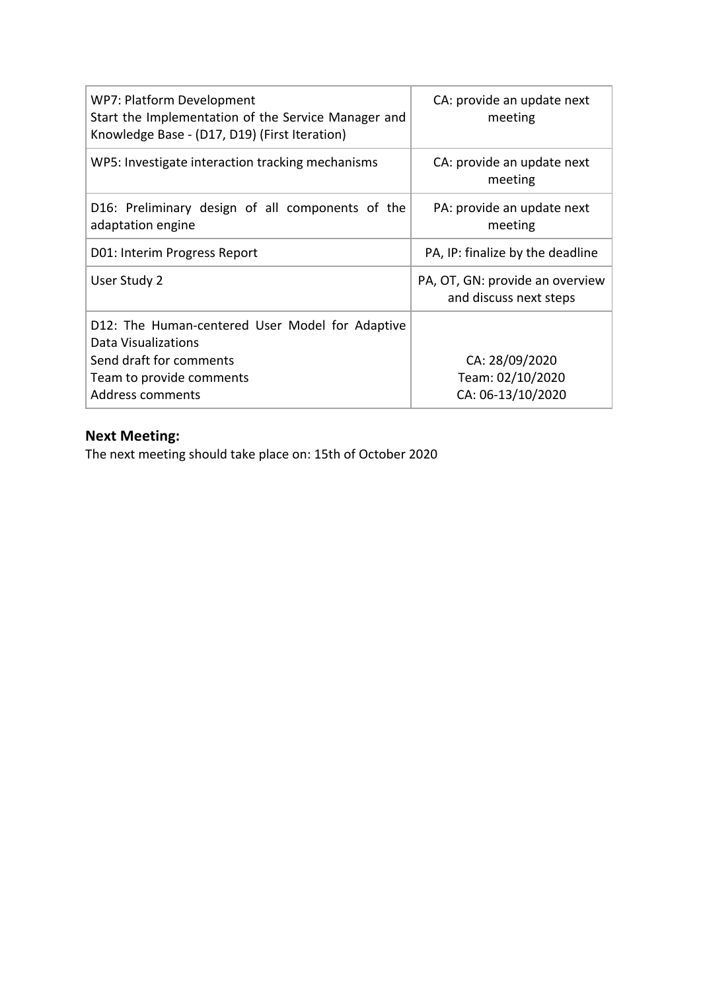| WP7: Platform Development<br>Start the Implementation of the Service Manager and<br>Knowledge Base - (D17, D19) (First Iteration)                 | CA: provide an update next<br>meeting                     |
|---------------------------------------------------------------------------------------------------------------------------------------------------|-----------------------------------------------------------|
| WP5: Investigate interaction tracking mechanisms                                                                                                  | CA: provide an update next<br>meeting                     |
| D16: Preliminary design of all components of the<br>adaptation engine                                                                             | PA: provide an update next<br>meeting                     |
| D01: Interim Progress Report                                                                                                                      | PA, IP: finalize by the deadline                          |
| User Study 2                                                                                                                                      | PA, OT, GN: provide an overview<br>and discuss next steps |
| D12: The Human-centered User Model for Adaptive<br>Data Visualizations<br>Send draft for comments<br>Team to provide comments<br>Address comments | CA: 28/09/2020<br>Team: 02/10/2020<br>CA: 06-13/10/2020   |

## **Next Meeting:**

The next meeting should take place on: 15th of October 2020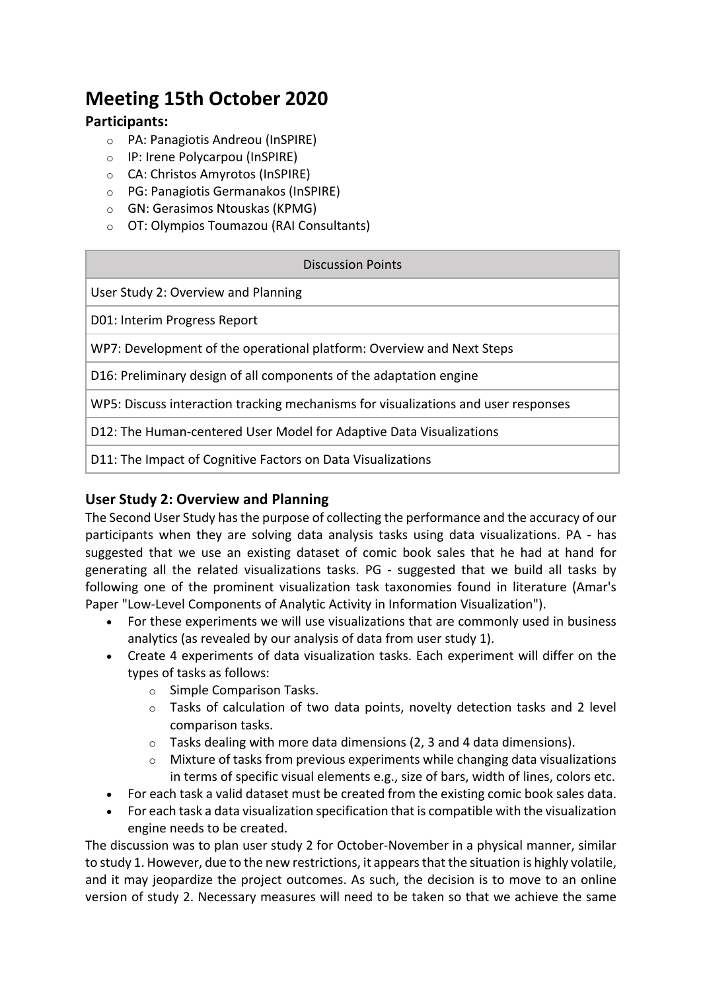## **Meeting 15th October 2020**

#### **Participants:**

- o PA: Panagiotis Andreou (InSPIRE)
- o IP: Irene Polycarpou (InSPIRE)
- o CA: Christos Amyrotos (InSPIRE)
- o PG: Panagiotis Germanakos (InSPIRE)
- o GN: Gerasimos Ntouskas (KPMG)
- o OT: Olympios Toumazou (RAI Consultants)

| <b>Discussion Points</b>                                                           |
|------------------------------------------------------------------------------------|
| User Study 2: Overview and Planning                                                |
| D01: Interim Progress Report                                                       |
| WP7: Development of the operational platform: Overview and Next Steps              |
| D16: Preliminary design of all components of the adaptation engine                 |
| WP5: Discuss interaction tracking mechanisms for visualizations and user responses |
| D12: The Human-centered User Model for Adaptive Data Visualizations                |
| D11: The Impact of Cognitive Factors on Data Visualizations                        |

#### **User Study 2: Overview and Planning**

The Second User Study has the purpose of collecting the performance and the accuracy of our participants when they are solving data analysis tasks using data visualizations. PA - has suggested that we use an existing dataset of comic book sales that he had at hand for generating all the related visualizations tasks. PG - suggested that we build all tasks by following one of the prominent visualization task taxonomies found in literature (Amar's Paper "Low-Level Components of Analytic Activity in Information Visualization").

- For these experiments we will use visualizations that are commonly used in business analytics (as revealed by our analysis of data from user study 1).
- Create 4 experiments of data visualization tasks. Each experiment will differ on the types of tasks as follows:
	- o Simple Comparison Tasks.
	- o Tasks of calculation of two data points, novelty detection tasks and 2 level comparison tasks.
	- o Tasks dealing with more data dimensions (2, 3 and 4 data dimensions).
	- $\circ$  Mixture of tasks from previous experiments while changing data visualizations in terms of specific visual elements e.g., size of bars, width of lines, colors etc.
- For each task a valid dataset must be created from the existing comic book sales data.
- For each task a data visualization specification that is compatible with the visualization engine needs to be created.

The discussion was to plan user study 2 for October-November in a physical manner, similar to study 1. However, due to the new restrictions, it appears that the situation is highly volatile, and it may jeopardize the project outcomes. As such, the decision is to move to an online version of study 2. Necessary measures will need to be taken so that we achieve the same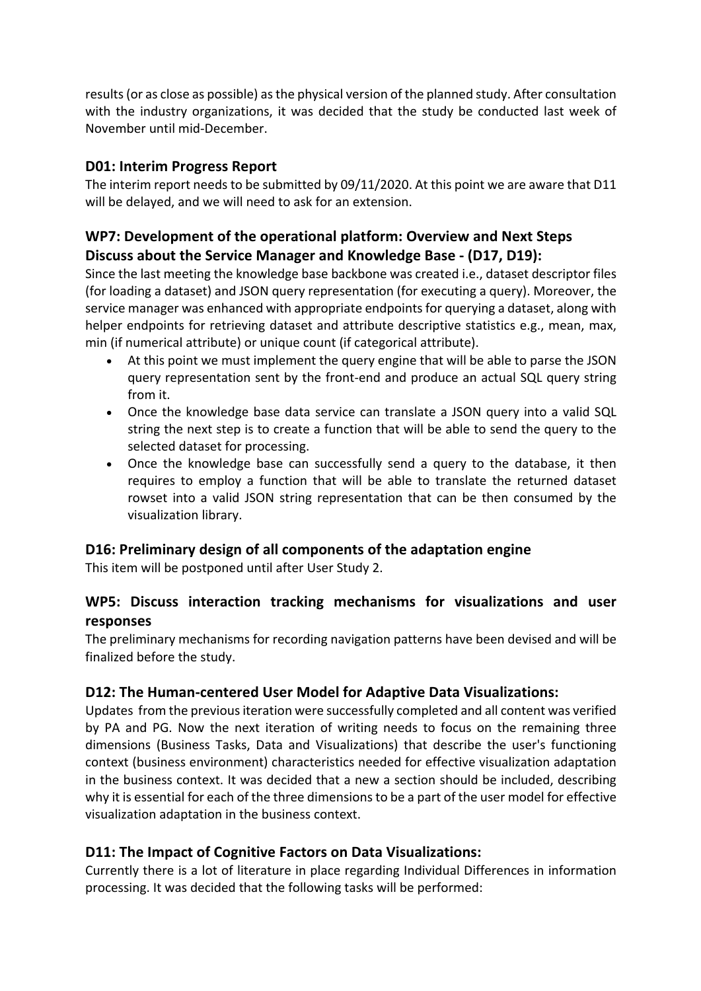results (or as close as possible) as the physical version of the planned study. After consultation with the industry organizations, it was decided that the study be conducted last week of November until mid-December.

#### **D01: Interim Progress Report**

The interim report needs to be submitted by 09/11/2020. At this point we are aware that D11 will be delayed, and we will need to ask for an extension.

#### **WP7: Development of the operational platform: Overview and Next Steps Discuss about the Service Manager and Knowledge Base - (D17, D19):**

Since the last meeting the knowledge base backbone was created i.e., dataset descriptor files (for loading a dataset) and JSON query representation (for executing a query). Moreover, the service manager was enhanced with appropriate endpoints for querying a dataset, along with helper endpoints for retrieving dataset and attribute descriptive statistics e.g., mean, max, min (if numerical attribute) or unique count (if categorical attribute).

- At this point we must implement the query engine that will be able to parse the JSON query representation sent by the front-end and produce an actual SQL query string from it.
- Once the knowledge base data service can translate a JSON query into a valid SQL string the next step is to create a function that will be able to send the query to the selected dataset for processing.
- Once the knowledge base can successfully send a query to the database, it then requires to employ a function that will be able to translate the returned dataset rowset into a valid JSON string representation that can be then consumed by the visualization library.

#### **D16: Preliminary design of all components of the adaptation engine**

This item will be postponed until after User Study 2.

#### **WP5: Discuss interaction tracking mechanisms for visualizations and user responses**

The preliminary mechanisms for recording navigation patterns have been devised and will be finalized before the study.

#### **D12: The Human-centered User Model for Adaptive Data Visualizations:**

Updates from the previous iteration were successfully completed and all content was verified by PA and PG. Now the next iteration of writing needs to focus on the remaining three dimensions (Business Tasks, Data and Visualizations) that describe the user's functioning context (business environment) characteristics needed for effective visualization adaptation in the business context. It was decided that a new a section should be included, describing why it is essential for each of the three dimensions to be a part of the user model for effective visualization adaptation in the business context.

#### **D11: The Impact of Cognitive Factors on Data Visualizations:**

Currently there is a lot of literature in place regarding Individual Differences in information processing. It was decided that the following tasks will be performed: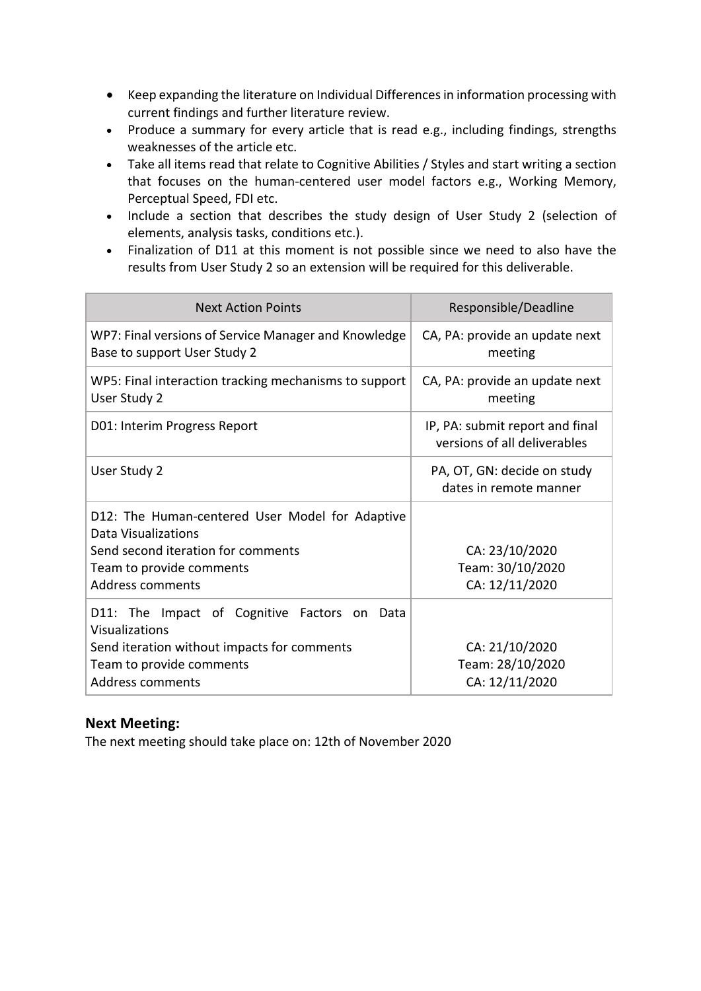- Keep expanding the literature on Individual Differences in information processing with current findings and further literature review.
- Produce a summary for every article that is read e.g., including findings, strengths weaknesses of the article etc.
- Take all items read that relate to Cognitive Abilities / Styles and start writing a section that focuses on the human-centered user model factors e.g., Working Memory, Perceptual Speed, FDI etc.
- Include a section that describes the study design of User Study 2 (selection of elements, analysis tasks, conditions etc.).
- Finalization of D11 at this moment is not possible since we need to also have the results from User Study 2 so an extension will be required for this deliverable.

| <b>Next Action Points</b>                                                                                                                                            | Responsible/Deadline                                            |
|----------------------------------------------------------------------------------------------------------------------------------------------------------------------|-----------------------------------------------------------------|
| WP7: Final versions of Service Manager and Knowledge<br>Base to support User Study 2                                                                                 | CA, PA: provide an update next<br>meeting                       |
| WP5: Final interaction tracking mechanisms to support<br>User Study 2                                                                                                | CA, PA: provide an update next<br>meeting                       |
| D01: Interim Progress Report                                                                                                                                         | IP, PA: submit report and final<br>versions of all deliverables |
| User Study 2                                                                                                                                                         | PA, OT, GN: decide on study<br>dates in remote manner           |
| D12: The Human-centered User Model for Adaptive<br>Data Visualizations<br>Send second iteration for comments<br>Team to provide comments<br><b>Address comments</b>  | CA: 23/10/2020<br>Team: 30/10/2020<br>CA: 12/11/2020            |
| D11: The Impact of Cognitive Factors<br>Data<br>on.<br>Visualizations<br>Send iteration without impacts for comments<br>Team to provide comments<br>Address comments | CA: 21/10/2020<br>Team: 28/10/2020<br>CA: 12/11/2020            |

#### **Next Meeting:**

The next meeting should take place on: 12th of November 2020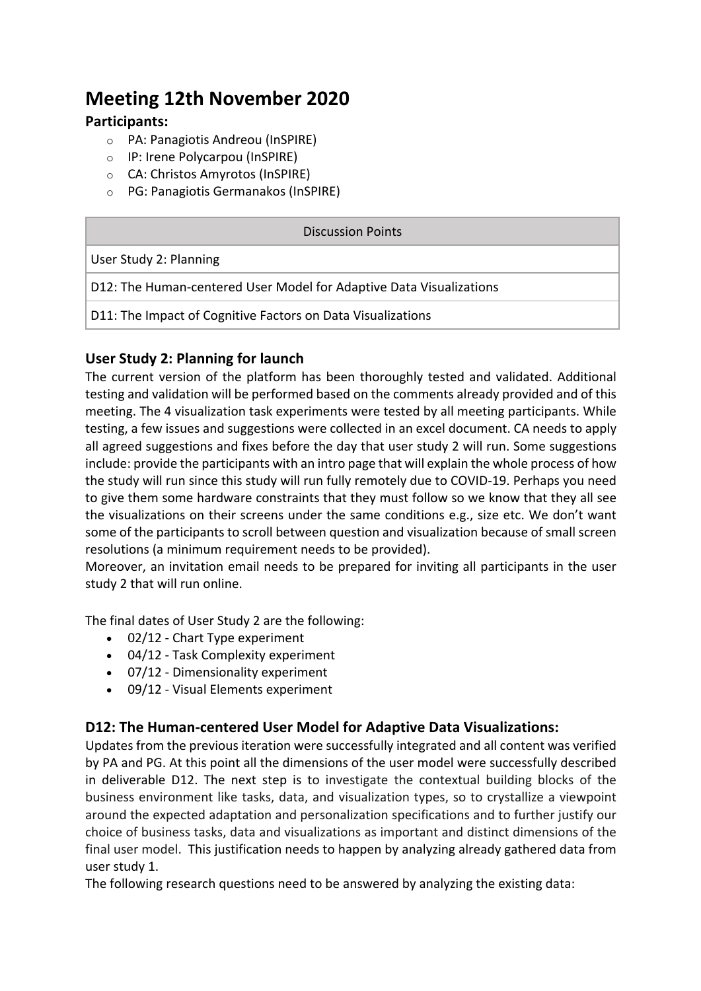## **Meeting 12th November 2020**

#### **Participants:**

- o PA: Panagiotis Andreou (InSPIRE)
- o IP: Irene Polycarpou (InSPIRE)
- o CA: Christos Amyrotos (InSPIRE)
- o PG: Panagiotis Germanakos (InSPIRE)

| Discussion Points                                                   |
|---------------------------------------------------------------------|
| User Study 2: Planning                                              |
| D12: The Human-centered User Model for Adaptive Data Visualizations |
| D11: The Impact of Cognitive Factors on Data Visualizations         |

#### **User Study 2: Planning for launch**

The current version of the platform has been thoroughly tested and validated. Additional testing and validation will be performed based on the comments already provided and of this meeting. The 4 visualization task experiments were tested by all meeting participants. While testing, a few issues and suggestions were collected in an excel document. CA needs to apply all agreed suggestions and fixes before the day that user study 2 will run. Some suggestions include: provide the participants with an intro page that will explain the whole process of how the study will run since this study will run fully remotely due to COVID-19. Perhaps you need to give them some hardware constraints that they must follow so we know that they all see the visualizations on their screens under the same conditions e.g., size etc. We don't want some of the participants to scroll between question and visualization because of small screen resolutions (a minimum requirement needs to be provided).

Moreover, an invitation email needs to be prepared for inviting all participants in the user study 2 that will run online.

The final dates of User Study 2 are the following:

- 02/12 Chart Type experiment
- 04/12 Task Complexity experiment
- 07/12 Dimensionality experiment
- 09/12 Visual Elements experiment

#### **D12: The Human-centered User Model for Adaptive Data Visualizations:**

Updates from the previous iteration were successfully integrated and all content was verified by PA and PG. At this point all the dimensions of the user model were successfully described in deliverable D12. The next step is to investigate the contextual building blocks of the business environment like tasks, data, and visualization types, so to crystallize a viewpoint around the expected adaptation and personalization specifications and to further justify our choice of business tasks, data and visualizations as important and distinct dimensions of the final user model. This justification needs to happen by analyzing already gathered data from user study 1.

The following research questions need to be answered by analyzing the existing data: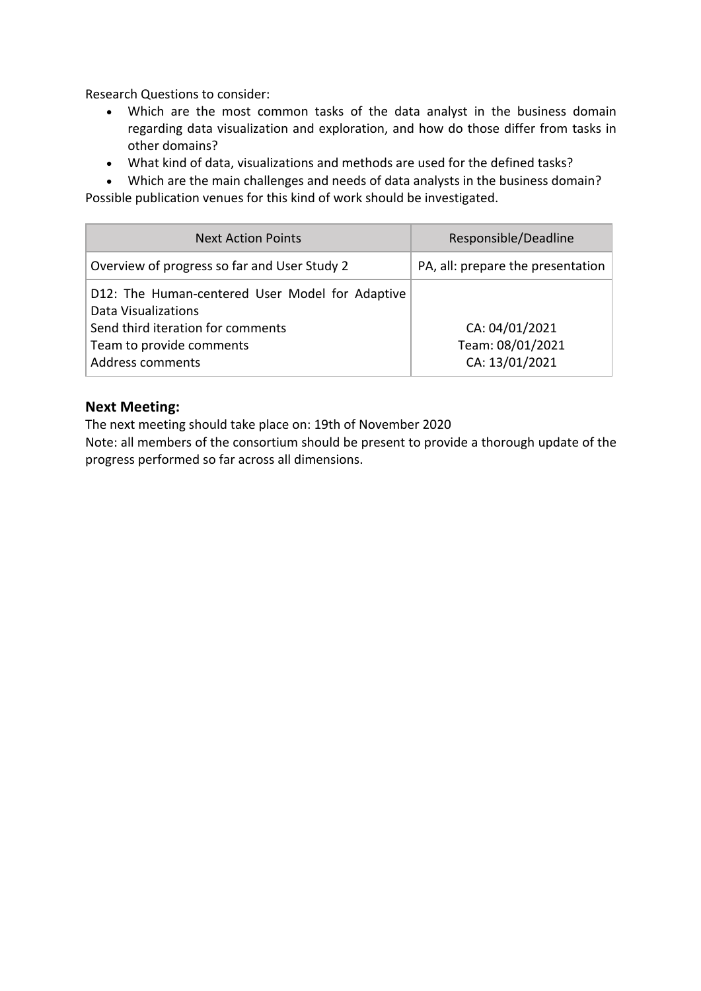Research Questions to consider:

- Which are the most common tasks of the data analyst in the business domain regarding data visualization and exploration, and how do those differ from tasks in other domains?
- What kind of data, visualizations and methods are used for the defined tasks?

• Which are the main challenges and needs of data analysts in the business domain? Possible publication venues for this kind of work should be investigated.

| <b>Next Action Points</b>                                                                                                                                   | Responsible/Deadline                                 |
|-------------------------------------------------------------------------------------------------------------------------------------------------------------|------------------------------------------------------|
| Overview of progress so far and User Study 2                                                                                                                | PA, all: prepare the presentation                    |
| D12: The Human-centered User Model for Adaptive<br>Data Visualizations<br>Send third iteration for comments<br>Team to provide comments<br>Address comments | CA: 04/01/2021<br>Team: 08/01/2021<br>CA: 13/01/2021 |

#### **Next Meeting:**

The next meeting should take place on: 19th of November 2020

Note: all members of the consortium should be present to provide a thorough update of the progress performed so far across all dimensions.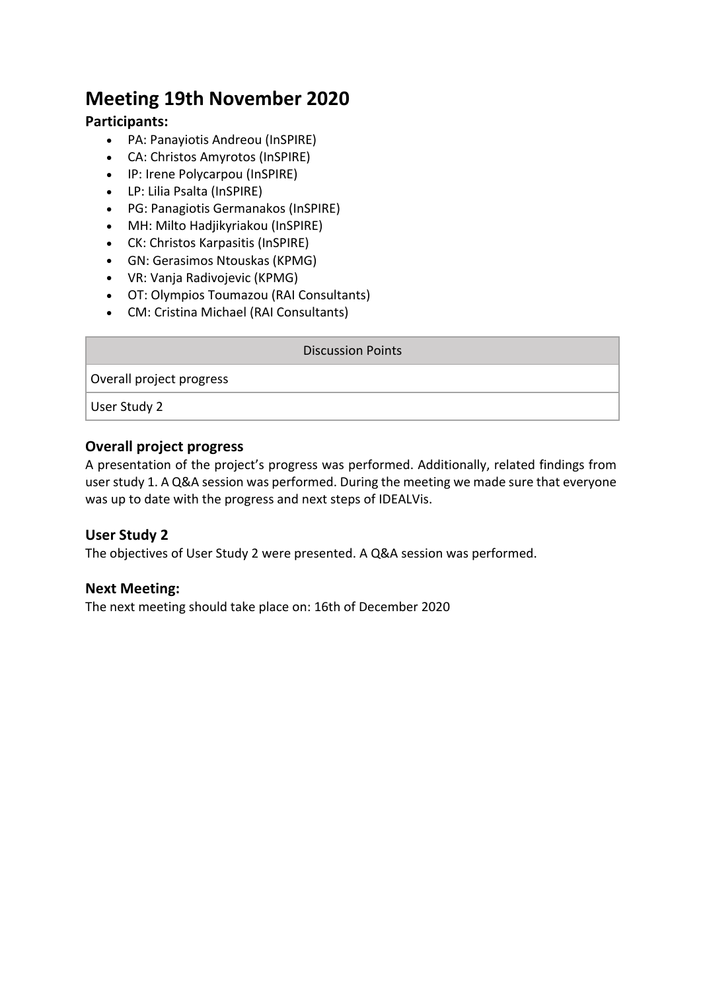## **Meeting 19th November 2020**

#### **Participants:**

- PA: Panayiotis Andreou (InSPIRE)
- CA: Christos Amyrotos (InSPIRE)
- IP: Irene Polycarpou (InSPIRE)
- LP: Lilia Psalta (InSPIRE)
- PG: Panagiotis Germanakos (InSPIRE)
- MH: Milto Hadjikyriakou (InSPIRE)
- CK: Christos Karpasitis (InSPIRE)
- GN: Gerasimos Ntouskas (KPMG)
- VR: Vanja Radivojevic (KPMG)
- OT: Olympios Toumazou (RAI Consultants)
- CM: Cristina Michael (RAI Consultants)

#### Discussion Points

Overall project progress

User Study 2

#### **Overall project progress**

A presentation of the project's progress was performed. Additionally, related findings from user study 1. A Q&A session was performed. During the meeting we made sure that everyone was up to date with the progress and next steps of IDEALVis.

#### **User Study 2**

The objectives of User Study 2 were presented. A Q&A session was performed.

#### **Next Meeting:**

The next meeting should take place on: 16th of December 2020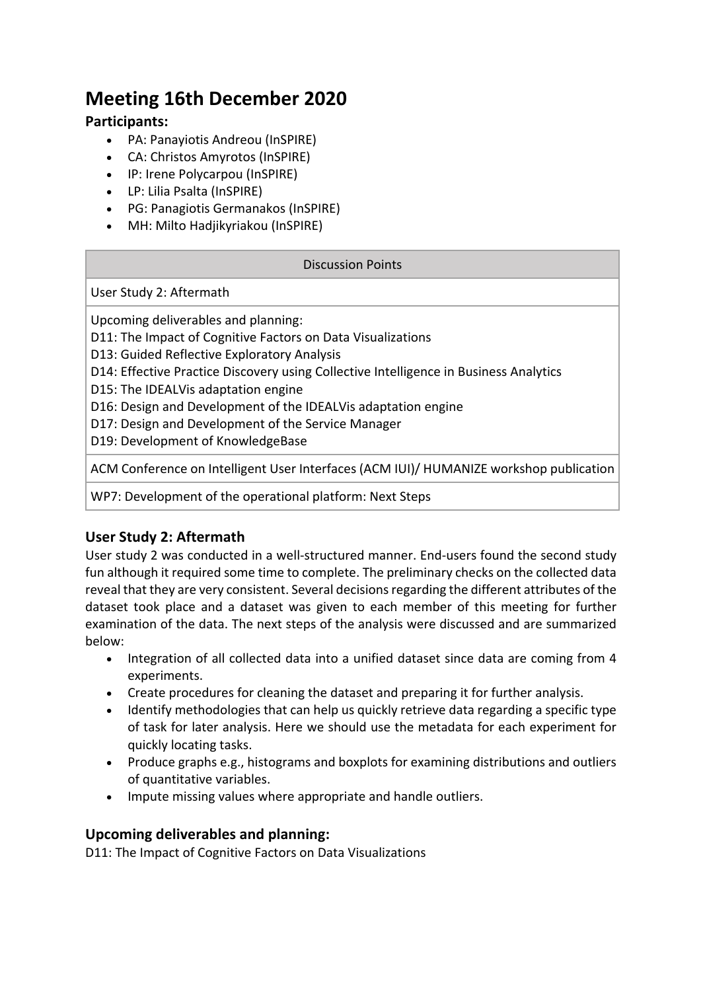## **Meeting 16th December 2020**

#### **Participants:**

- PA: Panayiotis Andreou (InSPIRE)
- CA: Christos Amyrotos (InSPIRE)
- IP: Irene Polycarpou (InSPIRE)
- LP: Lilia Psalta (InSPIRE)
- PG: Panagiotis Germanakos (InSPIRE)
- MH: Milto Hadjikyriakou (InSPIRE)

#### Discussion Points

User Study 2: Aftermath

Upcoming deliverables and planning:

D11: The Impact of Cognitive Factors on Data Visualizations

- D13: Guided Reflective Exploratory Analysis
- D14: Effective Practice Discovery using Collective Intelligence in Business Analytics
- D15: The IDEALVis adaptation engine
- D16: Design and Development of the IDEALVis adaptation engine
- D17: Design and Development of the Service Manager

D19: Development of KnowledgeBase

ACM Conference on Intelligent User Interfaces (ACM IUI)/ HUMANIZE workshop publication

WP7: Development of the operational platform: Next Steps

#### **User Study 2: Aftermath**

User study 2 was conducted in a well-structured manner. End-users found the second study fun although it required some time to complete. The preliminary checks on the collected data reveal that they are very consistent. Several decisions regarding the different attributes of the dataset took place and a dataset was given to each member of this meeting for further examination of the data. The next steps of the analysis were discussed and are summarized below:

- Integration of all collected data into a unified dataset since data are coming from 4 experiments.
- Create procedures for cleaning the dataset and preparing it for further analysis.
- Identify methodologies that can help us quickly retrieve data regarding a specific type of task for later analysis. Here we should use the metadata for each experiment for quickly locating tasks.
- Produce graphs e.g., histograms and boxplots for examining distributions and outliers of quantitative variables.
- Impute missing values where appropriate and handle outliers.

#### **Upcoming deliverables and planning:**

D11: The Impact of Cognitive Factors on Data Visualizations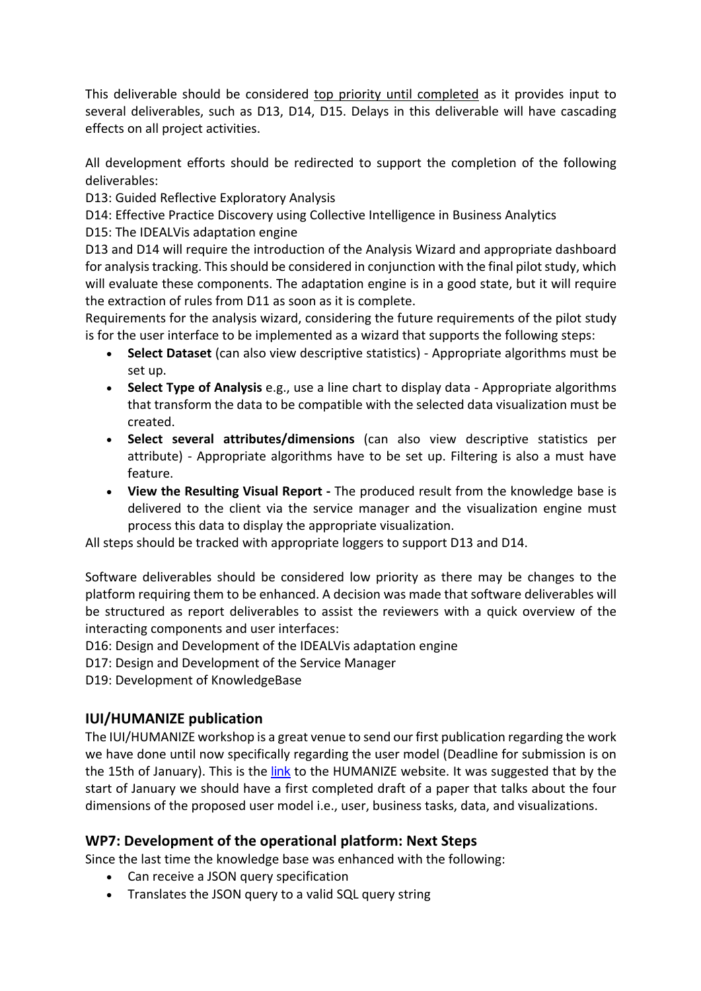This deliverable should be considered top priority until completed as it provides input to several deliverables, such as D13, D14, D15. Delays in this deliverable will have cascading effects on all project activities.

All development efforts should be redirected to support the completion of the following deliverables:

D13: Guided Reflective Exploratory Analysis

D14: Effective Practice Discovery using Collective Intelligence in Business Analytics

D15: The IDEALVis adaptation engine

D13 and D14 will require the introduction of the Analysis Wizard and appropriate dashboard for analysis tracking. This should be considered in conjunction with the final pilot study, which will evaluate these components. The adaptation engine is in a good state, but it will require the extraction of rules from D11 as soon as it is complete.

Requirements for the analysis wizard, considering the future requirements of the pilot study is for the user interface to be implemented as a wizard that supports the following steps:

- **Select Dataset** (can also view descriptive statistics) Appropriate algorithms must be set up.
- **Select Type of Analysis** e.g., use a line chart to display data Appropriate algorithms that transform the data to be compatible with the selected data visualization must be created.
- **Select several attributes/dimensions** (can also view descriptive statistics per attribute) - Appropriate algorithms have to be set up. Filtering is also a must have feature.
- **View the Resulting Visual Report -** The produced result from the knowledge base is delivered to the client via the service manager and the visualization engine must process this data to display the appropriate visualization.

All steps should be tracked with appropriate loggers to support D13 and D14.

Software deliverables should be considered low priority as there may be changes to the platform requiring them to be enhanced. A decision was made that software deliverables will be structured as report deliverables to assist the reviewers with a quick overview of the interacting components and user interfaces:

D16: Design and Development of the IDEALVis adaptation engine

D17: Design and Development of the Service Manager

D19: Development of KnowledgeBase

#### **IUI/HUMANIZE publication**

The IUI/HUMANIZE workshop is a great venue to send our first publication regarding the work we have done until now specifically regarding the user model (Deadline for submission is on the 15th of January). This is the link to the HUMANIZE website. It was suggested that by the start of January we should have a first completed draft of a paper that talks about the four dimensions of the proposed user model i.e., user, business tasks, data, and visualizations.

#### **WP7: Development of the operational platform: Next Steps**

Since the last time the knowledge base was enhanced with the following:

- Can receive a JSON query specification
- Translates the JSON query to a valid SQL query string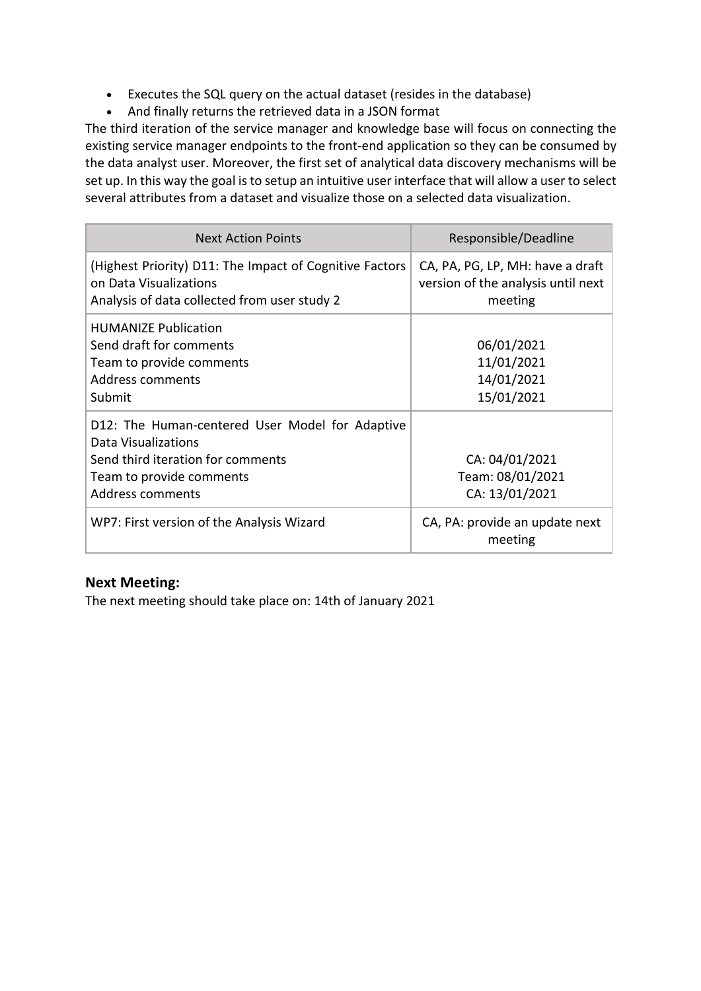- Executes the SQL query on the actual dataset (resides in the database)
- And finally returns the retrieved data in a JSON format

The third iteration of the service manager and knowledge base will focus on connecting the existing service manager endpoints to the front-end application so they can be consumed by the data analyst user. Moreover, the first set of analytical data discovery mechanisms will be set up. In this way the goal is to setup an intuitive user interface that will allow a user to select several attributes from a dataset and visualize those on a selected data visualization.

| <b>Next Action Points</b>                                                                                                                                   | Responsible/Deadline                                                              |
|-------------------------------------------------------------------------------------------------------------------------------------------------------------|-----------------------------------------------------------------------------------|
| (Highest Priority) D11: The Impact of Cognitive Factors<br>on Data Visualizations<br>Analysis of data collected from user study 2                           | CA, PA, PG, LP, MH: have a draft<br>version of the analysis until next<br>meeting |
| <b>HUMANIZE Publication</b><br>Send draft for comments<br>Team to provide comments<br>Address comments<br>Submit                                            | 06/01/2021<br>11/01/2021<br>14/01/2021<br>15/01/2021                              |
| D12: The Human-centered User Model for Adaptive<br>Data Visualizations<br>Send third iteration for comments<br>Team to provide comments<br>Address comments | CA: 04/01/2021<br>Team: 08/01/2021<br>CA: 13/01/2021                              |
| WP7: First version of the Analysis Wizard                                                                                                                   | CA, PA: provide an update next<br>meeting                                         |

#### **Next Meeting:**

The next meeting should take place on: 14th of January 2021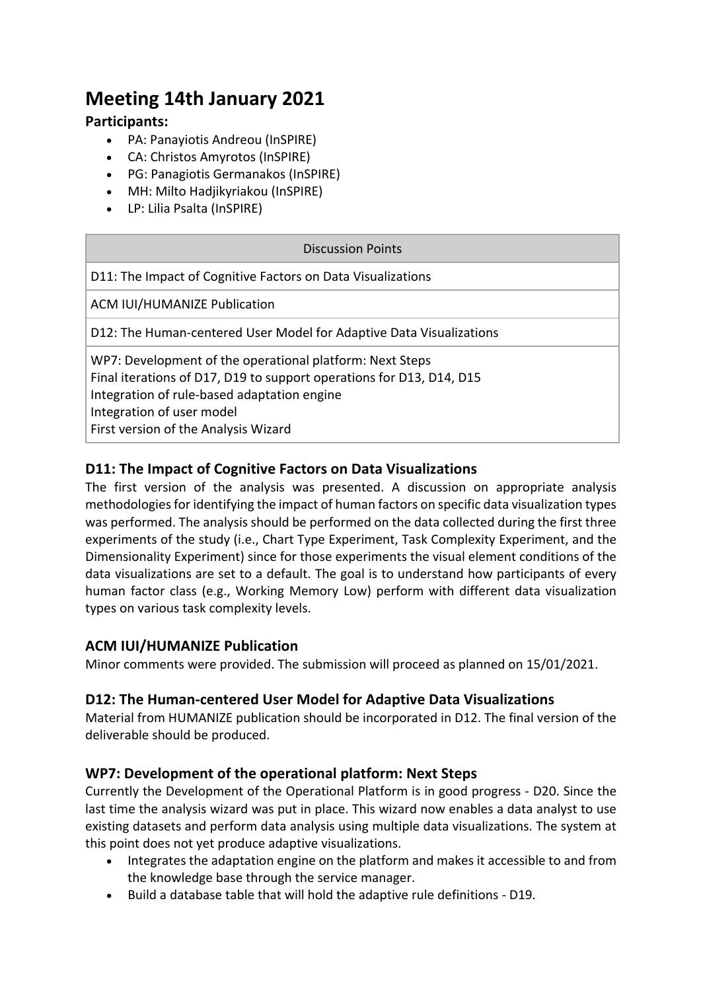## **Meeting 14th January 2021**

#### **Participants:**

- PA: Panayiotis Andreou (InSPIRE)
- CA: Christos Amyrotos (InSPIRE)
- PG: Panagiotis Germanakos (InSPIRE)
- MH: Milto Hadjikyriakou (InSPIRE)
- LP: Lilia Psalta (InSPIRE)

| <b>Discussion Points</b>                                                                                                                                                                                                                             |  |
|------------------------------------------------------------------------------------------------------------------------------------------------------------------------------------------------------------------------------------------------------|--|
| D11: The Impact of Cognitive Factors on Data Visualizations                                                                                                                                                                                          |  |
| <b>ACM IUI/HUMANIZE Publication</b>                                                                                                                                                                                                                  |  |
| D12: The Human-centered User Model for Adaptive Data Visualizations                                                                                                                                                                                  |  |
| WP7: Development of the operational platform: Next Steps<br>Final iterations of D17, D19 to support operations for D13, D14, D15<br>Integration of rule-based adaptation engine<br>Integration of user model<br>First version of the Analysis Wizard |  |

#### **D11: The Impact of Cognitive Factors on Data Visualizations**

The first version of the analysis was presented. A discussion on appropriate analysis methodologies for identifying the impact of human factors on specific data visualization types was performed. The analysis should be performed on the data collected during the first three experiments of the study (i.e., Chart Type Experiment, Task Complexity Experiment, and the Dimensionality Experiment) since for those experiments the visual element conditions of the data visualizations are set to a default. The goal is to understand how participants of every human factor class (e.g., Working Memory Low) perform with different data visualization types on various task complexity levels.

#### **ACM IUI/HUMANIZE Publication**

Minor comments were provided. The submission will proceed as planned on 15/01/2021.

#### **D12: The Human-centered User Model for Adaptive Data Visualizations**

Material from HUMANIZE publication should be incorporated in D12. The final version of the deliverable should be produced.

#### **WP7: Development of the operational platform: Next Steps**

Currently the Development of the Operational Platform is in good progress - D20. Since the last time the analysis wizard was put in place. This wizard now enables a data analyst to use existing datasets and perform data analysis using multiple data visualizations. The system at this point does not yet produce adaptive visualizations.

- Integrates the adaptation engine on the platform and makes it accessible to and from the knowledge base through the service manager.
- Build a database table that will hold the adaptive rule definitions D19.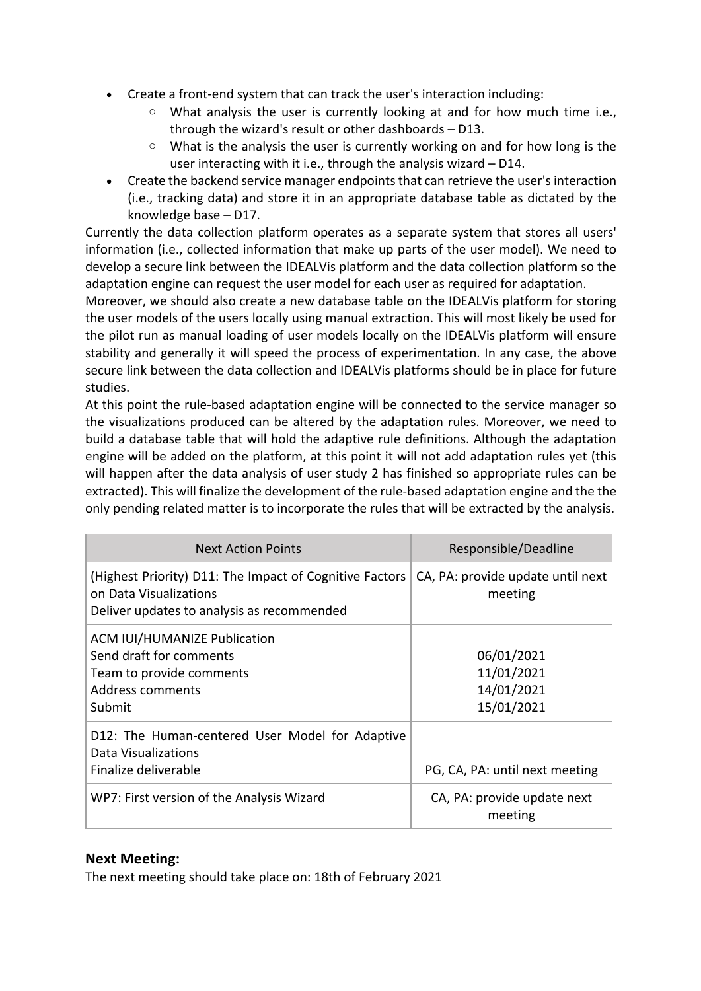- Create a front-end system that can track the user's interaction including:
	- $\circ$  What analysis the user is currently looking at and for how much time i.e., through the wizard's result or other dashboards – D13.
	- $\circ$  What is the analysis the user is currently working on and for how long is the user interacting with it i.e., through the analysis wizard – D14.
- Create the backend service manager endpoints that can retrieve the user's interaction (i.e., tracking data) and store it in an appropriate database table as dictated by the knowledge base – D17.

Currently the data collection platform operates as a separate system that stores all users' information (i.e., collected information that make up parts of the user model). We need to develop a secure link between the IDEALVis platform and the data collection platform so the adaptation engine can request the user model for each user as required for adaptation.

Moreover, we should also create a new database table on the IDEALVis platform for storing the user models of the users locally using manual extraction. This will most likely be used for the pilot run as manual loading of user models locally on the IDEALVis platform will ensure stability and generally it will speed the process of experimentation. In any case, the above secure link between the data collection and IDEALVis platforms should be in place for future studies.

At this point the rule-based adaptation engine will be connected to the service manager so the visualizations produced can be altered by the adaptation rules. Moreover, we need to build a database table that will hold the adaptive rule definitions. Although the adaptation engine will be added on the platform, at this point it will not add adaptation rules yet (this will happen after the data analysis of user study 2 has finished so appropriate rules can be extracted). This will finalize the development of the rule-based adaptation engine and the the only pending related matter is to incorporate the rules that will be extracted by the analysis.

| <b>Next Action Points</b>                                                                                                       | Responsible/Deadline                                 |
|---------------------------------------------------------------------------------------------------------------------------------|------------------------------------------------------|
| (Highest Priority) D11: The Impact of Cognitive Factors<br>on Data Visualizations<br>Deliver updates to analysis as recommended | CA, PA: provide update until next<br>meeting         |
| <b>ACM IUI/HUMANIZE Publication</b><br>Send draft for comments<br>Team to provide comments<br>Address comments<br>Submit        | 06/01/2021<br>11/01/2021<br>14/01/2021<br>15/01/2021 |
| D12: The Human-centered User Model for Adaptive<br>Data Visualizations<br>Finalize deliverable                                  | PG, CA, PA: until next meeting                       |
| WP7: First version of the Analysis Wizard                                                                                       | CA, PA: provide update next<br>meeting               |

#### **Next Meeting:**

The next meeting should take place on: 18th of February 2021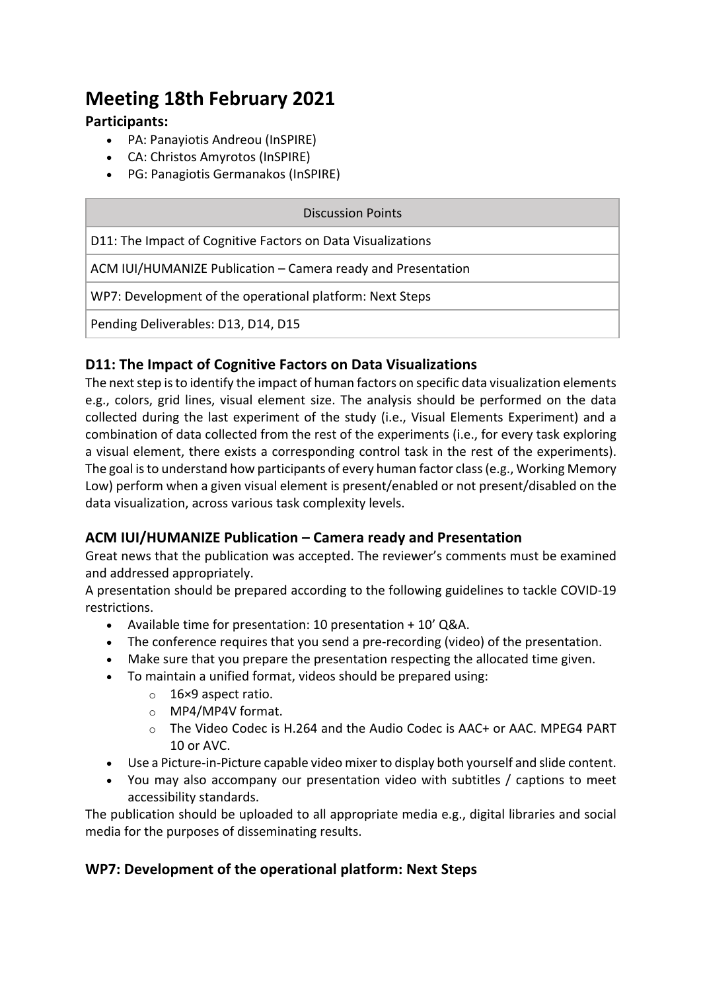## **Meeting 18th February 2021**

#### **Participants:**

- PA: Panayiotis Andreou (InSPIRE)
- CA: Christos Amyrotos (InSPIRE)
- PG: Panagiotis Germanakos (InSPIRE)

| Discussion Points                                            |  |  |
|--------------------------------------------------------------|--|--|
| D11: The Impact of Cognitive Factors on Data Visualizations  |  |  |
| ACM IUI/HUMANIZE Publication - Camera ready and Presentation |  |  |
| WP7: Development of the operational platform: Next Steps     |  |  |
| Pending Deliverables: D13, D14, D15                          |  |  |

#### **D11: The Impact of Cognitive Factors on Data Visualizations**

The next step is to identify the impact of human factors on specific data visualization elements e.g., colors, grid lines, visual element size. The analysis should be performed on the data collected during the last experiment of the study (i.e., Visual Elements Experiment) and a combination of data collected from the rest of the experiments (i.e., for every task exploring a visual element, there exists a corresponding control task in the rest of the experiments). The goal is to understand how participants of every human factor class (e.g., Working Memory Low) perform when a given visual element is present/enabled or not present/disabled on the data visualization, across various task complexity levels.

#### **ACM IUI/HUMANIZE Publication – Camera ready and Presentation**

Great news that the publication was accepted. The reviewer's comments must be examined and addressed appropriately.

A presentation should be prepared according to the following guidelines to tackle COVID-19 restrictions.

- Available time for presentation: 10 presentation + 10' Q&A.
- The conference requires that you send a pre-recording (video) of the presentation.
- Make sure that you prepare the presentation respecting the allocated time given.
- To maintain a unified format, videos should be prepared using:
	- o 16×9 aspect ratio.
	- o MP4/MP4V format.
	- o The Video Codec is H.264 and the Audio Codec is AAC+ or AAC. MPEG4 PART 10 or AVC.
- Use a Picture-in-Picture capable video mixer to display both yourself and slide content.
- You may also accompany our presentation video with subtitles / captions to meet accessibility standards.

The publication should be uploaded to all appropriate media e.g., digital libraries and social media for the purposes of disseminating results.

#### **WP7: Development of the operational platform: Next Steps**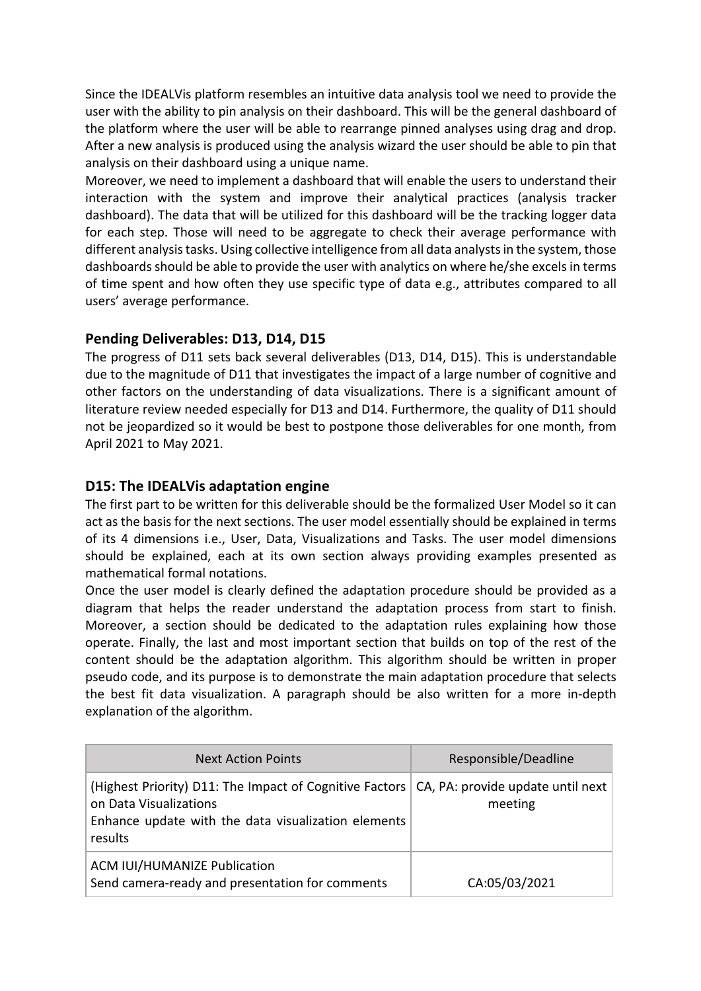Since the IDEALVis platform resembles an intuitive data analysis tool we need to provide the user with the ability to pin analysis on their dashboard. This will be the general dashboard of the platform where the user will be able to rearrange pinned analyses using drag and drop. After a new analysis is produced using the analysis wizard the user should be able to pin that analysis on their dashboard using a unique name.

Moreover, we need to implement a dashboard that will enable the users to understand their interaction with the system and improve their analytical practices (analysis tracker dashboard). The data that will be utilized for this dashboard will be the tracking logger data for each step. Those will need to be aggregate to check their average performance with different analysis tasks. Using collective intelligence from all data analysts in the system, those dashboards should be able to provide the user with analytics on where he/she excels in terms of time spent and how often they use specific type of data e.g., attributes compared to all users' average performance.

#### **Pending Deliverables: D13, D14, D15**

The progress of D11 sets back several deliverables (D13, D14, D15). This is understandable due to the magnitude of D11 that investigates the impact of a large number of cognitive and other factors on the understanding of data visualizations. There is a significant amount of literature review needed especially for D13 and D14. Furthermore, the quality of D11 should not be jeopardized so it would be best to postpone those deliverables for one month, from April 2021 to May 2021.

#### **D15: The IDEALVis adaptation engine**

The first part to be written for this deliverable should be the formalized User Model so it can act as the basis for the next sections. The user model essentially should be explained in terms of its 4 dimensions i.e., User, Data, Visualizations and Tasks. The user model dimensions should be explained, each at its own section always providing examples presented as mathematical formal notations.

Once the user model is clearly defined the adaptation procedure should be provided as a diagram that helps the reader understand the adaptation process from start to finish. Moreover, a section should be dedicated to the adaptation rules explaining how those operate. Finally, the last and most important section that builds on top of the rest of the content should be the adaptation algorithm. This algorithm should be written in proper pseudo code, and its purpose is to demonstrate the main adaptation procedure that selects the best fit data visualization. A paragraph should be also written for a more in-depth explanation of the algorithm.

| <b>Next Action Points</b>                                                                                                                                                                 | Responsible/Deadline |
|-------------------------------------------------------------------------------------------------------------------------------------------------------------------------------------------|----------------------|
| (Highest Priority) D11: The Impact of Cognitive Factors   CA, PA: provide update until next  <br>on Data Visualizations<br>Enhance update with the data visualization elements<br>results | meeting              |
| <b>ACM IUI/HUMANIZE Publication</b><br>Send camera-ready and presentation for comments                                                                                                    | CA:05/03/2021        |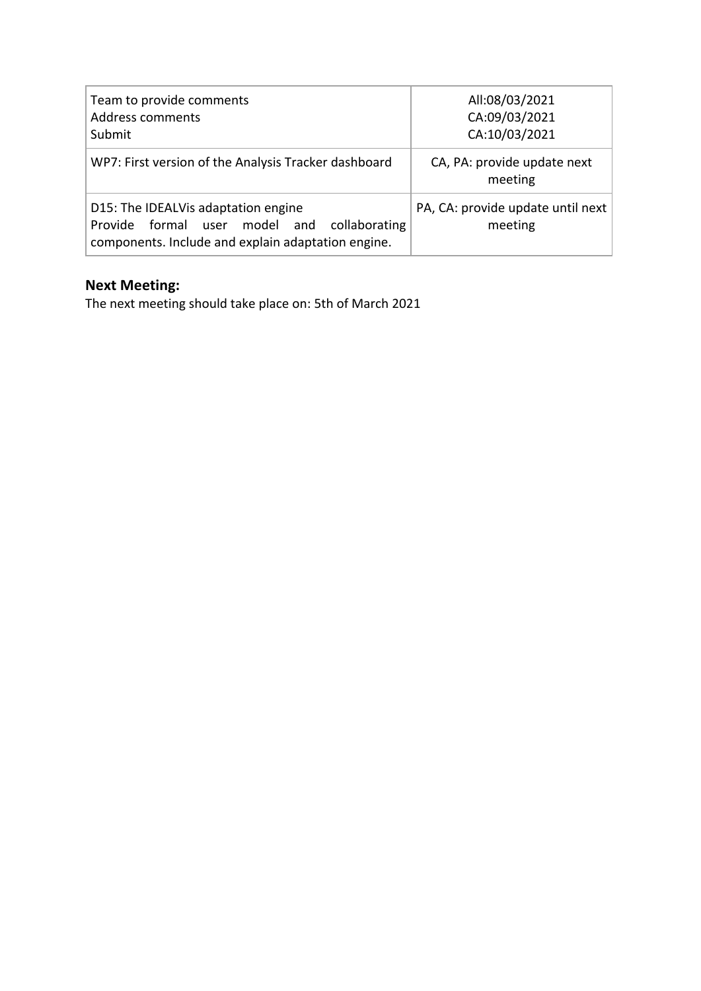| Team to provide comments<br>Address comments<br>Submit                                                                                   | All:08/03/2021<br>CA:09/03/2021<br>CA:10/03/2021 |
|------------------------------------------------------------------------------------------------------------------------------------------|--------------------------------------------------|
| WP7: First version of the Analysis Tracker dashboard                                                                                     | CA, PA: provide update next<br>meeting           |
| D15: The IDEALVis adaptation engine<br>Provide formal user model and collaborating<br>components. Include and explain adaptation engine. | PA, CA: provide update until next<br>meeting     |

## **Next Meeting:**

The next meeting should take place on: 5th of March 2021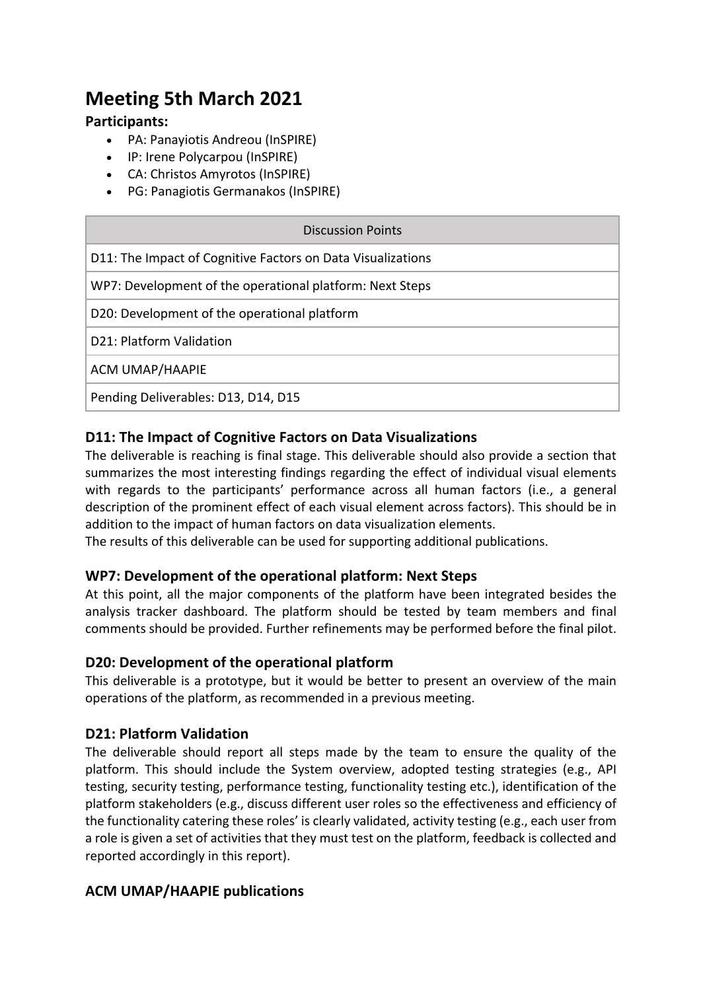## **Meeting 5th March 2021**

#### **Participants:**

- PA: Panayiotis Andreou (InSPIRE)
- IP: Irene Polycarpou (InSPIRE)
- CA: Christos Amyrotos (InSPIRE)
- PG: Panagiotis Germanakos (InSPIRE)

| Discussion Points                                           |
|-------------------------------------------------------------|
| D11: The Impact of Cognitive Factors on Data Visualizations |
| WP7: Development of the operational platform: Next Steps    |
| D20: Development of the operational platform                |
| D21: Platform Validation                                    |
| <b>ACM UMAP/HAAPIE</b>                                      |
| Pending Deliverables: D13, D14, D15                         |

#### **D11: The Impact of Cognitive Factors on Data Visualizations**

The deliverable is reaching is final stage. This deliverable should also provide a section that summarizes the most interesting findings regarding the effect of individual visual elements with regards to the participants' performance across all human factors (i.e., a general description of the prominent effect of each visual element across factors). This should be in addition to the impact of human factors on data visualization elements.

The results of this deliverable can be used for supporting additional publications.

#### **WP7: Development of the operational platform: Next Steps**

At this point, all the major components of the platform have been integrated besides the analysis tracker dashboard. The platform should be tested by team members and final comments should be provided. Further refinements may be performed before the final pilot.

#### **D20: Development of the operational platform**

This deliverable is a prototype, but it would be better to present an overview of the main operations of the platform, as recommended in a previous meeting.

#### **D21: Platform Validation**

The deliverable should report all steps made by the team to ensure the quality of the platform. This should include the System overview, adopted testing strategies (e.g., API testing, security testing, performance testing, functionality testing etc.), identification of the platform stakeholders (e.g., discuss different user roles so the effectiveness and efficiency of the functionality catering these roles' is clearly validated, activity testing (e.g., each user from a role is given a set of activities that they must test on the platform, feedback is collected and reported accordingly in this report).

#### **ACM UMAP/HAAPIE publications**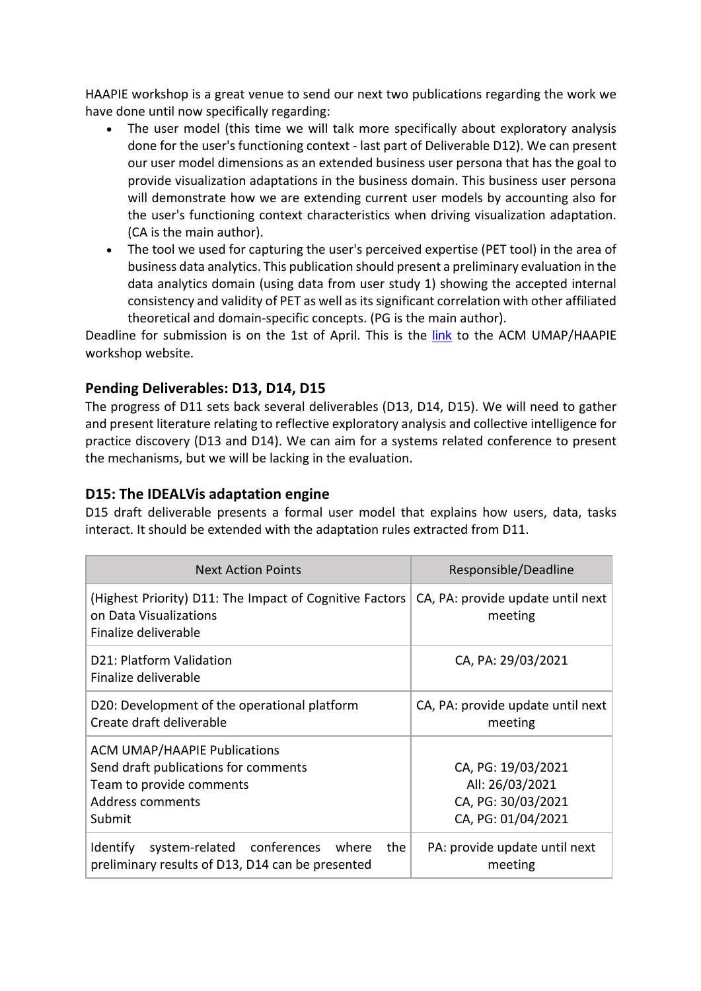HAAPIE workshop is a great venue to send our next two publications regarding the work we have done until now specifically regarding:

- The user model (this time we will talk more specifically about exploratory analysis done for the user's functioning context - last part of Deliverable D12). We can present our user model dimensions as an extended business user persona that has the goal to provide visualization adaptations in the business domain. This business user persona will demonstrate how we are extending current user models by accounting also for the user's functioning context characteristics when driving visualization adaptation. (CA is the main author).
- The tool we used for capturing the user's perceived expertise (PET tool) in the area of business data analytics. This publication should present a preliminary evaluation in the data analytics domain (using data from user study 1) showing the accepted internal consistency and validity of PET as well as its significant correlation with other affiliated theoretical and domain-specific concepts. (PG is the main author).

Deadline for submission is on the 1st of April. This is the link to the ACM UMAP/HAAPIE workshop website.

#### **Pending Deliverables: D13, D14, D15**

The progress of D11 sets back several deliverables (D13, D14, D15). We will need to gather and present literature relating to reflective exploratory analysis and collective intelligence for practice discovery (D13 and D14). We can aim for a systems related conference to present the mechanisms, but we will be lacking in the evaluation.

#### **D15: The IDEALVis adaptation engine**

D15 draft deliverable presents a formal user model that explains how users, data, tasks interact. It should be extended with the adaptation rules extracted from D11.

| <b>Next Action Points</b>                                                                                                             | Responsible/Deadline                                                              |
|---------------------------------------------------------------------------------------------------------------------------------------|-----------------------------------------------------------------------------------|
| (Highest Priority) D11: The Impact of Cognitive Factors<br>on Data Visualizations<br>Finalize deliverable                             | CA, PA: provide update until next<br>meeting                                      |
| D21: Platform Validation<br>Finalize deliverable                                                                                      | CA, PA: 29/03/2021                                                                |
| D20: Development of the operational platform<br>Create draft deliverable                                                              | CA, PA: provide update until next<br>meeting                                      |
| <b>ACM UMAP/HAAPIE Publications</b><br>Send draft publications for comments<br>Team to provide comments<br>Address comments<br>Submit | CA, PG: 19/03/2021<br>All: 26/03/2021<br>CA, PG: 30/03/2021<br>CA, PG: 01/04/2021 |
| Identify system-related conferences<br>where<br>the<br>preliminary results of D13, D14 can be presented                               | PA: provide update until next<br>meeting                                          |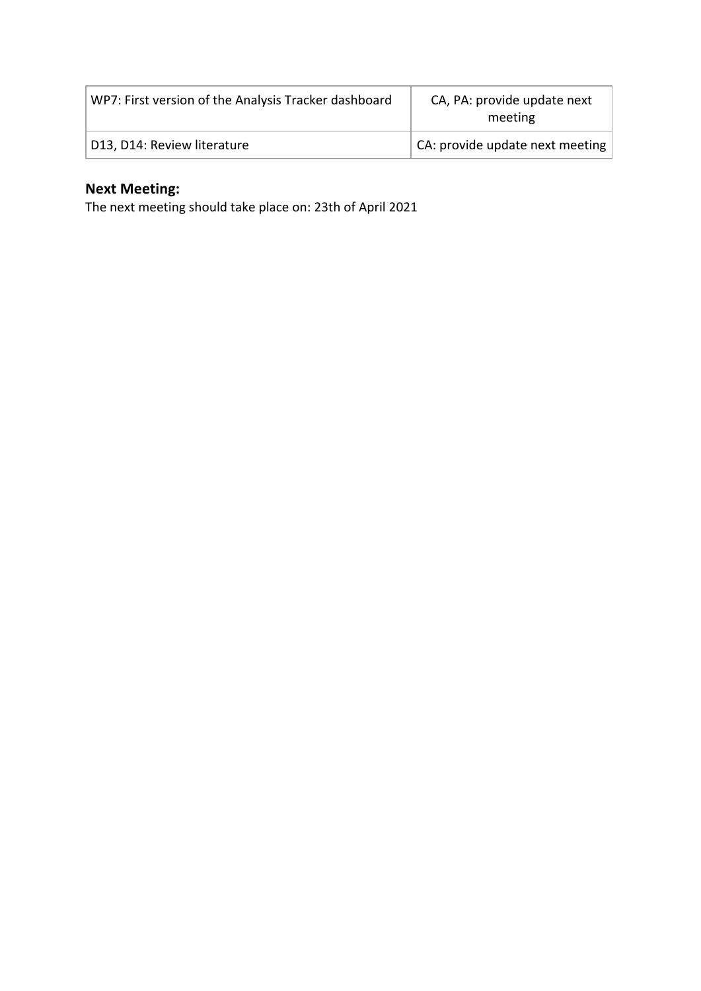| WP7: First version of the Analysis Tracker dashboard | CA, PA: provide update next<br>meeting |
|------------------------------------------------------|----------------------------------------|
| D13, D14: Review literature                          | CA: provide update next meeting        |

## **Next Meeting:**

The next meeting should take place on: 23th of April 2021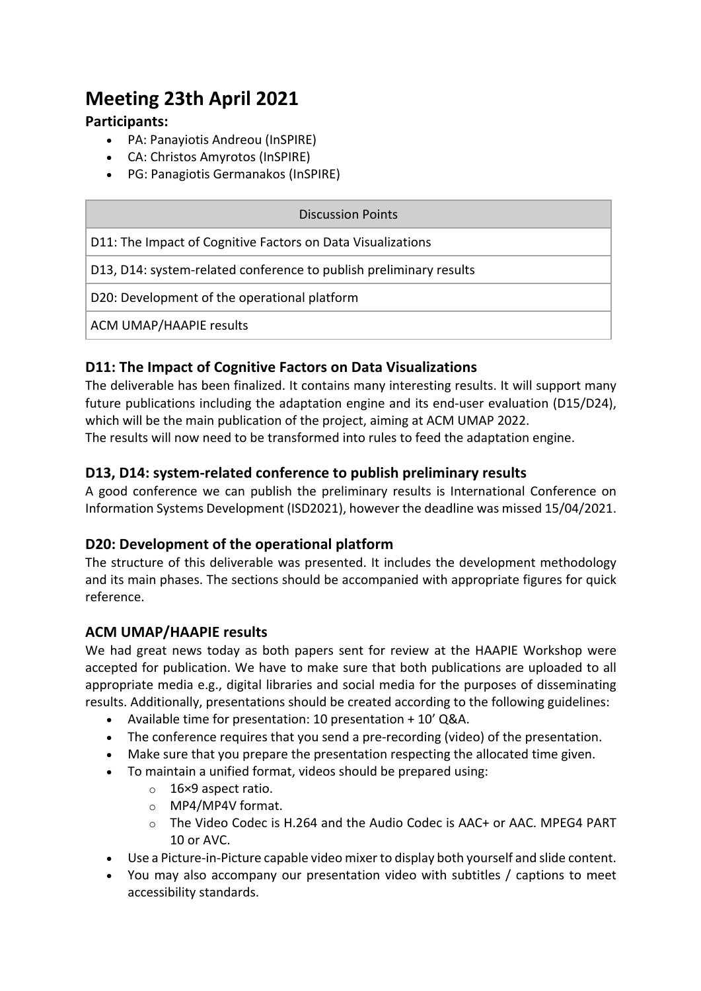## **Meeting 23th April 2021**

#### **Participants:**

- PA: Panayiotis Andreou (InSPIRE)
- CA: Christos Amyrotos (InSPIRE)
- PG: Panagiotis Germanakos (InSPIRE)

| Discussion Points                                                  |  |
|--------------------------------------------------------------------|--|
| D11: The Impact of Cognitive Factors on Data Visualizations        |  |
| D13, D14: system-related conference to publish preliminary results |  |
| D20: Development of the operational platform                       |  |
| <b>ACM UMAP/HAAPIE results</b>                                     |  |
|                                                                    |  |

#### **D11: The Impact of Cognitive Factors on Data Visualizations**

The deliverable has been finalized. It contains many interesting results. It will support many future publications including the adaptation engine and its end-user evaluation (D15/D24), which will be the main publication of the project, aiming at ACM UMAP 2022. The results will now need to be transformed into rules to feed the adaptation engine.

#### **D13, D14: system-related conference to publish preliminary results**

A good conference we can publish the preliminary results is International Conference on Information Systems Development (ISD2021), however the deadline was missed 15/04/2021.

#### **D20: Development of the operational platform**

The structure of this deliverable was presented. It includes the development methodology and its main phases. The sections should be accompanied with appropriate figures for quick reference.

#### **ACM UMAP/HAAPIE results**

We had great news today as both papers sent for review at the HAAPIE Workshop were accepted for publication. We have to make sure that both publications are uploaded to all appropriate media e.g., digital libraries and social media for the purposes of disseminating results. Additionally, presentations should be created according to the following guidelines:

- Available time for presentation: 10 presentation + 10' Q&A.
- The conference requires that you send a pre-recording (video) of the presentation.
- Make sure that you prepare the presentation respecting the allocated time given.
- To maintain a unified format, videos should be prepared using:
	- o 16×9 aspect ratio.
	- o MP4/MP4V format.
	- $\circ$  The Video Codec is H.264 and the Audio Codec is AAC+ or AAC. MPEG4 PART 10 or AVC.
- Use a Picture-in-Picture capable video mixer to display both yourself and slide content.
- You may also accompany our presentation video with subtitles / captions to meet accessibility standards.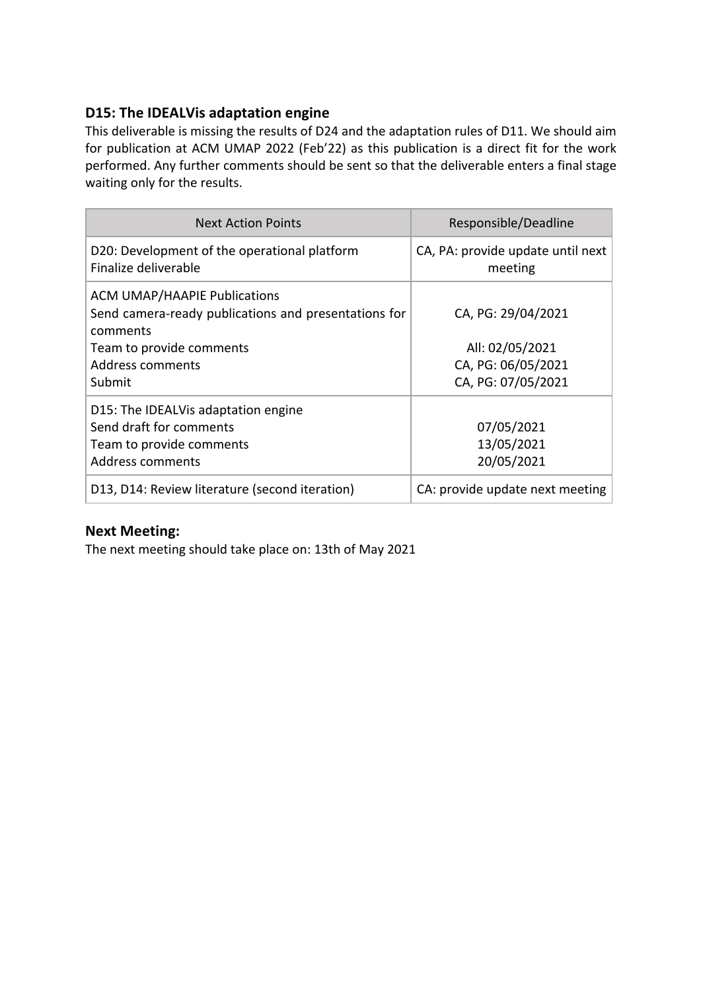#### **D15: The IDEALVis adaptation engine**

This deliverable is missing the results of D24 and the adaptation rules of D11. We should aim for publication at ACM UMAP 2022 (Feb'22) as this publication is a direct fit for the work performed. Any further comments should be sent so that the deliverable enters a final stage waiting only for the results.

| <b>Next Action Points</b>                                                                                                                                                | Responsible/Deadline                                                              |
|--------------------------------------------------------------------------------------------------------------------------------------------------------------------------|-----------------------------------------------------------------------------------|
| D20: Development of the operational platform<br>Finalize deliverable                                                                                                     | CA, PA: provide update until next<br>meeting                                      |
| <b>ACM UMAP/HAAPIE Publications</b><br>Send camera-ready publications and presentations for<br>comments<br>Team to provide comments<br><b>Address comments</b><br>Submit | CA, PG: 29/04/2021<br>All: 02/05/2021<br>CA, PG: 06/05/2021<br>CA, PG: 07/05/2021 |
| D15: The IDEALVis adaptation engine<br>Send draft for comments<br>Team to provide comments<br>Address comments                                                           | 07/05/2021<br>13/05/2021<br>20/05/2021                                            |
| D13, D14: Review literature (second iteration)                                                                                                                           | CA: provide update next meeting                                                   |

#### **Next Meeting:**

The next meeting should take place on: 13th of May 2021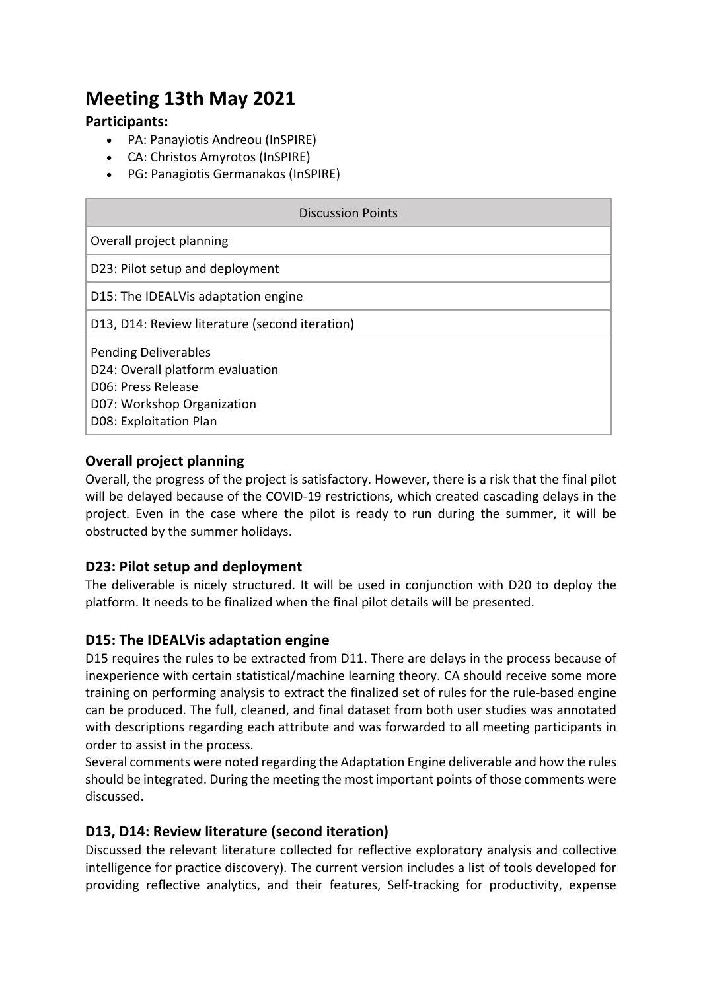## **Meeting 13th May 2021**

#### **Participants:**

- PA: Panayiotis Andreou (InSPIRE)
- CA: Christos Amyrotos (InSPIRE)
- PG: Panagiotis Germanakos (InSPIRE)

| <b>Discussion Points</b>                                                                                                                      |  |
|-----------------------------------------------------------------------------------------------------------------------------------------------|--|
| Overall project planning                                                                                                                      |  |
| D23: Pilot setup and deployment                                                                                                               |  |
| D15: The IDEALVis adaptation engine                                                                                                           |  |
| D13, D14: Review literature (second iteration)                                                                                                |  |
| <b>Pending Deliverables</b><br>D24: Overall platform evaluation<br>D06: Press Release<br>D07: Workshop Organization<br>D08: Exploitation Plan |  |

#### **Overall project planning**

Overall, the progress of the project is satisfactory. However, there is a risk that the final pilot will be delayed because of the COVID-19 restrictions, which created cascading delays in the project. Even in the case where the pilot is ready to run during the summer, it will be obstructed by the summer holidays.

#### **D23: Pilot setup and deployment**

The deliverable is nicely structured. It will be used in conjunction with D20 to deploy the platform. It needs to be finalized when the final pilot details will be presented.

#### **D15: The IDEALVis adaptation engine**

D15 requires the rules to be extracted from D11. There are delays in the process because of inexperience with certain statistical/machine learning theory. CA should receive some more training on performing analysis to extract the finalized set of rules for the rule-based engine can be produced. The full, cleaned, and final dataset from both user studies was annotated with descriptions regarding each attribute and was forwarded to all meeting participants in order to assist in the process.

Several comments were noted regarding the Adaptation Engine deliverable and how the rules should be integrated. During the meeting the most important points of those comments were discussed.

#### **D13, D14: Review literature (second iteration)**

Discussed the relevant literature collected for reflective exploratory analysis and collective intelligence for practice discovery). The current version includes a list of tools developed for providing reflective analytics, and their features, Self-tracking for productivity, expense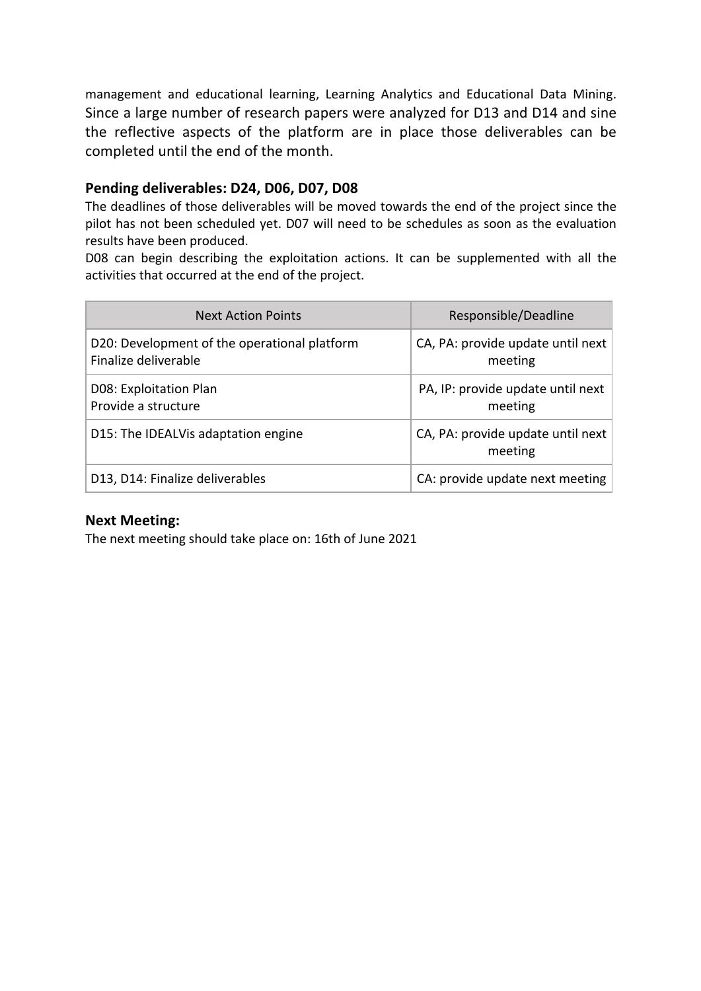management and educational learning, Learning Analytics and Educational Data Mining. Since a large number of research papers were analyzed for D13 and D14 and sine the reflective aspects of the platform are in place those deliverables can be completed until the end of the month.

#### **Pending deliverables: D24, D06, D07, D08**

The deadlines of those deliverables will be moved towards the end of the project since the pilot has not been scheduled yet. D07 will need to be schedules as soon as the evaluation results have been produced.

D08 can begin describing the exploitation actions. It can be supplemented with all the activities that occurred at the end of the project.

| <b>Next Action Points</b>                                            | Responsible/Deadline                           |
|----------------------------------------------------------------------|------------------------------------------------|
| D20: Development of the operational platform<br>Finalize deliverable | CA, PA: provide update until next<br>meeting   |
| D08: Exploitation Plan<br>Provide a structure                        | PA, IP: provide update until next  <br>meeting |
| D15: The IDEALVis adaptation engine                                  | CA, PA: provide update until next<br>meeting   |
| D13, D14: Finalize deliverables                                      | CA: provide update next meeting                |

#### **Next Meeting:**

The next meeting should take place on: 16th of June 2021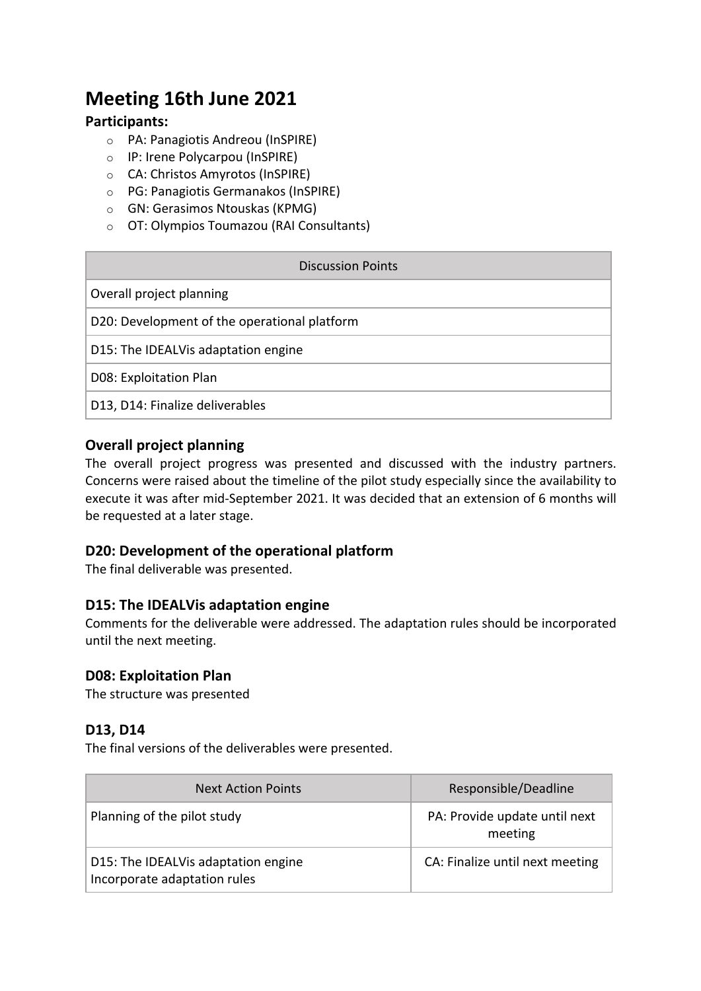## **Meeting 16th June 2021**

#### **Participants:**

- o PA: Panagiotis Andreou (InSPIRE)
- o IP: Irene Polycarpou (InSPIRE)
- o CA: Christos Amyrotos (InSPIRE)
- o PG: Panagiotis Germanakos (InSPIRE)
- o GN: Gerasimos Ntouskas (KPMG)
- o OT: Olympios Toumazou (RAI Consultants)

| Discussion Points                            |
|----------------------------------------------|
| Overall project planning                     |
| D20: Development of the operational platform |
| D15: The IDEALVis adaptation engine          |
| D08: Exploitation Plan                       |
| D13, D14: Finalize deliverables              |

#### **Overall project planning**

The overall project progress was presented and discussed with the industry partners. Concerns were raised about the timeline of the pilot study especially since the availability to execute it was after mid-September 2021. It was decided that an extension of 6 months will be requested at a later stage.

#### **D20: Development of the operational platform**

The final deliverable was presented.

#### **D15: The IDEALVis adaptation engine**

Comments for the deliverable were addressed. The adaptation rules should be incorporated until the next meeting.

#### **D08: Exploitation Plan**

The structure was presented

#### **D13, D14**

The final versions of the deliverables were presented.

| <b>Next Action Points</b>                                           | Responsible/Deadline                     |
|---------------------------------------------------------------------|------------------------------------------|
| Planning of the pilot study                                         | PA: Provide update until next<br>meeting |
| D15: The IDEALVis adaptation engine<br>Incorporate adaptation rules | CA: Finalize until next meeting          |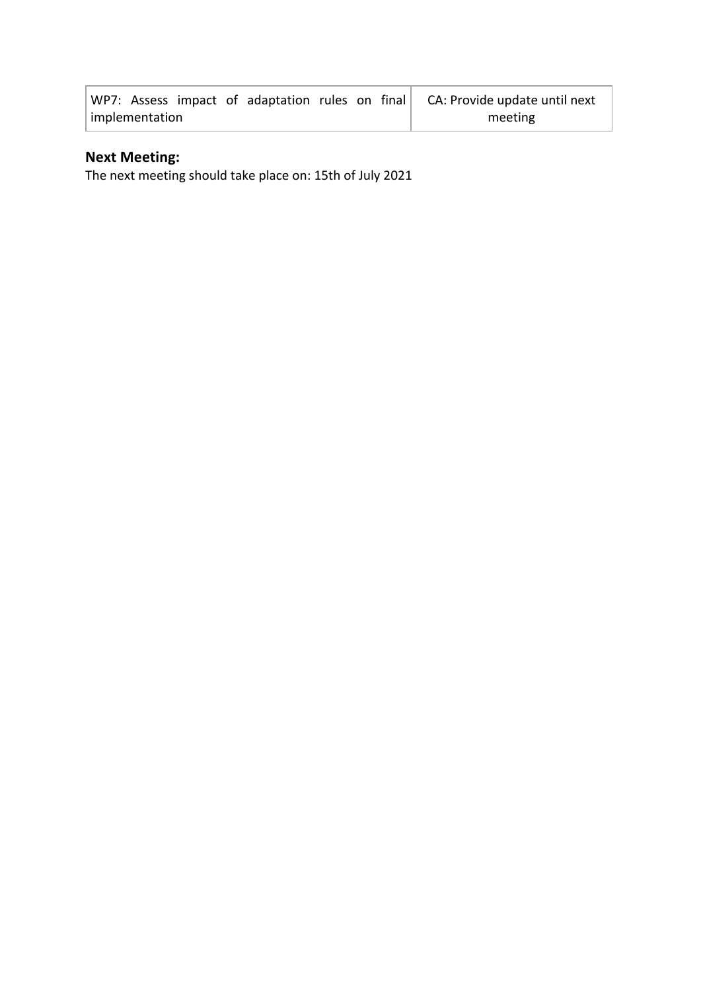|                |  |  |  |  |  |         |  | WP7: Assess impact of adaptation rules on final CA: Provide update until next |
|----------------|--|--|--|--|--|---------|--|-------------------------------------------------------------------------------|
| implementation |  |  |  |  |  | meeting |  |                                                                               |

## **Next Meeting:**

The next meeting should take place on: 15th of July 2021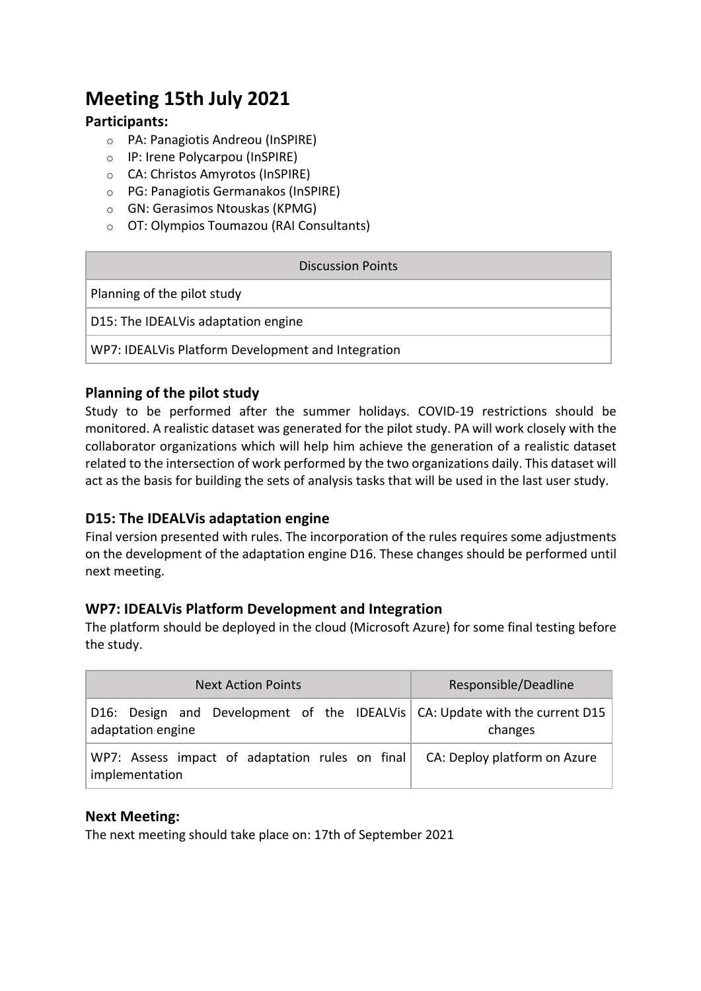## **Meeting 15th July 2021**

#### **Participants:**

- o PA: Panagiotis Andreou (InSPIRE)
- o IP: Irene Polycarpou (InSPIRE)
- o CA: Christos Amyrotos (InSPIRE)
- o PG: Panagiotis Germanakos (InSPIRE)
- o GN: Gerasimos Ntouskas (KPMG)
- o OT: Olympios Toumazou (RAI Consultants)

| Discussion Points                                  |  |  |
|----------------------------------------------------|--|--|
| Planning of the pilot study                        |  |  |
| D15: The IDEALVis adaptation engine                |  |  |
| WP7: IDEALVis Platform Development and Integration |  |  |

#### **Planning of the pilot study**

Study to be performed after the summer holidays. COVID-19 restrictions should be monitored. A realistic dataset was generated for the pilot study. PA will work closely with the collaborator organizations which will help him achieve the generation of a realistic dataset related to the intersection of work performed by the two organizations daily. This dataset will act as the basis for building the sets of analysis tasks that will be used in the last user study.

#### **D15: The IDEALVis adaptation engine**

Final version presented with rules. The incorporation of the rules requires some adjustments on the development of the adaptation engine D16. These changes should be performed until next meeting.

#### **WP7: IDEALVis Platform Development and Integration**

The platform should be deployed in the cloud (Microsoft Azure) for some final testing before the study.

| <b>Next Action Points</b>                                                                        | Responsible/Deadline         |
|--------------------------------------------------------------------------------------------------|------------------------------|
| D16: Design and Development of the IDEALVis CA: Update with the current D15<br>adaptation engine | changes                      |
| WP7: Assess impact of adaptation rules on final<br>implementation                                | CA: Deploy platform on Azure |

#### **Next Meeting:**

The next meeting should take place on: 17th of September 2021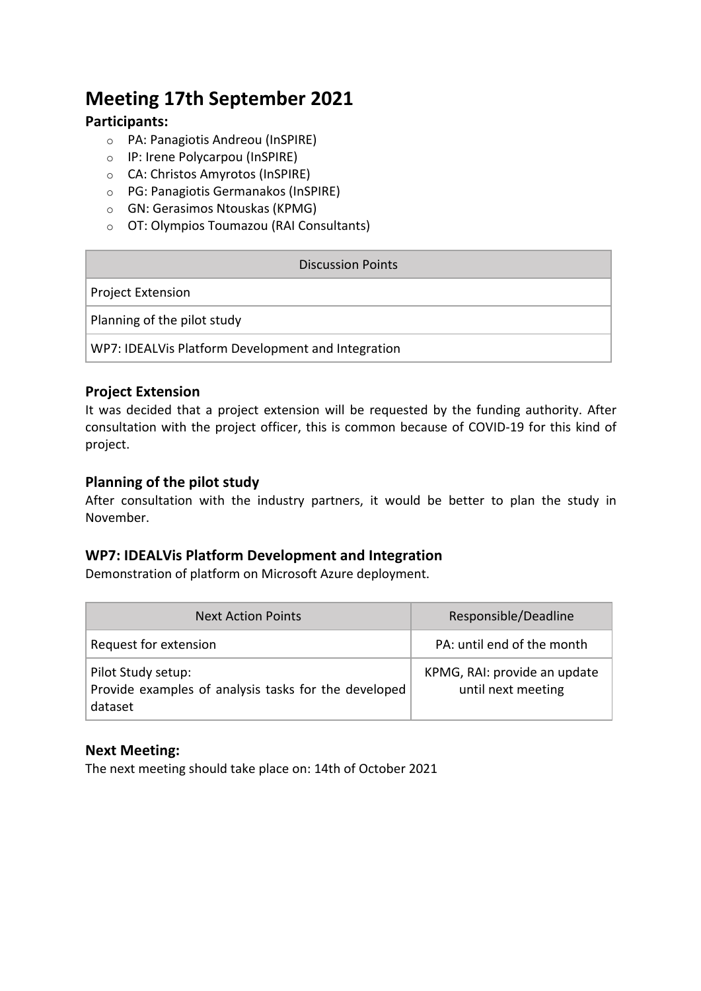## **Meeting 17th September 2021**

#### **Participants:**

- o PA: Panagiotis Andreou (InSPIRE)
- o IP: Irene Polycarpou (InSPIRE)
- o CA: Christos Amyrotos (InSPIRE)
- o PG: Panagiotis Germanakos (InSPIRE)
- o GN: Gerasimos Ntouskas (KPMG)
- o OT: Olympios Toumazou (RAI Consultants)

| Discussion Points                                  |
|----------------------------------------------------|
| <b>Project Extension</b>                           |
| Planning of the pilot study                        |
| WP7: IDEALVis Platform Development and Integration |

#### **Project Extension**

It was decided that a project extension will be requested by the funding authority. After consultation with the project officer, this is common because of COVID-19 for this kind of project.

#### **Planning of the pilot study**

After consultation with the industry partners, it would be better to plan the study in November.

#### **WP7: IDEALVis Platform Development and Integration**

Demonstration of platform on Microsoft Azure deployment.

| <b>Next Action Points</b>                                                             | Responsible/Deadline                               |
|---------------------------------------------------------------------------------------|----------------------------------------------------|
| Request for extension                                                                 | PA: until end of the month                         |
| Pilot Study setup:<br>Provide examples of analysis tasks for the developed<br>dataset | KPMG, RAI: provide an update<br>until next meeting |

#### **Next Meeting:**

The next meeting should take place on: 14th of October 2021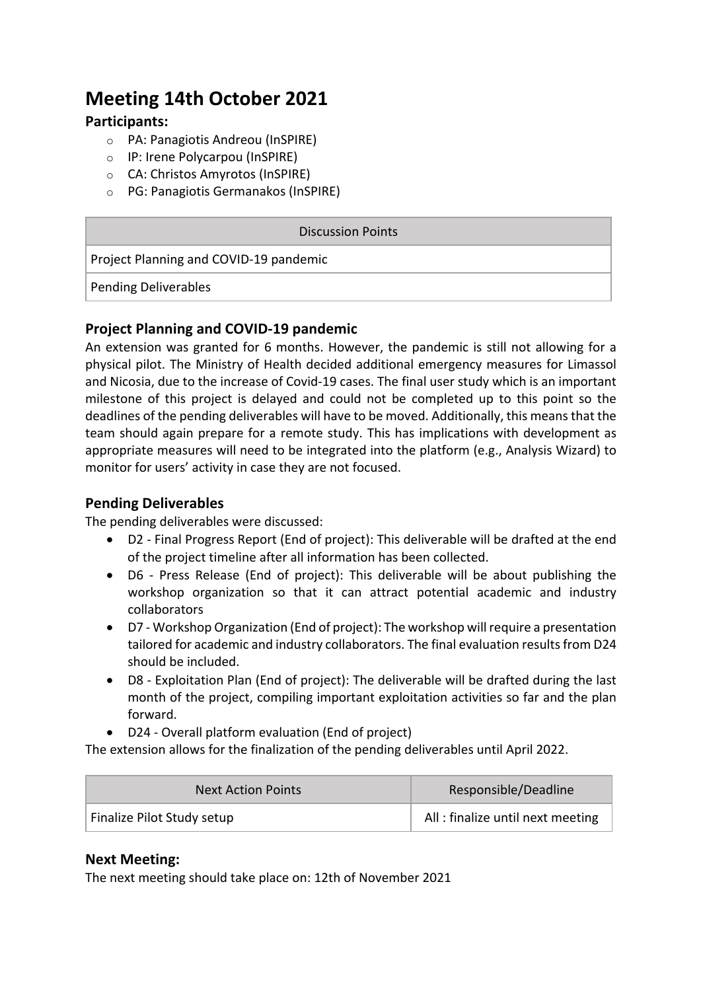## **Meeting 14th October 2021**

#### **Participants:**

- o PA: Panagiotis Andreou (InSPIRE)
- o IP: Irene Polycarpou (InSPIRE)
- o CA: Christos Amyrotos (InSPIRE)
- o PG: Panagiotis Germanakos (InSPIRE)

#### Discussion Points

Project Planning and COVID-19 pandemic

Pending Deliverables

#### **Project Planning and COVID-19 pandemic**

An extension was granted for 6 months. However, the pandemic is still not allowing for a physical pilot. The Ministry of Health decided additional emergency measures for Limassol and Nicosia, due to the increase of Covid-19 cases. The final user study which is an important milestone of this project is delayed and could not be completed up to this point so the deadlines of the pending deliverables will have to be moved. Additionally, this means that the team should again prepare for a remote study. This has implications with development as appropriate measures will need to be integrated into the platform (e.g., Analysis Wizard) to monitor for users' activity in case they are not focused.

#### **Pending Deliverables**

The pending deliverables were discussed:

- D2 Final Progress Report (End of project): This deliverable will be drafted at the end of the project timeline after all information has been collected.
- D6 Press Release (End of project): This deliverable will be about publishing the workshop organization so that it can attract potential academic and industry collaborators
- D7 Workshop Organization (End of project): The workshop will require a presentation tailored for academic and industry collaborators. The final evaluation results from D24 should be included.
- D8 Exploitation Plan (End of project): The deliverable will be drafted during the last month of the project, compiling important exploitation activities so far and the plan forward.
- D24 Overall platform evaluation (End of project)

The extension allows for the finalization of the pending deliverables until April 2022.

| <b>Next Action Points</b>  | Responsible/Deadline             |
|----------------------------|----------------------------------|
| Finalize Pilot Study setup | All: finalize until next meeting |

#### **Next Meeting:**

The next meeting should take place on: 12th of November 2021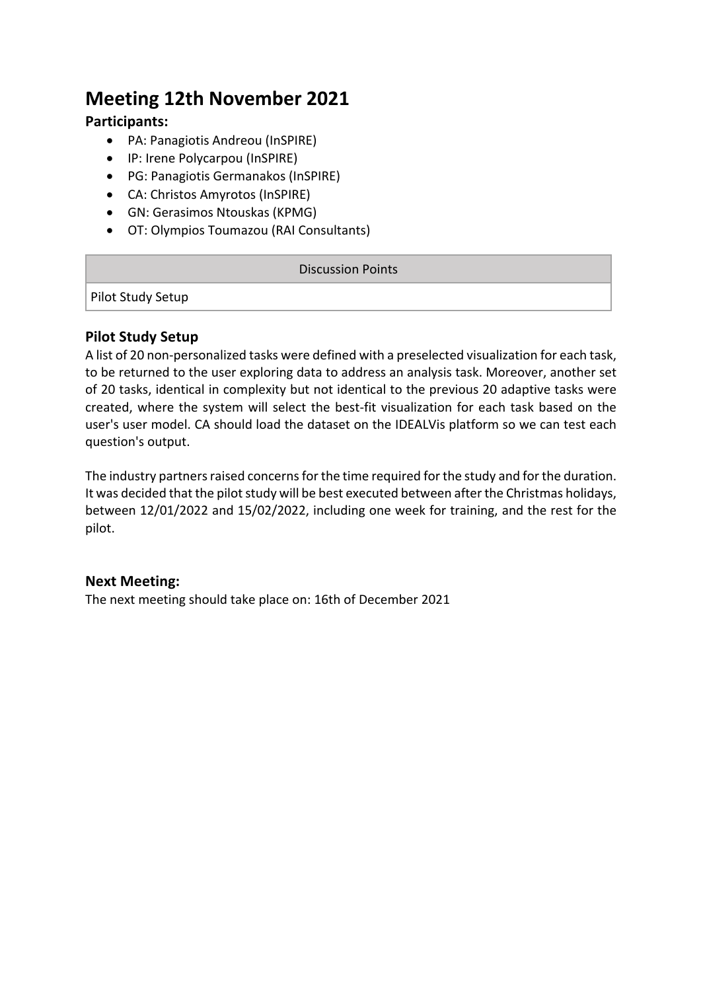## **Meeting 12th November 2021**

#### **Participants:**

- PA: Panagiotis Andreou (InSPIRE)
- IP: Irene Polycarpou (InSPIRE)
- PG: Panagiotis Germanakos (InSPIRE)
- CA: Christos Amyrotos (InSPIRE)
- GN: Gerasimos Ntouskas (KPMG)
- OT: Olympios Toumazou (RAI Consultants)

#### Discussion Points

Pilot Study Setup

#### **Pilot Study Setup**

A list of 20 non-personalized tasks were defined with a preselected visualization for each task, to be returned to the user exploring data to address an analysis task. Moreover, another set of 20 tasks, identical in complexity but not identical to the previous 20 adaptive tasks were created, where the system will select the best-fit visualization for each task based on the user's user model. CA should load the dataset on the IDEALVis platform so we can test each question's output.

The industry partners raised concerns for the time required for the study and for the duration. It was decided that the pilot study will be best executed between after the Christmas holidays, between 12/01/2022 and 15/02/2022, including one week for training, and the rest for the pilot.

#### **Next Meeting:**

The next meeting should take place on: 16th of December 2021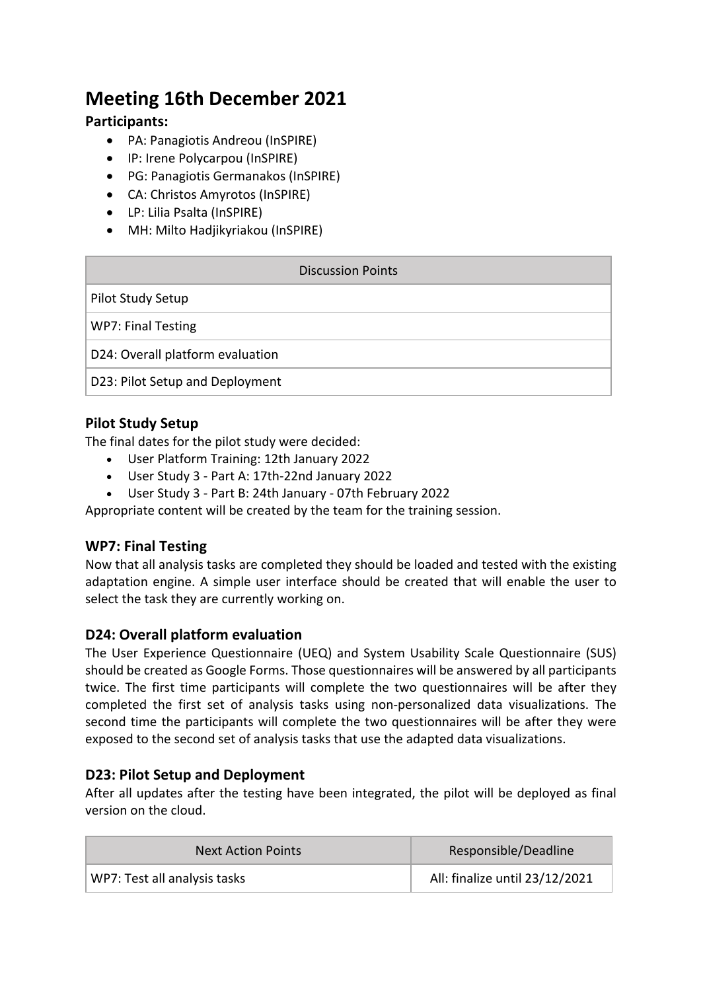## **Meeting 16th December 2021**

#### **Participants:**

- PA: Panagiotis Andreou (InSPIRE)
- IP: Irene Polycarpou (InSPIRE)
- PG: Panagiotis Germanakos (InSPIRE)
- CA: Christos Amyrotos (InSPIRE)
- LP: Lilia Psalta (InSPIRE)
- MH: Milto Hadjikyriakou (InSPIRE)

| Discussion Points                |
|----------------------------------|
| Pilot Study Setup                |
| <b>WP7: Final Testing</b>        |
| D24: Overall platform evaluation |
| D23: Pilot Setup and Deployment  |

#### **Pilot Study Setup**

The final dates for the pilot study were decided:

- User Platform Training: 12th January 2022
- User Study 3 Part A: 17th-22nd January 2022
- User Study 3 Part B: 24th January 07th February 2022

Appropriate content will be created by the team for the training session.

#### **WP7: Final Testing**

Now that all analysis tasks are completed they should be loaded and tested with the existing adaptation engine. A simple user interface should be created that will enable the user to select the task they are currently working on.

#### **D24: Overall platform evaluation**

The User Experience Questionnaire (UEQ) and System Usability Scale Questionnaire (SUS) should be created as Google Forms. Those questionnaires will be answered by all participants twice. The first time participants will complete the two questionnaires will be after they completed the first set of analysis tasks using non-personalized data visualizations. The second time the participants will complete the two questionnaires will be after they were exposed to the second set of analysis tasks that use the adapted data visualizations.

#### **D23: Pilot Setup and Deployment**

After all updates after the testing have been integrated, the pilot will be deployed as final version on the cloud.

| <b>Next Action Points</b>    | Responsible/Deadline           |
|------------------------------|--------------------------------|
| WP7: Test all analysis tasks | All: finalize until 23/12/2021 |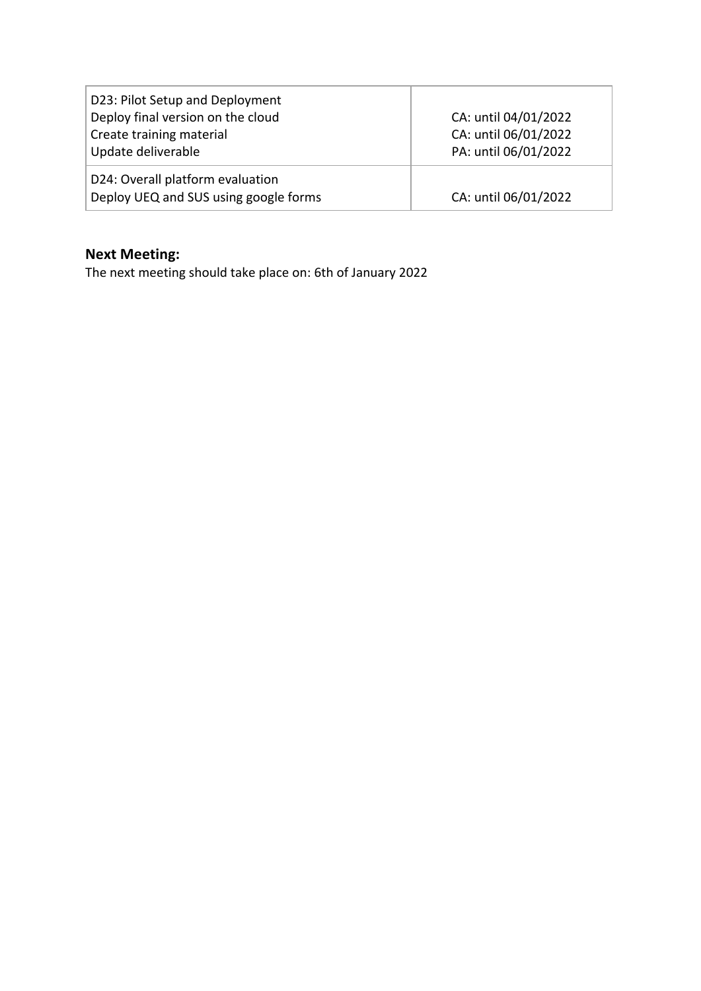| D23: Pilot Setup and Deployment<br>Deploy final version on the cloud<br>Create training material<br>Update deliverable | CA: until 04/01/2022<br>CA: until 06/01/2022<br>PA: until 06/01/2022 |
|------------------------------------------------------------------------------------------------------------------------|----------------------------------------------------------------------|
| D24: Overall platform evaluation<br>Deploy UEQ and SUS using google forms                                              | CA: until 06/01/2022                                                 |

## **Next Meeting:**

The next meeting should take place on: 6th of January 2022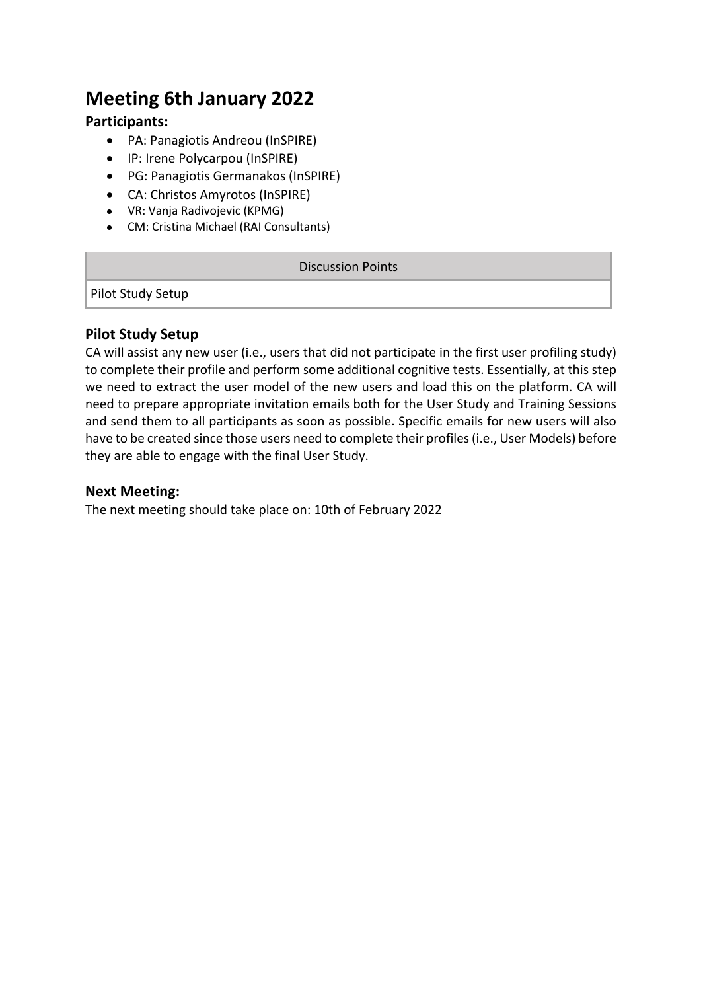## **Meeting 6th January 2022**

#### **Participants:**

- PA: Panagiotis Andreou (InSPIRE)
- IP: Irene Polycarpou (InSPIRE)
- PG: Panagiotis Germanakos (InSPIRE)
- CA: Christos Amyrotos (InSPIRE)
- VR: Vanja Radivojevic (KPMG)
- CM: Cristina Michael (RAI Consultants)

#### Discussion Points

Pilot Study Setup

#### **Pilot Study Setup**

CA will assist any new user (i.e., users that did not participate in the first user profiling study) to complete their profile and perform some additional cognitive tests. Essentially, at this step we need to extract the user model of the new users and load this on the platform. CA will need to prepare appropriate invitation emails both for the User Study and Training Sessions and send them to all participants as soon as possible. Specific emails for new users will also have to be created since those users need to complete their profiles (i.e., User Models) before they are able to engage with the final User Study.

#### **Next Meeting:**

The next meeting should take place on: 10th of February 2022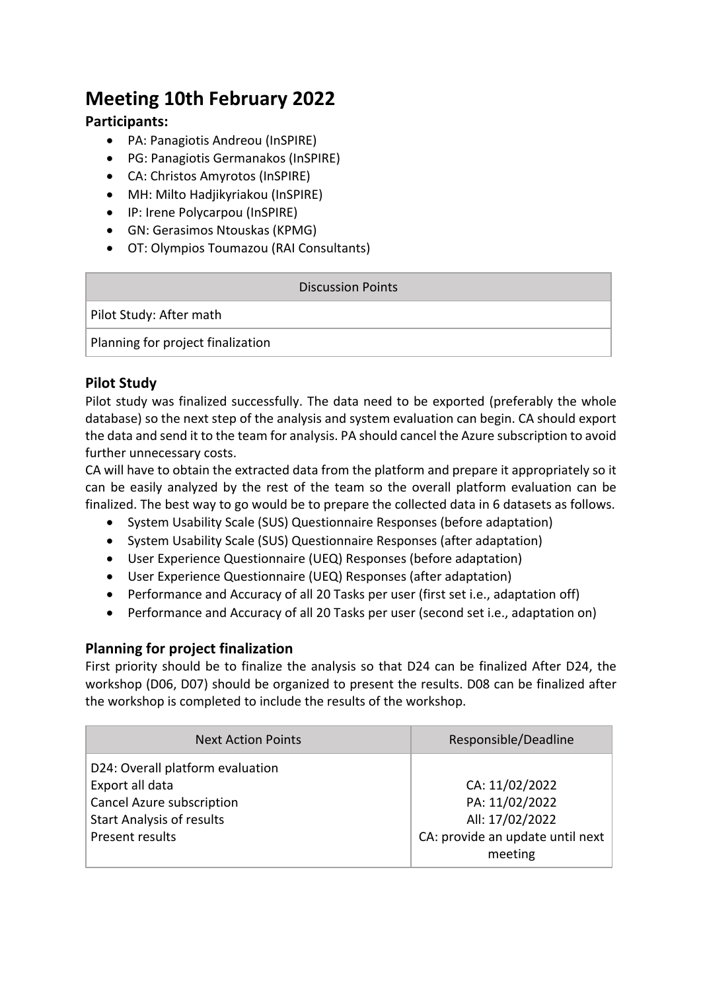## **Meeting 10th February 2022**

#### **Participants:**

- PA: Panagiotis Andreou (InSPIRE)
- PG: Panagiotis Germanakos (InSPIRE)
- CA: Christos Amyrotos (InSPIRE)
- MH: Milto Hadjikyriakou (InSPIRE)
- IP: Irene Polycarpou (InSPIRE)
- GN: Gerasimos Ntouskas (KPMG)
- OT: Olympios Toumazou (RAI Consultants)

#### Discussion Points

Pilot Study: After math

Planning for project finalization

#### **Pilot Study**

Pilot study was finalized successfully. The data need to be exported (preferably the whole database) so the next step of the analysis and system evaluation can begin. CA should export the data and send it to the team for analysis. PA should cancel the Azure subscription to avoid further unnecessary costs.

CA will have to obtain the extracted data from the platform and prepare it appropriately so it can be easily analyzed by the rest of the team so the overall platform evaluation can be finalized. The best way to go would be to prepare the collected data in 6 datasets as follows.

- System Usability Scale (SUS) Questionnaire Responses (before adaptation)
- System Usability Scale (SUS) Questionnaire Responses (after adaptation)
- User Experience Questionnaire (UEQ) Responses (before adaptation)
- User Experience Questionnaire (UEQ) Responses (after adaptation)
- Performance and Accuracy of all 20 Tasks per user (first set i.e., adaptation off)
- Performance and Accuracy of all 20 Tasks per user (second set i.e., adaptation on)

#### **Planning for project finalization**

First priority should be to finalize the analysis so that D24 can be finalized After D24, the workshop (D06, D07) should be organized to present the results. D08 can be finalized after the workshop is completed to include the results of the workshop.

| <b>Next Action Points</b>        | Responsible/Deadline             |
|----------------------------------|----------------------------------|
| D24: Overall platform evaluation |                                  |
| Export all data                  | CA: 11/02/2022                   |
| Cancel Azure subscription        | PA: 11/02/2022                   |
| <b>Start Analysis of results</b> | All: 17/02/2022                  |
| Present results                  | CA: provide an update until next |
|                                  | meeting                          |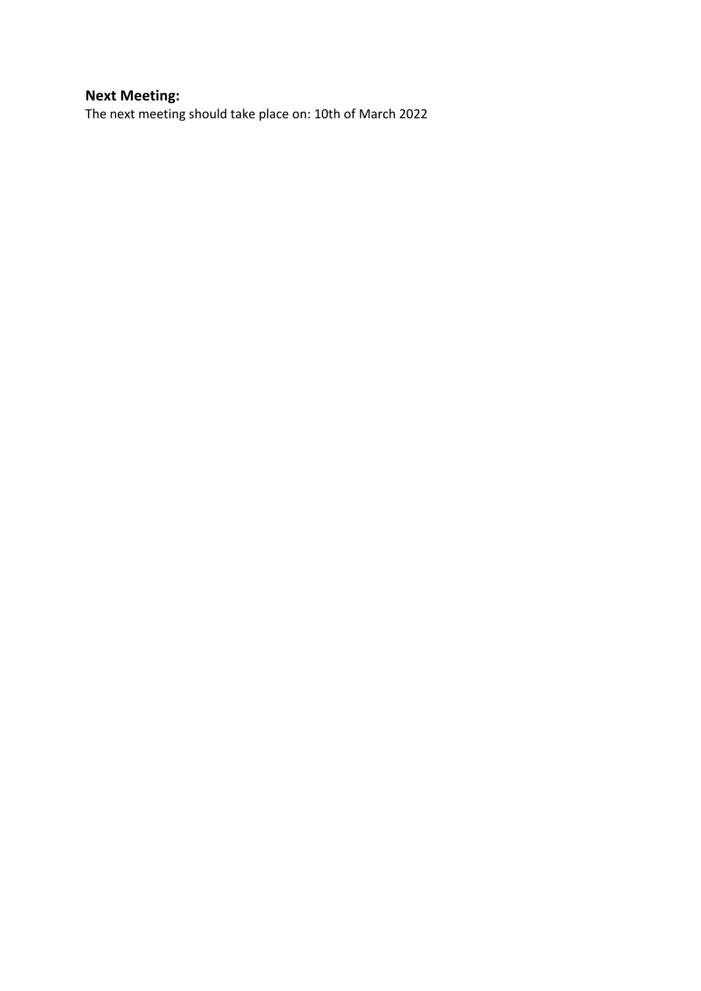#### **Next Meeting:**

The next meeting should take place on: 10th of March 2022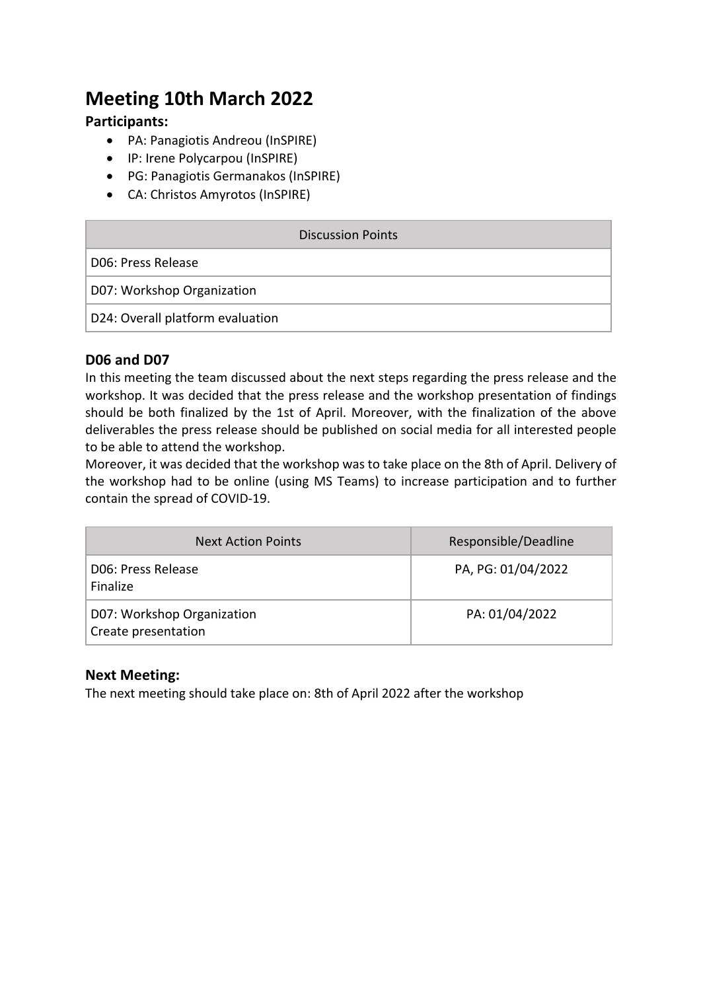## **Meeting 10th March 2022**

#### **Participants:**

- PA: Panagiotis Andreou (InSPIRE)
- IP: Irene Polycarpou (InSPIRE)
- PG: Panagiotis Germanakos (InSPIRE)
- CA: Christos Amyrotos (InSPIRE)

| Discussion Points                |
|----------------------------------|
| D06: Press Release               |
| D07: Workshop Organization       |
| D24: Overall platform evaluation |

#### **D06 and D07**

In this meeting the team discussed about the next steps regarding the press release and the workshop. It was decided that the press release and the workshop presentation of findings should be both finalized by the 1st of April. Moreover, with the finalization of the above deliverables the press release should be published on social media for all interested people to be able to attend the workshop.

Moreover, it was decided that the workshop was to take place on the 8th of April. Delivery of the workshop had to be online (using MS Teams) to increase participation and to further contain the spread of COVID-19.

| <b>Next Action Points</b>                         | Responsible/Deadline |
|---------------------------------------------------|----------------------|
| D06: Press Release<br>Finalize                    | PA, PG: 01/04/2022   |
| D07: Workshop Organization<br>Create presentation | PA: 01/04/2022       |

#### **Next Meeting:**

The next meeting should take place on: 8th of April 2022 after the workshop